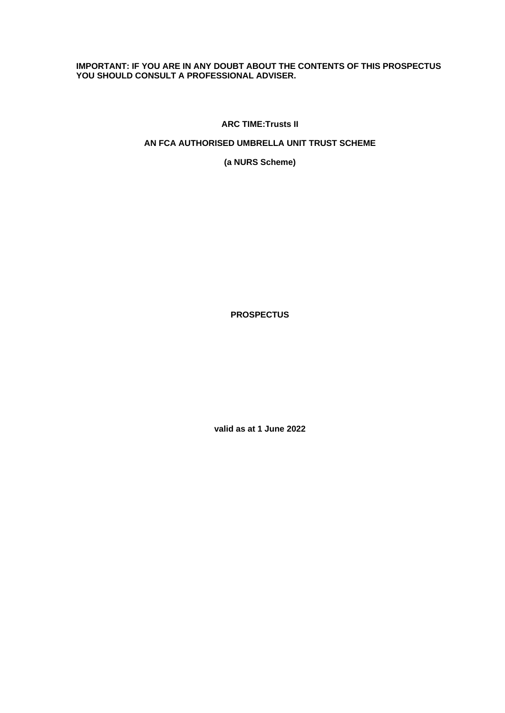# **IMPORTANT: IF YOU ARE IN ANY DOUBT ABOUT THE CONTENTS OF THIS PROSPECTUS YOU SHOULD CONSULT A PROFESSIONAL ADVISER.**

**ARC TIME:Trusts II**

# **AN FCA AUTHORISED UMBRELLA UNIT TRUST SCHEME**

**(a NURS Scheme)**

**PROSPECTUS**

**valid as at 1 June 2022**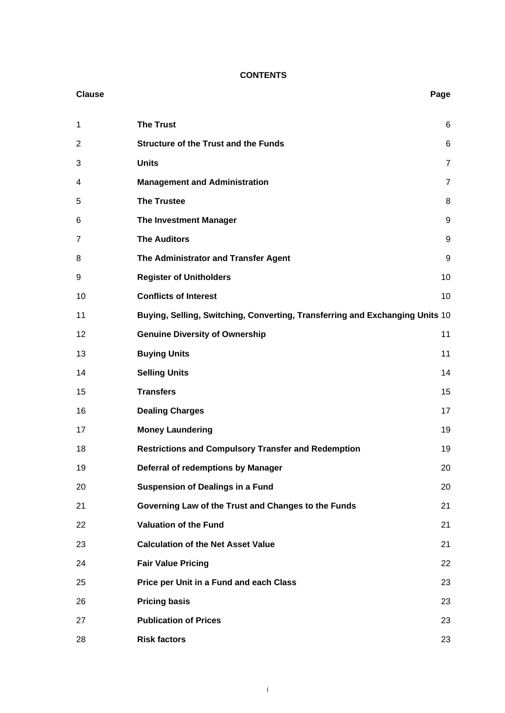# **CONTENTS**

| <b>Clause</b>  |                                                                              | Page           |
|----------------|------------------------------------------------------------------------------|----------------|
| 1              | <b>The Trust</b>                                                             | 6              |
| $\overline{2}$ | <b>Structure of the Trust and the Funds</b>                                  | 6              |
| 3              | <b>Units</b>                                                                 | $\overline{7}$ |
| 4              | <b>Management and Administration</b>                                         | $\overline{7}$ |
| 5              | <b>The Trustee</b>                                                           | 8              |
| 6              | <b>The Investment Manager</b>                                                | 9              |
| 7              | <b>The Auditors</b>                                                          | 9              |
| 8              | The Administrator and Transfer Agent                                         | 9              |
| 9              | <b>Register of Unitholders</b>                                               | 10             |
| 10             | <b>Conflicts of Interest</b>                                                 | 10             |
| 11             | Buying, Selling, Switching, Converting, Transferring and Exchanging Units 10 |                |
| 12             | <b>Genuine Diversity of Ownership</b>                                        | 11             |
| 13             | <b>Buying Units</b>                                                          | 11             |
| 14             | <b>Selling Units</b>                                                         | 14             |
| 15             | <b>Transfers</b>                                                             | 15             |
| 16             | <b>Dealing Charges</b>                                                       | 17             |
| 17             | <b>Money Laundering</b>                                                      | 19             |
| 18             | <b>Restrictions and Compulsory Transfer and Redemption</b>                   | 19             |
| 19             | Deferral of redemptions by Manager                                           | 20             |
| 20             | <b>Suspension of Dealings in a Fund</b>                                      | 20             |
| 21             | Governing Law of the Trust and Changes to the Funds                          | 21             |
| 22             | <b>Valuation of the Fund</b>                                                 | 21             |
| 23             | <b>Calculation of the Net Asset Value</b>                                    | 21             |
| 24             | <b>Fair Value Pricing</b>                                                    | 22             |
| 25             | Price per Unit in a Fund and each Class                                      | 23             |
| 26             | <b>Pricing basis</b>                                                         | 23             |
| 27             | <b>Publication of Prices</b>                                                 | 23             |
| 28             | <b>Risk factors</b>                                                          | 23             |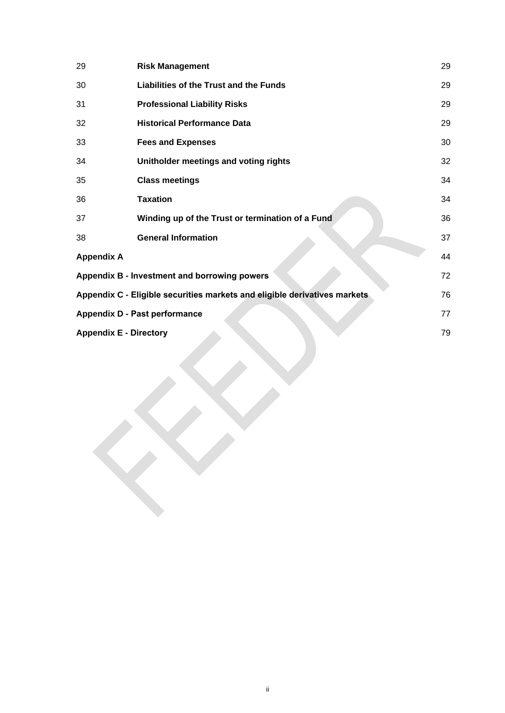| 29                                                                              | <b>Risk Management</b>                           | 29 |
|---------------------------------------------------------------------------------|--------------------------------------------------|----|
| 30                                                                              | Liabilities of the Trust and the Funds           | 29 |
| 31                                                                              | <b>Professional Liability Risks</b>              | 29 |
| 32                                                                              | <b>Historical Performance Data</b>               | 29 |
| 33                                                                              | <b>Fees and Expenses</b>                         | 30 |
| 34                                                                              | Unitholder meetings and voting rights            | 32 |
| 35                                                                              | <b>Class meetings</b>                            | 34 |
| 36                                                                              | <b>Taxation</b>                                  | 34 |
| 37                                                                              | Winding up of the Trust or termination of a Fund | 36 |
| 38                                                                              | <b>General Information</b>                       | 37 |
| <b>Appendix A</b>                                                               |                                                  | 44 |
| Appendix B - Investment and borrowing powers<br>72                              |                                                  |    |
| Appendix C - Eligible securities markets and eligible derivatives markets<br>76 |                                                  |    |
| <b>Appendix D - Past performance</b><br>77                                      |                                                  |    |
| <b>Appendix E - Directory</b>                                                   |                                                  | 79 |
|                                                                                 |                                                  |    |
|                                                                                 |                                                  |    |
|                                                                                 |                                                  |    |
|                                                                                 |                                                  |    |
|                                                                                 |                                                  |    |
|                                                                                 |                                                  |    |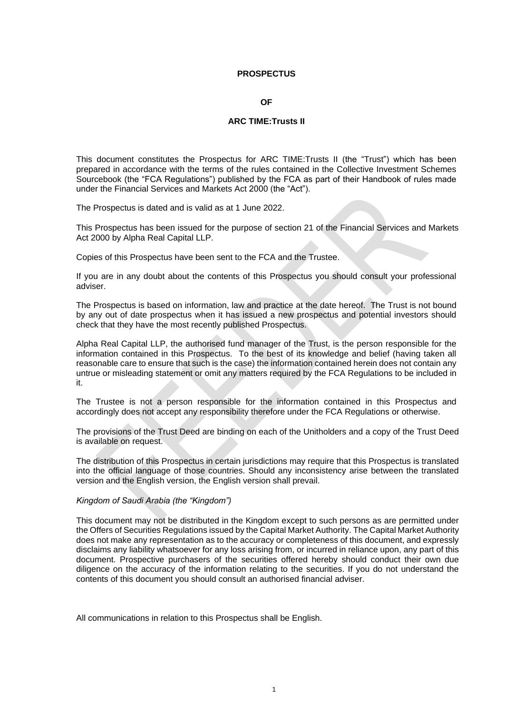#### **PROSPECTUS**

#### **OF**

#### **ARC TIME:Trusts II**

This document constitutes the Prospectus for ARC TIME:Trusts II (the "Trust") which has been prepared in accordance with the terms of the rules contained in the Collective Investment Schemes Sourcebook (the "FCA Regulations") published by the FCA as part of their Handbook of rules made under the Financial Services and Markets Act 2000 (the "Act").

The Prospectus is dated and is valid as at 1 June 2022.

This Prospectus has been issued for the purpose of section 21 of the Financial Services and Markets Act 2000 by Alpha Real Capital LLP.

Copies of this Prospectus have been sent to the FCA and the Trustee.

If you are in any doubt about the contents of this Prospectus you should consult your professional adviser.

The Prospectus is based on information, law and practice at the date hereof. The Trust is not bound by any out of date prospectus when it has issued a new prospectus and potential investors should check that they have the most recently published Prospectus.

Alpha Real Capital LLP, the authorised fund manager of the Trust, is the person responsible for the information contained in this Prospectus. To the best of its knowledge and belief (having taken all reasonable care to ensure that such is the case) the information contained herein does not contain any untrue or misleading statement or omit any matters required by the FCA Regulations to be included in it.

The Trustee is not a person responsible for the information contained in this Prospectus and accordingly does not accept any responsibility therefore under the FCA Regulations or otherwise.

The provisions of the Trust Deed are binding on each of the Unitholders and a copy of the Trust Deed is available on request.

The distribution of this Prospectus in certain jurisdictions may require that this Prospectus is translated into the official language of those countries. Should any inconsistency arise between the translated version and the English version, the English version shall prevail.

#### *Kingdom of Saudi Arabia (the "Kingdom")*

This document may not be distributed in the Kingdom except to such persons as are permitted under the Offers of Securities Regulations issued by the Capital Market Authority. The Capital Market Authority does not make any representation as to the accuracy or completeness of this document, and expressly disclaims any liability whatsoever for any loss arising from, or incurred in reliance upon, any part of this document. Prospective purchasers of the securities offered hereby should conduct their own due diligence on the accuracy of the information relating to the securities. If you do not understand the contents of this document you should consult an authorised financial adviser.

All communications in relation to this Prospectus shall be English.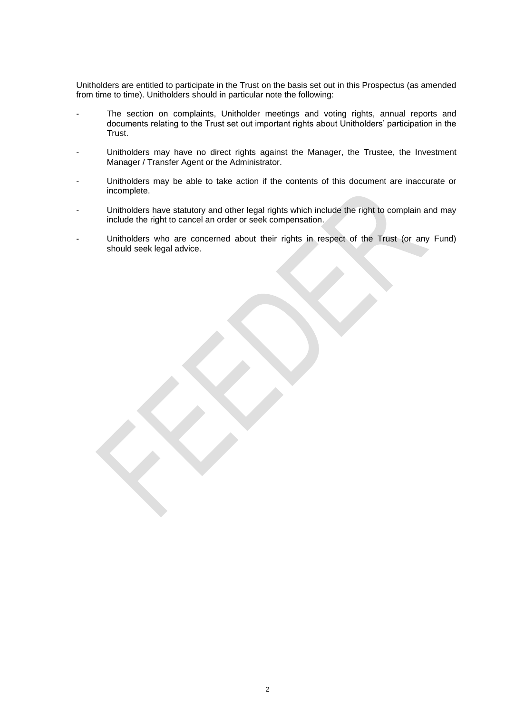Unitholders are entitled to participate in the Trust on the basis set out in this Prospectus (as amended from time to time). Unitholders should in particular note the following:

- The section on complaints, Unitholder meetings and voting rights, annual reports and documents relating to the Trust set out important rights about Unitholders' participation in the Trust.
- Unitholders may have no direct rights against the Manager, the Trustee, the Investment Manager / Transfer Agent or the Administrator.
- Unitholders may be able to take action if the contents of this document are inaccurate or incomplete.
- Unitholders have statutory and other legal rights which include the right to complain and may include the right to cancel an order or seek compensation.
- Unitholders who are concerned about their rights in respect of the Trust (or any Fund) should seek legal advice.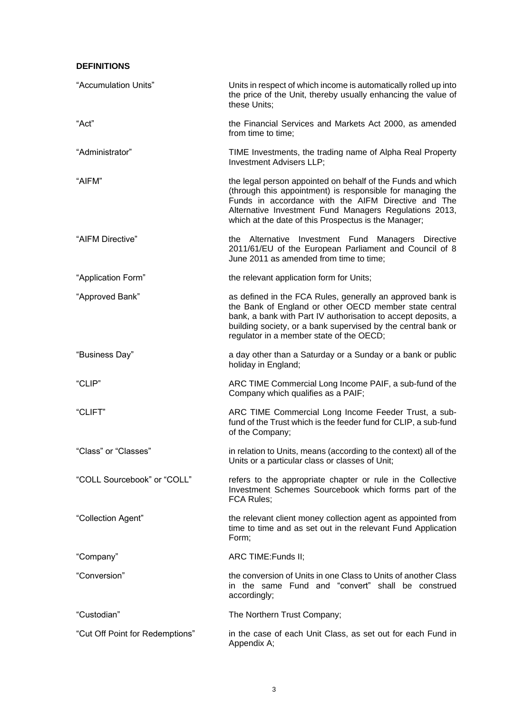# **DEFINITIONS**

| "Accumulation Units"            | Units in respect of which income is automatically rolled up into<br>the price of the Unit, thereby usually enhancing the value of<br>these Units;                                                                                                                                                  |  |
|---------------------------------|----------------------------------------------------------------------------------------------------------------------------------------------------------------------------------------------------------------------------------------------------------------------------------------------------|--|
| "Act"                           | the Financial Services and Markets Act 2000, as amended<br>from time to time;                                                                                                                                                                                                                      |  |
| "Administrator"                 | TIME Investments, the trading name of Alpha Real Property<br>Investment Advisers LLP;                                                                                                                                                                                                              |  |
| "AIFM"                          | the legal person appointed on behalf of the Funds and which<br>(through this appointment) is responsible for managing the<br>Funds in accordance with the AIFM Directive and The<br>Alternative Investment Fund Managers Regulations 2013,<br>which at the date of this Prospectus is the Manager; |  |
| "AIFM Directive"                | the Alternative Investment Fund<br>Managers Directive<br>2011/61/EU of the European Parliament and Council of 8<br>June 2011 as amended from time to time;                                                                                                                                         |  |
| "Application Form"              | the relevant application form for Units;                                                                                                                                                                                                                                                           |  |
| "Approved Bank"                 | as defined in the FCA Rules, generally an approved bank is<br>the Bank of England or other OECD member state central<br>bank, a bank with Part IV authorisation to accept deposits, a<br>building society, or a bank supervised by the central bank or<br>regulator in a member state of the OECD; |  |
| "Business Day"                  | a day other than a Saturday or a Sunday or a bank or public<br>holiday in England;                                                                                                                                                                                                                 |  |
| "CLIP"                          | ARC TIME Commercial Long Income PAIF, a sub-fund of the<br>Company which qualifies as a PAIF;                                                                                                                                                                                                      |  |
| "CLIFT"                         | ARC TIME Commercial Long Income Feeder Trust, a sub-<br>fund of the Trust which is the feeder fund for CLIP, a sub-fund<br>of the Company;                                                                                                                                                         |  |
| "Class" or "Classes"            | in relation to Units, means (according to the context) all of the<br>Units or a particular class or classes of Unit;                                                                                                                                                                               |  |
| "COLL Sourcebook" or "COLL"     | refers to the appropriate chapter or rule in the Collective<br>Investment Schemes Sourcebook which forms part of the<br>FCA Rules;                                                                                                                                                                 |  |
| "Collection Agent"              | the relevant client money collection agent as appointed from<br>time to time and as set out in the relevant Fund Application<br>Form;                                                                                                                                                              |  |
| "Company"                       | ARC TIME: Funds II;                                                                                                                                                                                                                                                                                |  |
| "Conversion"                    | the conversion of Units in one Class to Units of another Class<br>in the same Fund and "convert" shall be construed<br>accordingly;                                                                                                                                                                |  |
| "Custodian"                     | The Northern Trust Company;                                                                                                                                                                                                                                                                        |  |
| "Cut Off Point for Redemptions" | in the case of each Unit Class, as set out for each Fund in<br>Appendix A;                                                                                                                                                                                                                         |  |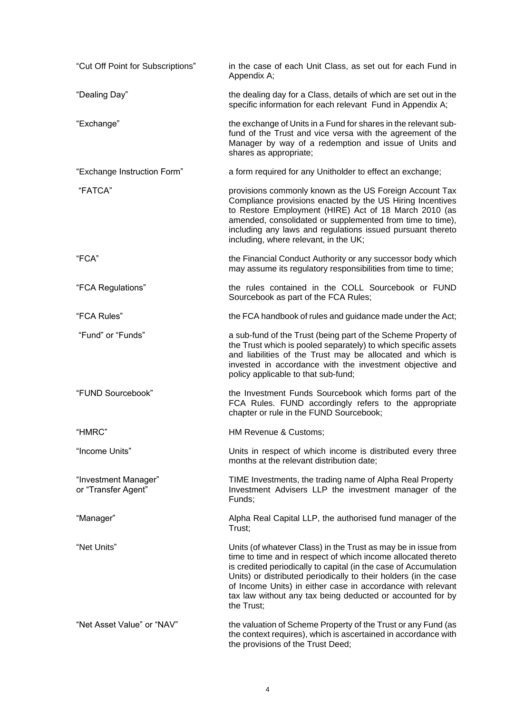| "Cut Off Point for Subscriptions"           | in the case of each Unit Class, as set out for each Fund in<br>Appendix A;                                                                                                                                                                                                                                                                                                                                         |
|---------------------------------------------|--------------------------------------------------------------------------------------------------------------------------------------------------------------------------------------------------------------------------------------------------------------------------------------------------------------------------------------------------------------------------------------------------------------------|
| "Dealing Day"                               | the dealing day for a Class, details of which are set out in the<br>specific information for each relevant Fund in Appendix A;                                                                                                                                                                                                                                                                                     |
| "Exchange"                                  | the exchange of Units in a Fund for shares in the relevant sub-<br>fund of the Trust and vice versa with the agreement of the<br>Manager by way of a redemption and issue of Units and<br>shares as appropriate;                                                                                                                                                                                                   |
| "Exchange Instruction Form"                 | a form required for any Unitholder to effect an exchange;                                                                                                                                                                                                                                                                                                                                                          |
| "FATCA"                                     | provisions commonly known as the US Foreign Account Tax<br>Compliance provisions enacted by the US Hiring Incentives<br>to Restore Employment (HIRE) Act of 18 March 2010 (as<br>amended, consolidated or supplemented from time to time),<br>including any laws and regulations issued pursuant thereto<br>including, where relevant, in the UK;                                                                  |
| "FCA"                                       | the Financial Conduct Authority or any successor body which<br>may assume its regulatory responsibilities from time to time;                                                                                                                                                                                                                                                                                       |
| "FCA Regulations"                           | the rules contained in the COLL Sourcebook or FUND<br>Sourcebook as part of the FCA Rules;                                                                                                                                                                                                                                                                                                                         |
| "FCA Rules"                                 | the FCA handbook of rules and guidance made under the Act;                                                                                                                                                                                                                                                                                                                                                         |
| "Fund" or "Funds"                           | a sub-fund of the Trust (being part of the Scheme Property of<br>the Trust which is pooled separately) to which specific assets<br>and liabilities of the Trust may be allocated and which is<br>invested in accordance with the investment objective and<br>policy applicable to that sub-fund;                                                                                                                   |
| "FUND Sourcebook"                           | the Investment Funds Sourcebook which forms part of the<br>FCA Rules. FUND accordingly refers to the appropriate<br>chapter or rule in the FUND Sourcebook;                                                                                                                                                                                                                                                        |
| "HMRC"                                      | HM Revenue & Customs;                                                                                                                                                                                                                                                                                                                                                                                              |
| "Income Units"                              | Units in respect of which income is distributed every three<br>months at the relevant distribution date;                                                                                                                                                                                                                                                                                                           |
| "Investment Manager"<br>or "Transfer Agent" | TIME Investments, the trading name of Alpha Real Property<br>Investment Advisers LLP the investment manager of the<br>Funds;                                                                                                                                                                                                                                                                                       |
| "Manager"                                   | Alpha Real Capital LLP, the authorised fund manager of the<br>Trust;                                                                                                                                                                                                                                                                                                                                               |
| "Net Units"                                 | Units (of whatever Class) in the Trust as may be in issue from<br>time to time and in respect of which income allocated thereto<br>is credited periodically to capital (in the case of Accumulation<br>Units) or distributed periodically to their holders (in the case<br>of Income Units) in either case in accordance with relevant<br>tax law without any tax being deducted or accounted for by<br>the Trust; |
| "Net Asset Value" or "NAV"                  | the valuation of Scheme Property of the Trust or any Fund (as<br>the context requires), which is ascertained in accordance with<br>the provisions of the Trust Deed;                                                                                                                                                                                                                                               |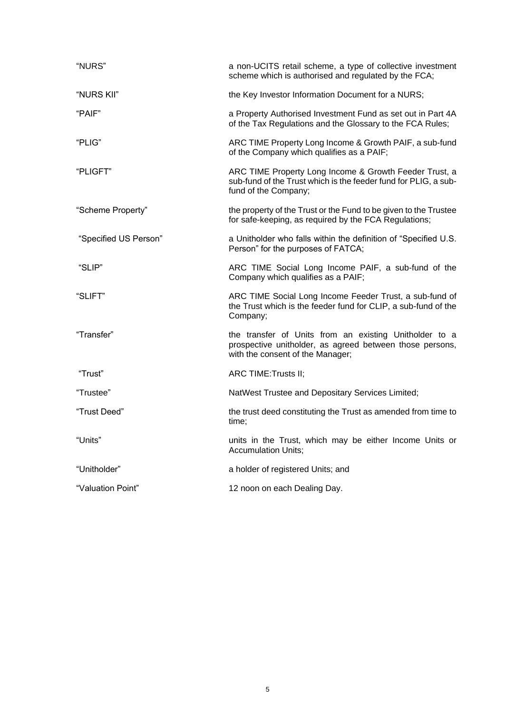| "NURS"                | a non-UCITS retail scheme, a type of collective investment<br>scheme which is authorised and regulated by the FCA;                                     |
|-----------------------|--------------------------------------------------------------------------------------------------------------------------------------------------------|
| "NURS KII"            | the Key Investor Information Document for a NURS;                                                                                                      |
| "PAIF"                | a Property Authorised Investment Fund as set out in Part 4A<br>of the Tax Regulations and the Glossary to the FCA Rules;                               |
| "PLIG"                | ARC TIME Property Long Income & Growth PAIF, a sub-fund<br>of the Company which qualifies as a PAIF;                                                   |
| "PLIGFT"              | ARC TIME Property Long Income & Growth Feeder Trust, a<br>sub-fund of the Trust which is the feeder fund for PLIG, a sub-<br>fund of the Company;      |
| "Scheme Property"     | the property of the Trust or the Fund to be given to the Trustee<br>for safe-keeping, as required by the FCA Regulations;                              |
| "Specified US Person" | a Unitholder who falls within the definition of "Specified U.S.<br>Person" for the purposes of FATCA;                                                  |
| "SLIP"                | ARC TIME Social Long Income PAIF, a sub-fund of the<br>Company which qualifies as a PAIF;                                                              |
| "SLIFT"               | ARC TIME Social Long Income Feeder Trust, a sub-fund of<br>the Trust which is the feeder fund for CLIP, a sub-fund of the<br>Company;                  |
| "Transfer"            | the transfer of Units from an existing Unitholder to a<br>prospective unitholder, as agreed between those persons,<br>with the consent of the Manager; |
| "Trust"               | ARC TIME: Trusts II;                                                                                                                                   |
| "Trustee"             | NatWest Trustee and Depositary Services Limited;                                                                                                       |
| "Trust Deed"          | the trust deed constituting the Trust as amended from time to<br>time;                                                                                 |
| "Units"               | units in the Trust, which may be either Income Units or<br><b>Accumulation Units;</b>                                                                  |
| "Unitholder"          | a holder of registered Units; and                                                                                                                      |
| "Valuation Point"     | 12 noon on each Dealing Day.                                                                                                                           |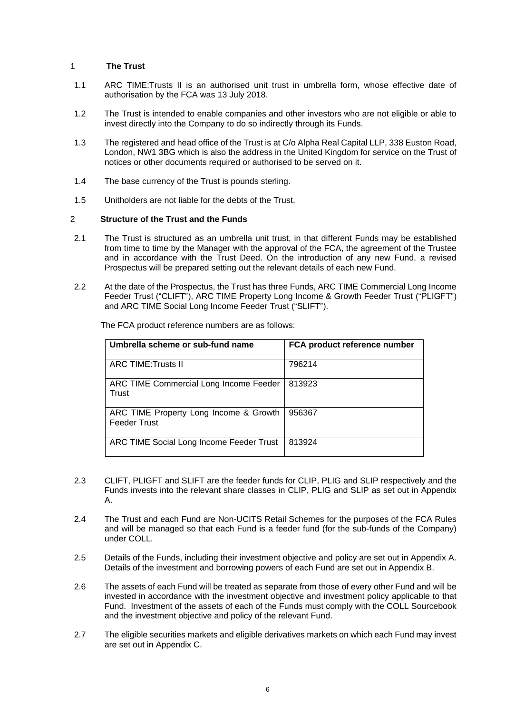# <span id="page-8-0"></span>1 **The Trust**

- 1.1 ARC TIME:Trusts II is an authorised unit trust in umbrella form, whose effective date of authorisation by the FCA was 13 July 2018.
- 1.2 The Trust is intended to enable companies and other investors who are not eligible or able to invest directly into the Company to do so indirectly through its Funds.
- 1.3 The registered and head office of the Trust is at C/o Alpha Real Capital LLP, 338 Euston Road, London, NW1 3BG which is also the address in the United Kingdom for service on the Trust of notices or other documents required or authorised to be served on it.
- 1.4 The base currency of the Trust is pounds sterling.
- 1.5 Unitholders are not liable for the debts of the Trust.

## <span id="page-8-1"></span>2 **Structure of the Trust and the Funds**

- 2.1 The Trust is structured as an umbrella unit trust, in that different Funds may be established from time to time by the Manager with the approval of the FCA, the agreement of the Trustee and in accordance with the Trust Deed. On the introduction of any new Fund, a revised Prospectus will be prepared setting out the relevant details of each new Fund.
- 2.2 At the date of the Prospectus, the Trust has three Funds, ARC TIME Commercial Long Income Feeder Trust ("CLIFT"), ARC TIME Property Long Income & Growth Feeder Trust ("PLIGFT") and ARC TIME Social Long Income Feeder Trust ("SLIFT").

| Umbrella scheme or sub-fund name                              | FCA product reference number |
|---------------------------------------------------------------|------------------------------|
| <b>ARC TIME: Trusts II</b>                                    | 796214                       |
| ARC TIME Commercial Long Income Feeder<br>Trust               | 813923                       |
| ARC TIME Property Long Income & Growth<br><b>Feeder Trust</b> | 956367                       |
| ARC TIME Social Long Income Feeder Trust                      | 813924                       |

The FCA product reference numbers are as follows:

- 2.3 CLIFT, PLIGFT and SLIFT are the feeder funds for CLIP, PLIG and SLIP respectively and the Funds invests into the relevant share classes in CLIP, PLIG and SLIP as set out in Appendix A.
- 2.4 The Trust and each Fund are Non-UCITS Retail Schemes for the purposes of the FCA Rules and will be managed so that each Fund is a feeder fund (for the sub-funds of the Company) under COLL.
- 2.5 Details of the Funds, including their investment objective and policy are set out in Appendix A. Details of the investment and borrowing powers of each Fund are set out in Appendix B.
- 2.6 The assets of each Fund will be treated as separate from those of every other Fund and will be invested in accordance with the investment objective and investment policy applicable to that Fund. Investment of the assets of each of the Funds must comply with the COLL Sourcebook and the investment objective and policy of the relevant Fund.
- 2.7 The eligible securities markets and eligible derivatives markets on which each Fund may invest are set out in Appendix C.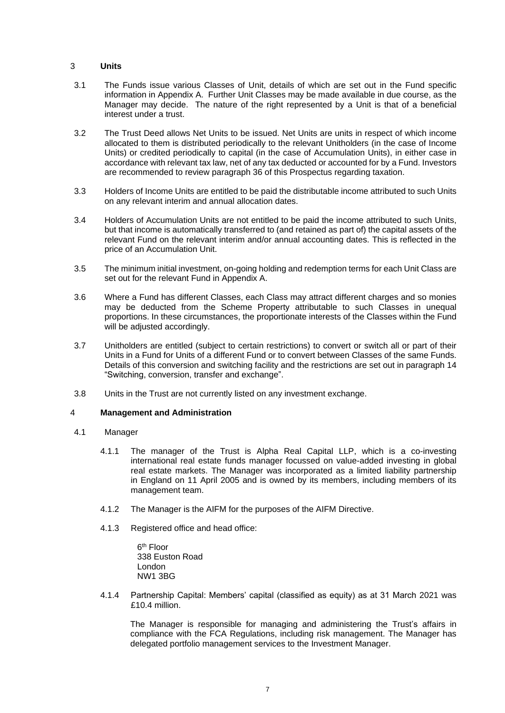# <span id="page-9-0"></span>3 **Units**

- 3.1 The Funds issue various Classes of Unit, details of which are set out in the Fund specific information in Appendix A. Further Unit Classes may be made available in due course, as the Manager may decide. The nature of the right represented by a Unit is that of a beneficial interest under a trust.
- 3.2 The Trust Deed allows Net Units to be issued. Net Units are units in respect of which income allocated to them is distributed periodically to the relevant Unitholders (in the case of Income Units) or credited periodically to capital (in the case of Accumulation Units), in either case in accordance with relevant tax law, net of any tax deducted or accounted for by a Fund. Investors are recommended to review paragraph 36 of this Prospectus regarding taxation.
- 3.3 Holders of Income Units are entitled to be paid the distributable income attributed to such Units on any relevant interim and annual allocation dates.
- 3.4 Holders of Accumulation Units are not entitled to be paid the income attributed to such Units, but that income is automatically transferred to (and retained as part of) the capital assets of the relevant Fund on the relevant interim and/or annual accounting dates. This is reflected in the price of an Accumulation Unit.
- 3.5 The minimum initial investment, on-going holding and redemption terms for each Unit Class are set out for the relevant Fund in Appendix A.
- 3.6 Where a Fund has different Classes, each Class may attract different charges and so monies may be deducted from the Scheme Property attributable to such Classes in unequal proportions. In these circumstances, the proportionate interests of the Classes within the Fund will be adjusted accordingly.
- 3.7 Unitholders are entitled (subject to certain restrictions) to convert or switch all or part of their Units in a Fund for Units of a different Fund or to convert between Classes of the same Funds. Details of this conversion and switching facility and the restrictions are set out in paragraph 14 "Switching, conversion, transfer and exchange".
- 3.8 Units in the Trust are not currently listed on any investment exchange.

## <span id="page-9-1"></span>4 **Management and Administration**

- 4.1 Manager
	- 4.1.1 The manager of the Trust is Alpha Real Capital LLP, which is a co-investing international real estate funds manager focussed on value-added investing in global real estate markets. The Manager was incorporated as a limited liability partnership in England on 11 April 2005 and is owned by its members, including members of its management team.
	- 4.1.2 The Manager is the AIFM for the purposes of the AIFM Directive.
	- 4.1.3 Registered office and head office:

6<sup>th</sup> Floor 338 Euston Road London NW1 3BG

4.1.4 Partnership Capital: Members' capital (classified as equity) as at 31 March 2021 was £10.4 million.

The Manager is responsible for managing and administering the Trust's affairs in compliance with the FCA Regulations, including risk management. The Manager has delegated portfolio management services to the Investment Manager.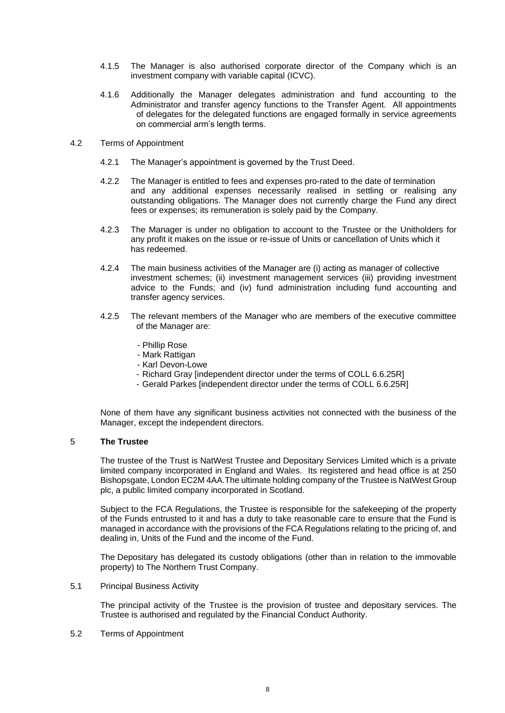- 4.1.5 The Manager is also authorised corporate director of the Company which is an investment company with variable capital (ICVC).
- 4.1.6 Additionally the Manager delegates administration and fund accounting to the Administrator and transfer agency functions to the Transfer Agent. All appointments of delegates for the delegated functions are engaged formally in service agreements on commercial arm's length terms.
- 4.2 Terms of Appointment
	- 4.2.1 The Manager's appointment is governed by the Trust Deed.
	- 4.2.2 The Manager is entitled to fees and expenses pro-rated to the date of termination and any additional expenses necessarily realised in settling or realising any outstanding obligations. The Manager does not currently charge the Fund any direct fees or expenses; its remuneration is solely paid by the Company.
	- 4.2.3 The Manager is under no obligation to account to the Trustee or the Unitholders for any profit it makes on the issue or re-issue of Units or cancellation of Units which it has redeemed.
	- 4.2.4 The main business activities of the Manager are (i) acting as manager of collective investment schemes; (ii) investment management services (iii) providing investment advice to the Funds; and (iv) fund administration including fund accounting and transfer agency services.
	- 4.2.5 The relevant members of the Manager who are members of the executive committee of the Manager are:
		- Phillip Rose
		- Mark Rattigan
		- Karl Devon-Lowe
		- Richard Gray [independent director under the terms of COLL 6.6.25R]
		- Gerald Parkes [independent director under the terms of COLL 6.6.25R]

None of them have any significant business activities not connected with the business of the Manager, except the independent directors.

# <span id="page-10-0"></span>5 **The Trustee**

The trustee of the Trust is NatWest Trustee and Depositary Services Limited which is a private limited company incorporated in England and Wales. Its registered and head office is at 250 Bishopsgate, London EC2M 4AA.The ultimate holding company of the Trustee is NatWest Group plc, a public limited company incorporated in Scotland.

Subject to the FCA Regulations, the Trustee is responsible for the safekeeping of the property of the Funds entrusted to it and has a duty to take reasonable care to ensure that the Fund is managed in accordance with the provisions of the FCA Regulations relating to the pricing of, and dealing in, Units of the Fund and the income of the Fund.

The Depositary has delegated its custody obligations (other than in relation to the immovable property) to The Northern Trust Company.

## 5.1 Principal Business Activity

The principal activity of the Trustee is the provision of trustee and depositary services. The Trustee is authorised and regulated by the Financial Conduct Authority.

# 5.2 Terms of Appointment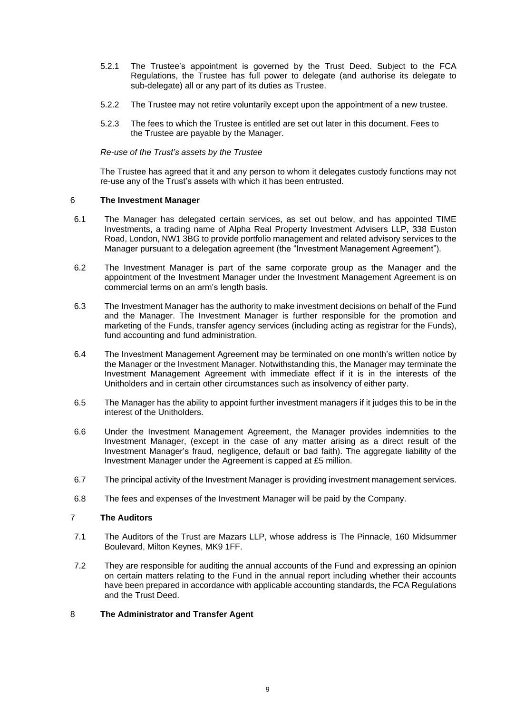- 5.2.1 The Trustee's appointment is governed by the Trust Deed. Subject to the FCA Regulations, the Trustee has full power to delegate (and authorise its delegate to sub-delegate) all or any part of its duties as Trustee.
- 5.2.2 The Trustee may not retire voluntarily except upon the appointment of a new trustee.
- 5.2.3 The fees to which the Trustee is entitled are set out later in this document. Fees to the Trustee are payable by the Manager.

## *Re-use of the Trust's assets by the Trustee*

The Trustee has agreed that it and any person to whom it delegates custody functions may not re-use any of the Trust's assets with which it has been entrusted.

# <span id="page-11-0"></span>6 **The Investment Manager**

- 6.1 The Manager has delegated certain services, as set out below, and has appointed TIME Investments, a trading name of Alpha Real Property Investment Advisers LLP, 338 Euston Road, London, NW1 3BG to provide portfolio management and related advisory services to the Manager pursuant to a delegation agreement (the "Investment Management Agreement").
- 6.2 The Investment Manager is part of the same corporate group as the Manager and the appointment of the Investment Manager under the Investment Management Agreement is on commercial terms on an arm's length basis.
- 6.3 The Investment Manager has the authority to make investment decisions on behalf of the Fund and the Manager. The Investment Manager is further responsible for the promotion and marketing of the Funds, transfer agency services (including acting as registrar for the Funds), fund accounting and fund administration.
- 6.4 The Investment Management Agreement may be terminated on one month's written notice by the Manager or the Investment Manager. Notwithstanding this, the Manager may terminate the Investment Management Agreement with immediate effect if it is in the interests of the Unitholders and in certain other circumstances such as insolvency of either party.
- 6.5 The Manager has the ability to appoint further investment managers if it judges this to be in the interest of the Unitholders.
- 6.6 Under the Investment Management Agreement, the Manager provides indemnities to the Investment Manager, (except in the case of any matter arising as a direct result of the Investment Manager's fraud, negligence, default or bad faith). The aggregate liability of the Investment Manager under the Agreement is capped at £5 million.
- 6.7 The principal activity of the Investment Manager is providing investment management services.
- 6.8 The fees and expenses of the Investment Manager will be paid by the Company.

# <span id="page-11-1"></span>7 **The Auditors**

- 7.1 The Auditors of the Trust are Mazars LLP, whose address is The Pinnacle, 160 Midsummer Boulevard, Milton Keynes, MK9 1FF.
- 7.2 They are responsible for auditing the annual accounts of the Fund and expressing an opinion on certain matters relating to the Fund in the annual report including whether their accounts have been prepared in accordance with applicable accounting standards, the FCA Regulations and the Trust Deed.

## <span id="page-11-2"></span>8 **The Administrator and Transfer Agent**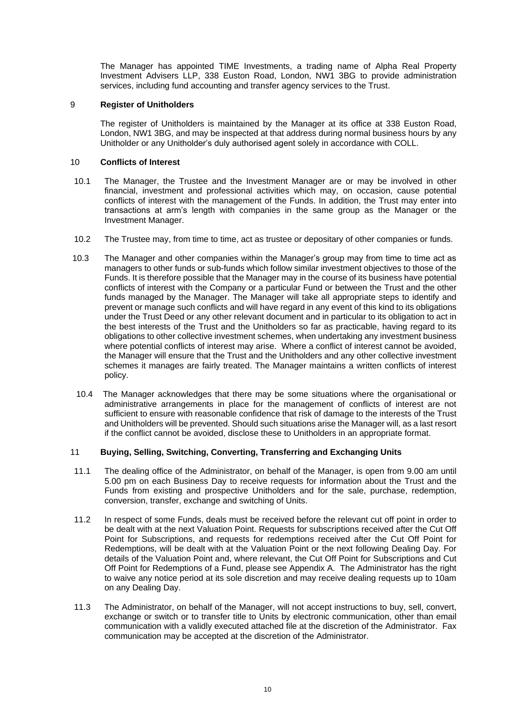The Manager has appointed TIME Investments, a trading name of Alpha Real Property Investment Advisers LLP, 338 Euston Road, London, NW1 3BG to provide administration services, including fund accounting and transfer agency services to the Trust.

# 9 **Register of Unitholders**

<span id="page-12-0"></span>The register of Unitholders is maintained by the Manager at its office at 338 Euston Road, London, NW1 3BG, and may be inspected at that address during normal business hours by any Unitholder or any Unitholder's duly authorised agent solely in accordance with COLL.

# <span id="page-12-1"></span>10 **Conflicts of Interest**

- 10.1 The Manager, the Trustee and the Investment Manager are or may be involved in other financial, investment and professional activities which may, on occasion, cause potential conflicts of interest with the management of the Funds. In addition, the Trust may enter into transactions at arm's length with companies in the same group as the Manager or the Investment Manager.
- 10.2 The Trustee may, from time to time, act as trustee or depositary of other companies or funds.
- 10.3 The Manager and other companies within the Manager's group may from time to time act as managers to other funds or sub-funds which follow similar investment objectives to those of the Funds. It is therefore possible that the Manager may in the course of its business have potential conflicts of interest with the Company or a particular Fund or between the Trust and the other funds managed by the Manager. The Manager will take all appropriate steps to identify and prevent or manage such conflicts and will have regard in any event of this kind to its obligations under the Trust Deed or any other relevant document and in particular to its obligation to act in the best interests of the Trust and the Unitholders so far as practicable, having regard to its obligations to other collective investment schemes, when undertaking any investment business where potential conflicts of interest may arise. Where a conflict of interest cannot be avoided, the Manager will ensure that the Trust and the Unitholders and any other collective investment schemes it manages are fairly treated. The Manager maintains a written conflicts of interest policy.
- 10.4 The Manager acknowledges that there may be some situations where the organisational or administrative arrangements in place for the management of conflicts of interest are not sufficient to ensure with reasonable confidence that risk of damage to the interests of the Trust and Unitholders will be prevented. Should such situations arise the Manager will, as a last resort if the conflict cannot be avoided, disclose these to Unitholders in an appropriate format.

# <span id="page-12-2"></span>11 **Buying, Selling, Switching, Converting, Transferring and Exchanging Units**

- 11.1 The dealing office of the Administrator, on behalf of the Manager, is open from 9.00 am until 5.00 pm on each Business Day to receive requests for information about the Trust and the Funds from existing and prospective Unitholders and for the sale, purchase, redemption, conversion, transfer, exchange and switching of Units.
- 11.2 In respect of some Funds, deals must be received before the relevant cut off point in order to be dealt with at the next Valuation Point. Requests for subscriptions received after the Cut Off Point for Subscriptions, and requests for redemptions received after the Cut Off Point for Redemptions, will be dealt with at the Valuation Point or the next following Dealing Day. For details of the Valuation Point and, where relevant, the Cut Off Point for Subscriptions and Cut Off Point for Redemptions of a Fund, please see Appendix A. The Administrator has the right to waive any notice period at its sole discretion and may receive dealing requests up to 10am on any Dealing Day.
- 11.3 The Administrator, on behalf of the Manager, will not accept instructions to buy, sell, convert, exchange or switch or to transfer title to Units by electronic communication, other than email communication with a validly executed attached file at the discretion of the Administrator. Fax communication may be accepted at the discretion of the Administrator.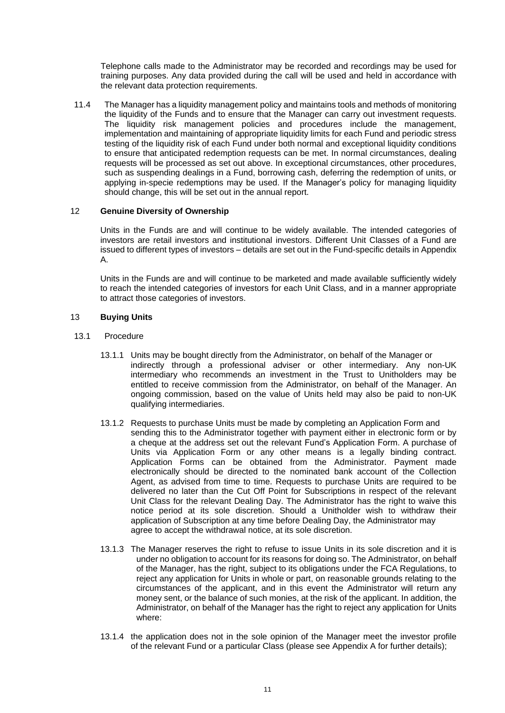Telephone calls made to the Administrator may be recorded and recordings may be used for training purposes. Any data provided during the call will be used and held in accordance with the relevant data protection requirements.

11.4 The Manager has a liquidity management policy and maintains tools and methods of monitoring the liquidity of the Funds and to ensure that the Manager can carry out investment requests. The liquidity risk management policies and procedures include the management, implementation and maintaining of appropriate liquidity limits for each Fund and periodic stress testing of the liquidity risk of each Fund under both normal and exceptional liquidity conditions to ensure that anticipated redemption requests can be met. In normal circumstances, dealing requests will be processed as set out above. In exceptional circumstances, other procedures, such as suspending dealings in a Fund, borrowing cash, deferring the redemption of units, or applying in-specie redemptions may be used. If the Manager's policy for managing liquidity should change, this will be set out in the annual report.

# 12 **Genuine Diversity of Ownership**

<span id="page-13-0"></span>Units in the Funds are and will continue to be widely available. The intended categories of investors are retail investors and institutional investors. Different Unit Classes of a Fund are issued to different types of investors – details are set out in the Fund-specific details in Appendix A.

Units in the Funds are and will continue to be marketed and made available sufficiently widely to reach the intended categories of investors for each Unit Class, and in a manner appropriate to attract those categories of investors.

# <span id="page-13-1"></span>13 **Buying Units**

## 13.1 Procedure

- 13.1.1 Units may be bought directly from the Administrator, on behalf of the Manager or indirectly through a professional adviser or other intermediary. Any non-UK intermediary who recommends an investment in the Trust to Unitholders may be entitled to receive commission from the Administrator, on behalf of the Manager. An ongoing commission, based on the value of Units held may also be paid to non-UK qualifying intermediaries.
- 13.1.2 Requests to purchase Units must be made by completing an Application Form and sending this to the Administrator together with payment either in electronic form or by a cheque at the address set out the relevant Fund's Application Form. A purchase of Units via Application Form or any other means is a legally binding contract. Application Forms can be obtained from the Administrator. Payment made electronically should be directed to the nominated bank account of the Collection Agent, as advised from time to time. Requests to purchase Units are required to be delivered no later than the Cut Off Point for Subscriptions in respect of the relevant Unit Class for the relevant Dealing Day. The Administrator has the right to waive this notice period at its sole discretion. Should a Unitholder wish to withdraw their application of Subscription at any time before Dealing Day, the Administrator may agree to accept the withdrawal notice, at its sole discretion.
- 13.1.3 The Manager reserves the right to refuse to issue Units in its sole discretion and it is under no obligation to account for its reasons for doing so. The Administrator, on behalf of the Manager, has the right, subject to its obligations under the FCA Regulations, to reject any application for Units in whole or part, on reasonable grounds relating to the circumstances of the applicant, and in this event the Administrator will return any money sent, or the balance of such monies, at the risk of the applicant. In addition, the Administrator, on behalf of the Manager has the right to reject any application for Units where:
- 13.1.4 the application does not in the sole opinion of the Manager meet the investor profile of the relevant Fund or a particular Class (please see Appendix A for further details);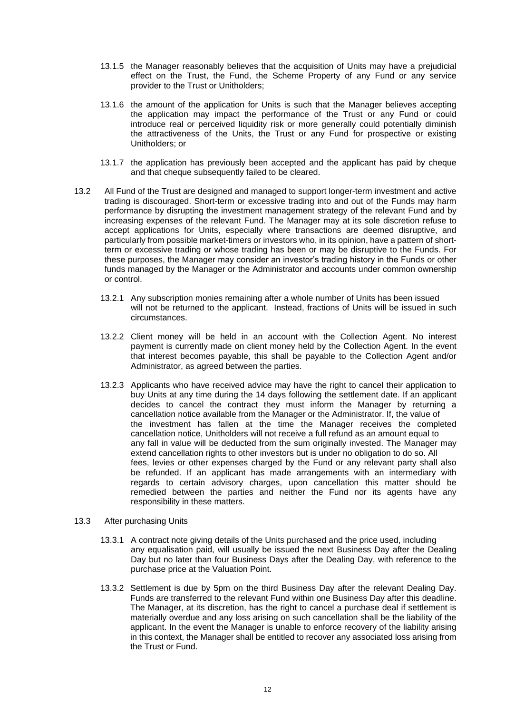- 13.1.5 the Manager reasonably believes that the acquisition of Units may have a prejudicial effect on the Trust, the Fund, the Scheme Property of any Fund or any service provider to the Trust or Unitholders;
- 13.1.6 the amount of the application for Units is such that the Manager believes accepting the application may impact the performance of the Trust or any Fund or could introduce real or perceived liquidity risk or more generally could potentially diminish the attractiveness of the Units, the Trust or any Fund for prospective or existing Unitholders; or
- 13.1.7 the application has previously been accepted and the applicant has paid by cheque and that cheque subsequently failed to be cleared.
- 13.2 All Fund of the Trust are designed and managed to support longer-term investment and active trading is discouraged. Short-term or excessive trading into and out of the Funds may harm performance by disrupting the investment management strategy of the relevant Fund and by increasing expenses of the relevant Fund. The Manager may at its sole discretion refuse to accept applications for Units, especially where transactions are deemed disruptive, and particularly from possible market-timers or investors who, in its opinion, have a pattern of shortterm or excessive trading or whose trading has been or may be disruptive to the Funds. For these purposes, the Manager may consider an investor's trading history in the Funds or other funds managed by the Manager or the Administrator and accounts under common ownership or control.
	- 13.2.1 Any subscription monies remaining after a whole number of Units has been issued will not be returned to the applicant. Instead, fractions of Units will be issued in such circumstances.
	- 13.2.2 Client money will be held in an account with the Collection Agent. No interest payment is currently made on client money held by the Collection Agent. In the event that interest becomes payable, this shall be payable to the Collection Agent and/or Administrator, as agreed between the parties.
	- 13.2.3 Applicants who have received advice may have the right to cancel their application to buy Units at any time during the 14 days following the settlement date. If an applicant decides to cancel the contract they must inform the Manager by returning a cancellation notice available from the Manager or the Administrator. If, the value of the investment has fallen at the time the Manager receives the completed cancellation notice, Unitholders will not receive a full refund as an amount equal to any fall in value will be deducted from the sum originally invested. The Manager may extend cancellation rights to other investors but is under no obligation to do so. All fees, levies or other expenses charged by the Fund or any relevant party shall also be refunded. If an applicant has made arrangements with an intermediary with regards to certain advisory charges, upon cancellation this matter should be remedied between the parties and neither the Fund nor its agents have any responsibility in these matters.
- 13.3 After purchasing Units
	- 13.3.1 A contract note giving details of the Units purchased and the price used, including any equalisation paid, will usually be issued the next Business Day after the Dealing Day but no later than four Business Days after the Dealing Day, with reference to the purchase price at the Valuation Point.
	- 13.3.2 Settlement is due by 5pm on the third Business Day after the relevant Dealing Day. Funds are transferred to the relevant Fund within one Business Day after this deadline. The Manager, at its discretion, has the right to cancel a purchase deal if settlement is materially overdue and any loss arising on such cancellation shall be the liability of the applicant. In the event the Manager is unable to enforce recovery of the liability arising in this context, the Manager shall be entitled to recover any associated loss arising from the Trust or Fund.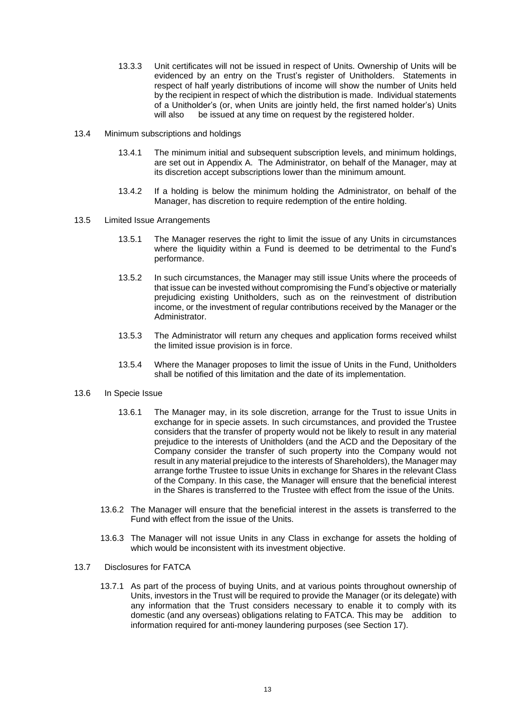- 13.3.3 Unit certificates will not be issued in respect of Units. Ownership of Units will be evidenced by an entry on the Trust's register of Unitholders. Statements in respect of half yearly distributions of income will show the number of Units held by the recipient in respect of which the distribution is made. Individual statements of a Unitholder's (or, when Units are jointly held, the first named holder's) Units will also be issued at any time on request by the registered holder.
- 13.4 Minimum subscriptions and holdings
	- 13.4.1 The minimum initial and subsequent subscription levels, and minimum holdings, are set out in Appendix A. The Administrator, on behalf of the Manager, may at its discretion accept subscriptions lower than the minimum amount.
	- 13.4.2 If a holding is below the minimum holding the Administrator, on behalf of the Manager, has discretion to require redemption of the entire holding.
- 13.5 Limited Issue Arrangements
	- 13.5.1 The Manager reserves the right to limit the issue of any Units in circumstances where the liquidity within a Fund is deemed to be detrimental to the Fund's performance.
	- 13.5.2 In such circumstances, the Manager may still issue Units where the proceeds of that issue can be invested without compromising the Fund's objective or materially prejudicing existing Unitholders, such as on the reinvestment of distribution income, or the investment of regular contributions received by the Manager or the Administrator.
	- 13.5.3 The Administrator will return any cheques and application forms received whilst the limited issue provision is in force.
	- 13.5.4 Where the Manager proposes to limit the issue of Units in the Fund, Unitholders shall be notified of this limitation and the date of its implementation.

# 13.6 In Specie Issue

- 13.6.1 The Manager may, in its sole discretion, arrange for the Trust to issue Units in exchange for in specie assets. In such circumstances, and provided the Trustee considers that the transfer of property would not be likely to result in any material prejudice to the interests of Unitholders (and the ACD and the Depositary of the Company consider the transfer of such property into the Company would not result in any material prejudice to the interests of Shareholders), the Manager may arrange forthe Trustee to issue Units in exchange for Shares in the relevant Class of the Company. In this case, the Manager will ensure that the beneficial interest in the Shares is transferred to the Trustee with effect from the issue of the Units.
- 13.6.2 The Manager will ensure that the beneficial interest in the assets is transferred to the Fund with effect from the issue of the Units.
- 13.6.3 The Manager will not issue Units in any Class in exchange for assets the holding of which would be inconsistent with its investment objective.
- 13.7 Disclosures for FATCA
	- 13.7.1 As part of the process of buying Units, and at various points throughout ownership of Units, investors in the Trust will be required to provide the Manager (or its delegate) with any information that the Trust considers necessary to enable it to comply with its domestic (and any overseas) obligations relating to FATCA. This may be addition to information required for anti-money laundering purposes (see Section [17\)](#page-21-2).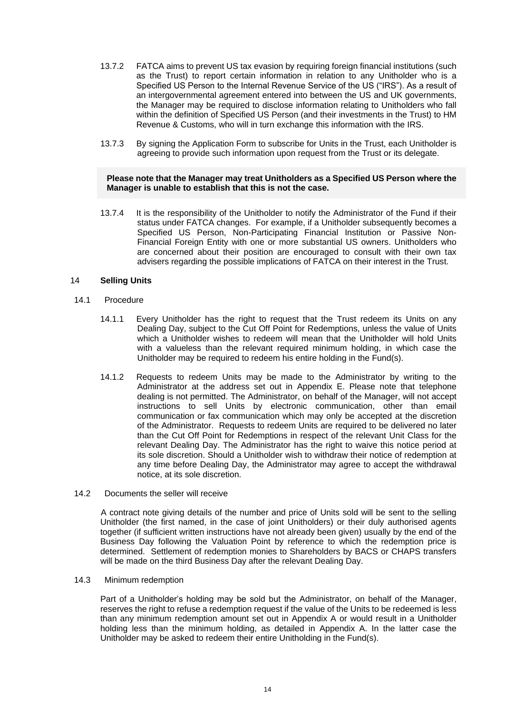- 13.7.2 FATCA aims to prevent US tax evasion by requiring foreign financial institutions (such as the Trust) to report certain information in relation to any Unitholder who is a Specified US Person to the Internal Revenue Service of the US ("IRS"). As a result of an intergovernmental agreement entered into between the US and UK governments, the Manager may be required to disclose information relating to Unitholders who fall within the definition of Specified US Person (and their investments in the Trust) to HM Revenue & Customs, who will in turn exchange this information with the IRS.
- 13.7.3 By signing the Application Form to subscribe for Units in the Trust, each Unitholder is agreeing to provide such information upon request from the Trust or its delegate.

## **Please note that the Manager may treat Unitholders as a Specified US Person where the Manager is unable to establish that this is not the case.**

13.7.4 It is the responsibility of the Unitholder to notify the Administrator of the Fund if their status under FATCA changes. For example, if a Unitholder subsequently becomes a Specified US Person, Non-Participating Financial Institution or Passive Non-Financial Foreign Entity with one or more substantial US owners. Unitholders who are concerned about their position are encouraged to consult with their own tax advisers regarding the possible implications of FATCA on their interest in the Trust.

# <span id="page-16-0"></span>14 **Selling Units**

- 14.1 Procedure
	- 14.1.1 Every Unitholder has the right to request that the Trust redeem its Units on any Dealing Day, subject to the Cut Off Point for Redemptions, unless the value of Units which a Unitholder wishes to redeem will mean that the Unitholder will hold Units with a valueless than the relevant required minimum holding, in which case the Unitholder may be required to redeem his entire holding in the Fund(s).
	- 14.1.2 Requests to redeem Units may be made to the Administrator by writing to the Administrator at the address set out in Appendix E. Please note that telephone dealing is not permitted. The Administrator, on behalf of the Manager, will not accept instructions to sell Units by electronic communication, other than email communication or fax communication which may only be accepted at the discretion of the Administrator. Requests to redeem Units are required to be delivered no later than the Cut Off Point for Redemptions in respect of the relevant Unit Class for the relevant Dealing Day. The Administrator has the right to waive this notice period at its sole discretion. Should a Unitholder wish to withdraw their notice of redemption at any time before Dealing Day, the Administrator may agree to accept the withdrawal notice, at its sole discretion.
- 14.2 Documents the seller will receive

A contract note giving details of the number and price of Units sold will be sent to the selling Unitholder (the first named, in the case of joint Unitholders) or their duly authorised agents together (if sufficient written instructions have not already been given) usually by the end of the Business Day following the Valuation Point by reference to which the redemption price is determined. Settlement of redemption monies to Shareholders by BACS or CHAPS transfers will be made on the third Business Day after the relevant Dealing Day.

## 14.3 Minimum redemption

Part of a Unitholder's holding may be sold but the Administrator, on behalf of the Manager, reserves the right to refuse a redemption request if the value of the Units to be redeemed is less than any minimum redemption amount set out in Appendix A or would result in a Unitholder holding less than the minimum holding, as detailed in Appendix A. In the latter case the Unitholder may be asked to redeem their entire Unitholding in the Fund(s).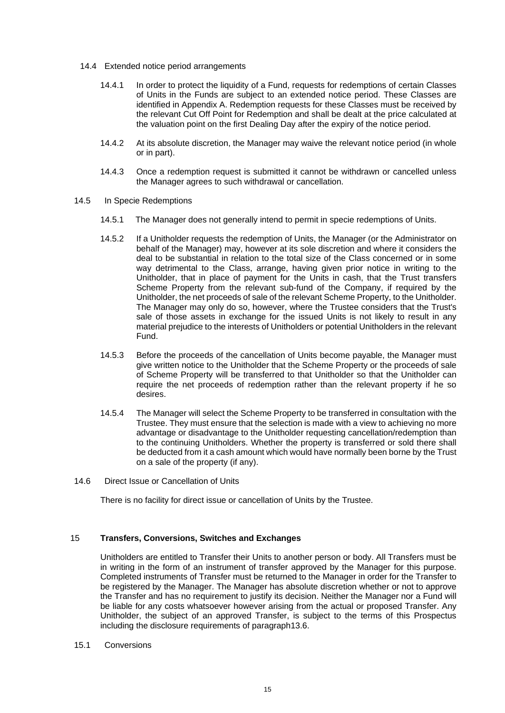- 14.4 Extended notice period arrangements
	- 14.4.1 In order to protect the liquidity of a Fund, requests for redemptions of certain Classes of Units in the Funds are subject to an extended notice period. These Classes are identified in Appendix A. Redemption requests for these Classes must be received by the relevant Cut Off Point for Redemption and shall be dealt at the price calculated at the valuation point on the first Dealing Day after the expiry of the notice period.
	- 14.4.2 At its absolute discretion, the Manager may waive the relevant notice period (in whole or in part).
	- 14.4.3 Once a redemption request is submitted it cannot be withdrawn or cancelled unless the Manager agrees to such withdrawal or cancellation.
- 14.5 In Specie Redemptions
	- 14.5.1 The Manager does not generally intend to permit in specie redemptions of Units.
	- 14.5.2 If a Unitholder requests the redemption of Units, the Manager (or the Administrator on behalf of the Manager) may, however at its sole discretion and where it considers the deal to be substantial in relation to the total size of the Class concerned or in some way detrimental to the Class, arrange, having given prior notice in writing to the Unitholder, that in place of payment for the Units in cash, that the Trust transfers Scheme Property from the relevant sub-fund of the Company, if required by the Unitholder, the net proceeds of sale of the relevant Scheme Property, to the Unitholder. The Manager may only do so, however, where the Trustee considers that the Trust's sale of those assets in exchange for the issued Units is not likely to result in any material prejudice to the interests of Unitholders or potential Unitholders in the relevant Fund.
	- 14.5.3 Before the proceeds of the cancellation of Units become payable, the Manager must give written notice to the Unitholder that the Scheme Property or the proceeds of sale of Scheme Property will be transferred to that Unitholder so that the Unitholder can require the net proceeds of redemption rather than the relevant property if he so desires.
	- 14.5.4 The Manager will select the Scheme Property to be transferred in consultation with the Trustee. They must ensure that the selection is made with a view to achieving no more advantage or disadvantage to the Unitholder requesting cancellation/redemption than to the continuing Unitholders. Whether the property is transferred or sold there shall be deducted from it a cash amount which would have normally been borne by the Trust on a sale of the property (if any).
- 14.6 Direct Issue or Cancellation of Units

There is no facility for direct issue or cancellation of Units by the Trustee.

#### 15 **Transfers, Conversions, Switches and Exchanges**

<span id="page-17-0"></span>Unitholders are entitled to Transfer their Units to another person or body. All Transfers must be in writing in the form of an instrument of transfer approved by the Manager for this purpose. Completed instruments of Transfer must be returned to the Manager in order for the Transfer to be registered by the Manager. The Manager has absolute discretion whether or not to approve the Transfer and has no requirement to justify its decision. Neither the Manager nor a Fund will be liable for any costs whatsoever however arising from the actual or proposed Transfer. Any Unitholder, the subject of an approved Transfer, is subject to the terms of this Prospectus including the disclosure requirements of paragraph13.6.

15.1 Conversions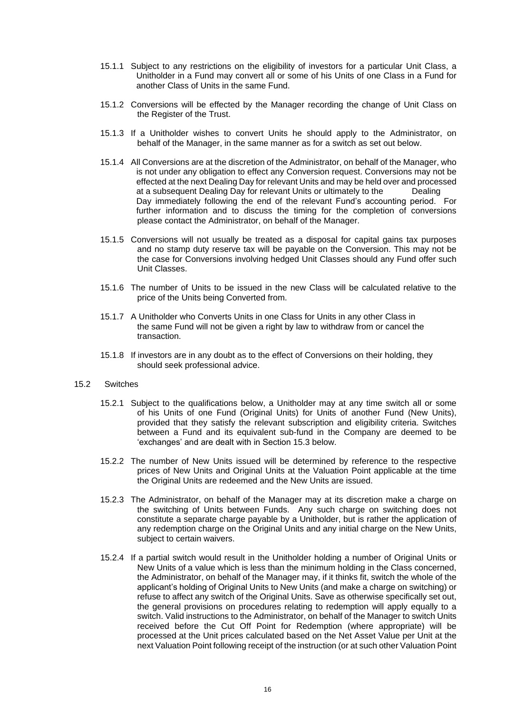- 15.1.1 Subject to any restrictions on the eligibility of investors for a particular Unit Class, a Unitholder in a Fund may convert all or some of his Units of one Class in a Fund for another Class of Units in the same Fund.
- 15.1.2 Conversions will be effected by the Manager recording the change of Unit Class on the Register of the Trust.
- 15.1.3 If a Unitholder wishes to convert Units he should apply to the Administrator, on behalf of the Manager, in the same manner as for a switch as set out below.
- 15.1.4 All Conversions are at the discretion of the Administrator, on behalf of the Manager, who is not under any obligation to effect any Conversion request. Conversions may not be effected at the next Dealing Day for relevant Units and may be held over and processed at a subsequent Dealing Day for relevant Units or ultimately to the Dealing Day immediately following the end of the relevant Fund's accounting period. For further information and to discuss the timing for the completion of conversions please contact the Administrator, on behalf of the Manager.
- 15.1.5 Conversions will not usually be treated as a disposal for capital gains tax purposes and no stamp duty reserve tax will be payable on the Conversion. This may not be the case for Conversions involving hedged Unit Classes should any Fund offer such Unit Classes.
- 15.1.6 The number of Units to be issued in the new Class will be calculated relative to the price of the Units being Converted from.
- 15.1.7 A Unitholder who Converts Units in one Class for Units in any other Class in the same Fund will not be given a right by law to withdraw from or cancel the transaction.
- 15.1.8 If investors are in any doubt as to the effect of Conversions on their holding, they should seek professional advice.
- 15.2 Switches
	- 15.2.1 Subject to the qualifications below, a Unitholder may at any time switch all or some of his Units of one Fund (Original Units) for Units of another Fund (New Units), provided that they satisfy the relevant subscription and eligibility criteria. Switches between a Fund and its equivalent sub-fund in the Company are deemed to be 'exchanges' and are dealt with in Section [15.3](#page-19-1) below.
	- 15.2.2 The number of New Units issued will be determined by reference to the respective prices of New Units and Original Units at the Valuation Point applicable at the time the Original Units are redeemed and the New Units are issued.
	- 15.2.3 The Administrator, on behalf of the Manager may at its discretion make a charge on the switching of Units between Funds. Any such charge on switching does not constitute a separate charge payable by a Unitholder, but is rather the application of any redemption charge on the Original Units and any initial charge on the New Units, subject to certain waivers.
	- 15.2.4 If a partial switch would result in the Unitholder holding a number of Original Units or New Units of a value which is less than the minimum holding in the Class concerned, the Administrator, on behalf of the Manager may, if it thinks fit, switch the whole of the applicant's holding of Original Units to New Units (and make a charge on switching) or refuse to affect any switch of the Original Units. Save as otherwise specifically set out, the general provisions on procedures relating to redemption will apply equally to a switch. Valid instructions to the Administrator, on behalf of the Manager to switch Units received before the Cut Off Point for Redemption (where appropriate) will be processed at the Unit prices calculated based on the Net Asset Value per Unit at the next Valuation Point following receipt of the instruction (or at such other Valuation Point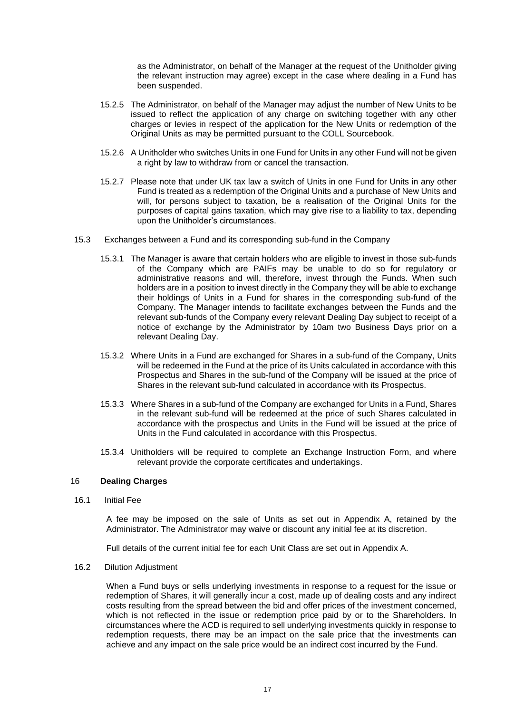as the Administrator, on behalf of the Manager at the request of the Unitholder giving the relevant instruction may agree) except in the case where dealing in a Fund has been suspended.

- 15.2.5 The Administrator, on behalf of the Manager may adjust the number of New Units to be issued to reflect the application of any charge on switching together with any other charges or levies in respect of the application for the New Units or redemption of the Original Units as may be permitted pursuant to the COLL Sourcebook.
- 15.2.6 A Unitholder who switches Units in one Fund for Units in any other Fund will not be given a right by law to withdraw from or cancel the transaction.
- 15.2.7 Please note that under UK tax law a switch of Units in one Fund for Units in any other Fund is treated as a redemption of the Original Units and a purchase of New Units and will, for persons subject to taxation, be a realisation of the Original Units for the purposes of capital gains taxation, which may give rise to a liability to tax, depending upon the Unitholder's circumstances.
- <span id="page-19-1"></span>15.3 Exchanges between a Fund and its corresponding sub-fund in the Company
	- 15.3.1 The Manager is aware that certain holders who are eligible to invest in those sub-funds of the Company which are PAIFs may be unable to do so for regulatory or administrative reasons and will, therefore, invest through the Funds. When such holders are in a position to invest directly in the Company they will be able to exchange their holdings of Units in a Fund for shares in the corresponding sub-fund of the Company. The Manager intends to facilitate exchanges between the Funds and the relevant sub-funds of the Company every relevant Dealing Day subject to receipt of a notice of exchange by the Administrator by 10am two Business Days prior on a relevant Dealing Day.
	- 15.3.2 Where Units in a Fund are exchanged for Shares in a sub-fund of the Company, Units will be redeemed in the Fund at the price of its Units calculated in accordance with this Prospectus and Shares in the sub-fund of the Company will be issued at the price of Shares in the relevant sub-fund calculated in accordance with its Prospectus.
	- 15.3.3 Where Shares in a sub-fund of the Company are exchanged for Units in a Fund, Shares in the relevant sub-fund will be redeemed at the price of such Shares calculated in accordance with the prospectus and Units in the Fund will be issued at the price of Units in the Fund calculated in accordance with this Prospectus.
	- 15.3.4 Unitholders will be required to complete an Exchange Instruction Form, and where relevant provide the corporate certificates and undertakings.

# <span id="page-19-0"></span>16 **Dealing Charges**

16.1 Initial Fee

A fee may be imposed on the sale of Units as set out in Appendix A, retained by the Administrator. The Administrator may waive or discount any initial fee at its discretion.

Full details of the current initial fee for each Unit Class are set out in Appendix A.

16.2 Dilution Adjustment

When a Fund buys or sells underlying investments in response to a request for the issue or redemption of Shares, it will generally incur a cost, made up of dealing costs and any indirect costs resulting from the spread between the bid and offer prices of the investment concerned, which is not reflected in the issue or redemption price paid by or to the Shareholders. In circumstances where the ACD is required to sell underlying investments quickly in response to redemption requests, there may be an impact on the sale price that the investments can achieve and any impact on the sale price would be an indirect cost incurred by the Fund.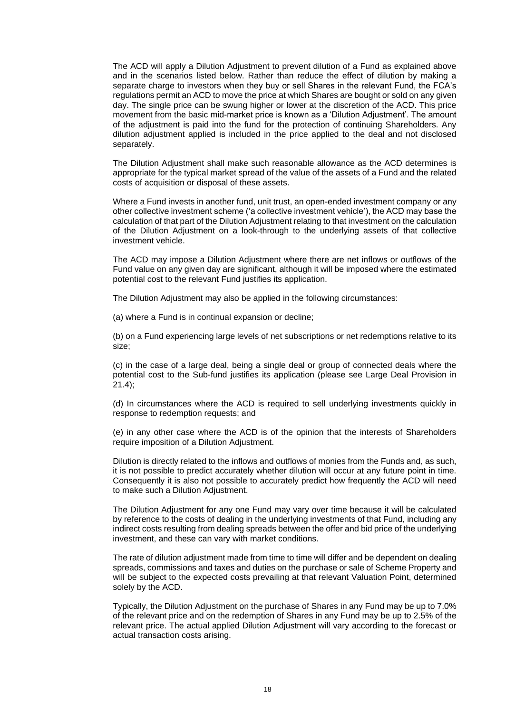The ACD will apply a Dilution Adjustment to prevent dilution of a Fund as explained above and in the scenarios listed below. Rather than reduce the effect of dilution by making a separate charge to investors when they buy or sell Shares in the relevant Fund, the FCA's regulations permit an ACD to move the price at which Shares are bought or sold on any given day. The single price can be swung higher or lower at the discretion of the ACD. This price movement from the basic mid-market price is known as a 'Dilution Adjustment'. The amount of the adjustment is paid into the fund for the protection of continuing Shareholders. Any dilution adjustment applied is included in the price applied to the deal and not disclosed separately.

The Dilution Adjustment shall make such reasonable allowance as the ACD determines is appropriate for the typical market spread of the value of the assets of a Fund and the related costs of acquisition or disposal of these assets.

Where a Fund invests in another fund, unit trust, an open-ended investment company or any other collective investment scheme ('a collective investment vehicle'), the ACD may base the calculation of that part of the Dilution Adjustment relating to that investment on the calculation of the Dilution Adjustment on a look-through to the underlying assets of that collective investment vehicle.

The ACD may impose a Dilution Adjustment where there are net inflows or outflows of the Fund value on any given day are significant, although it will be imposed where the estimated potential cost to the relevant Fund justifies its application.

The Dilution Adjustment may also be applied in the following circumstances:

(a) where a Fund is in continual expansion or decline;

(b) on a Fund experiencing large levels of net subscriptions or net redemptions relative to its size;

(c) in the case of a large deal, being a single deal or group of connected deals where the potential cost to the Sub-fund justifies its application (please see Large Deal Provision in 21.4);

(d) In circumstances where the ACD is required to sell underlying investments quickly in response to redemption requests; and

(e) in any other case where the ACD is of the opinion that the interests of Shareholders require imposition of a Dilution Adjustment.

Dilution is directly related to the inflows and outflows of monies from the Funds and, as such, it is not possible to predict accurately whether dilution will occur at any future point in time. Consequently it is also not possible to accurately predict how frequently the ACD will need to make such a Dilution Adjustment.

The Dilution Adjustment for any one Fund may vary over time because it will be calculated by reference to the costs of dealing in the underlying investments of that Fund, including any indirect costs resulting from dealing spreads between the offer and bid price of the underlying investment, and these can vary with market conditions.

The rate of dilution adjustment made from time to time will differ and be dependent on dealing spreads, commissions and taxes and duties on the purchase or sale of Scheme Property and will be subject to the expected costs prevailing at that relevant Valuation Point, determined solely by the ACD.

Typically, the Dilution Adjustment on the purchase of Shares in any Fund may be up to 7.0% of the relevant price and on the redemption of Shares in any Fund may be up to 2.5% of the relevant price. The actual applied Dilution Adjustment will vary according to the forecast or actual transaction costs arising.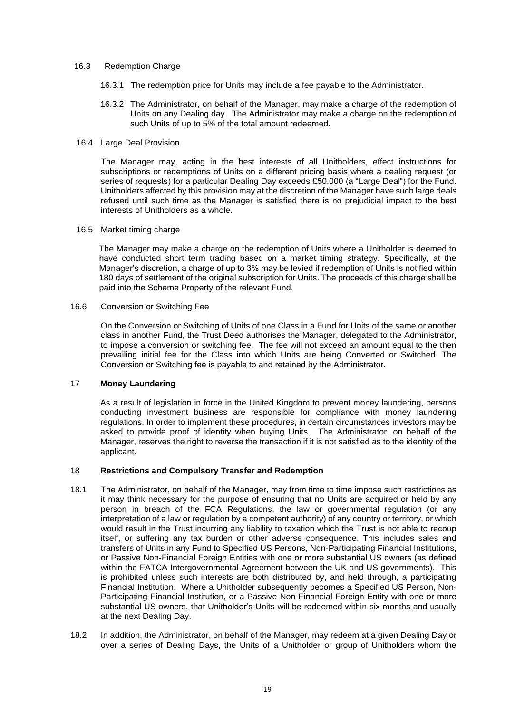## 16.3 Redemption Charge

- 16.3.1 The redemption price for Units may include a fee payable to the Administrator.
- 16.3.2 The Administrator, on behalf of the Manager, may make a charge of the redemption of Units on any Dealing day. The Administrator may make a charge on the redemption of such Units of up to 5% of the total amount redeemed.
- 16.4 Large Deal Provision

The Manager may, acting in the best interests of all Unitholders, effect instructions for subscriptions or redemptions of Units on a different pricing basis where a dealing request (or series of requests) for a particular Dealing Day exceeds £50,000 (a "Large Deal") for the Fund. Unitholders affected by this provision may at the discretion of the Manager have such large deals refused until such time as the Manager is satisfied there is no prejudicial impact to the best interests of Unitholders as a whole.

16.5 Market timing charge

The Manager may make a charge on the redemption of Units where a Unitholder is deemed to have conducted short term trading based on a market timing strategy. Specifically, at the Manager's discretion, a charge of up to 3% may be levied if redemption of Units is notified within 180 days of settlement of the original subscription for Units. The proceeds of this charge shall be paid into the Scheme Property of the relevant Fund.

16.6 Conversion or Switching Fee

On the Conversion or Switching of Units of one Class in a Fund for Units of the same or another class in another Fund, the Trust Deed authorises the Manager, delegated to the Administrator, to impose a conversion or switching fee. The fee will not exceed an amount equal to the then prevailing initial fee for the Class into which Units are being Converted or Switched. The Conversion or Switching fee is payable to and retained by the Administrator.

# <span id="page-21-2"></span>17 **Money Laundering**

<span id="page-21-0"></span>As a result of legislation in force in the United Kingdom to prevent money laundering, persons conducting investment business are responsible for compliance with money laundering regulations. In order to implement these procedures, in certain circumstances investors may be asked to provide proof of identity when buying Units. The Administrator, on behalf of the Manager, reserves the right to reverse the transaction if it is not satisfied as to the identity of the applicant.

# <span id="page-21-1"></span>18 **Restrictions and Compulsory Transfer and Redemption**

- 18.1 The Administrator, on behalf of the Manager, may from time to time impose such restrictions as it may think necessary for the purpose of ensuring that no Units are acquired or held by any person in breach of the FCA Regulations, the law or governmental regulation (or any interpretation of a law or regulation by a competent authority) of any country or territory, or which would result in the Trust incurring any liability to taxation which the Trust is not able to recoup itself, or suffering any tax burden or other adverse consequence. This includes sales and transfers of Units in any Fund to Specified US Persons, Non-Participating Financial Institutions, or Passive Non-Financial Foreign Entities with one or more substantial US owners (as defined within the FATCA Intergovernmental Agreement between the UK and US governments). This is prohibited unless such interests are both distributed by, and held through, a participating Financial Institution. Where a Unitholder subsequently becomes a Specified US Person, Non-Participating Financial Institution, or a Passive Non-Financial Foreign Entity with one or more substantial US owners, that Unitholder's Units will be redeemed within six months and usually at the next Dealing Day.
- 18.2 In addition, the Administrator, on behalf of the Manager, may redeem at a given Dealing Day or over a series of Dealing Days, the Units of a Unitholder or group of Unitholders whom the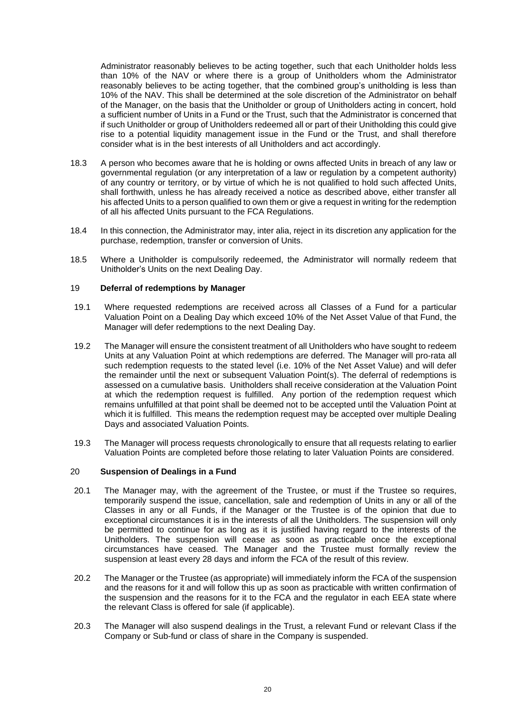Administrator reasonably believes to be acting together, such that each Unitholder holds less than 10% of the NAV or where there is a group of Unitholders whom the Administrator reasonably believes to be acting together, that the combined group's unitholding is less than 10% of the NAV. This shall be determined at the sole discretion of the Administrator on behalf of the Manager, on the basis that the Unitholder or group of Unitholders acting in concert, hold a sufficient number of Units in a Fund or the Trust, such that the Administrator is concerned that if such Unitholder or group of Unitholders redeemed all or part of their Unitholding this could give rise to a potential liquidity management issue in the Fund or the Trust, and shall therefore consider what is in the best interests of all Unitholders and act accordingly.

- 18.3 A person who becomes aware that he is holding or owns affected Units in breach of any law or governmental regulation (or any interpretation of a law or regulation by a competent authority) of any country or territory, or by virtue of which he is not qualified to hold such affected Units, shall forthwith, unless he has already received a notice as described above, either transfer all his affected Units to a person qualified to own them or give a request in writing for the redemption of all his affected Units pursuant to the FCA Regulations.
- 18.4 In this connection, the Administrator may, inter alia, reject in its discretion any application for the purchase, redemption, transfer or conversion of Units.
- 18.5 Where a Unitholder is compulsorily redeemed, the Administrator will normally redeem that Unitholder's Units on the next Dealing Day.

## <span id="page-22-0"></span>19 **Deferral of redemptions by Manager**

- 19.1 Where requested redemptions are received across all Classes of a Fund for a particular Valuation Point on a Dealing Day which exceed 10% of the Net Asset Value of that Fund, the Manager will defer redemptions to the next Dealing Day.
- 19.2 The Manager will ensure the consistent treatment of all Unitholders who have sought to redeem Units at any Valuation Point at which redemptions are deferred. The Manager will pro-rata all such redemption requests to the stated level (i.e. 10% of the Net Asset Value) and will defer the remainder until the next or subsequent Valuation Point(s). The deferral of redemptions is assessed on a cumulative basis. Unitholders shall receive consideration at the Valuation Point at which the redemption request is fulfilled. Any portion of the redemption request which remains unfulfilled at that point shall be deemed not to be accepted until the Valuation Point at which it is fulfilled. This means the redemption request may be accepted over multiple Dealing Days and associated Valuation Points.
- 19.3 The Manager will process requests chronologically to ensure that all requests relating to earlier Valuation Points are completed before those relating to later Valuation Points are considered.

## <span id="page-22-1"></span>20 **Suspension of Dealings in a Fund**

- 20.1 The Manager may, with the agreement of the Trustee, or must if the Trustee so requires, temporarily suspend the issue, cancellation, sale and redemption of Units in any or all of the Classes in any or all Funds, if the Manager or the Trustee is of the opinion that due to exceptional circumstances it is in the interests of all the Unitholders. The suspension will only be permitted to continue for as long as it is justified having regard to the interests of the Unitholders. The suspension will cease as soon as practicable once the exceptional circumstances have ceased. The Manager and the Trustee must formally review the suspension at least every 28 days and inform the FCA of the result of this review.
- 20.2 The Manager or the Trustee (as appropriate) will immediately inform the FCA of the suspension and the reasons for it and will follow this up as soon as practicable with written confirmation of the suspension and the reasons for it to the FCA and the regulator in each EEA state where the relevant Class is offered for sale (if applicable).
- 20.3 The Manager will also suspend dealings in the Trust, a relevant Fund or relevant Class if the Company or Sub-fund or class of share in the Company is suspended.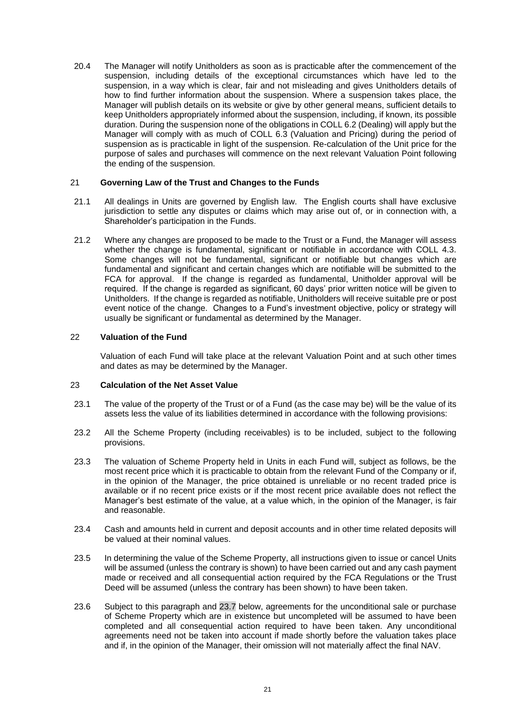20.4 The Manager will notify Unitholders as soon as is practicable after the commencement of the suspension, including details of the exceptional circumstances which have led to the suspension, in a way which is clear, fair and not misleading and gives Unitholders details of how to find further information about the suspension. Where a suspension takes place, the Manager will publish details on its website or give by other general means, sufficient details to keep Unitholders appropriately informed about the suspension, including, if known, its possible duration. During the suspension none of the obligations in COLL 6.2 (Dealing) will apply but the Manager will comply with as much of COLL 6.3 (Valuation and Pricing) during the period of suspension as is practicable in light of the suspension. Re-calculation of the Unit price for the purpose of sales and purchases will commence on the next relevant Valuation Point following the ending of the suspension.

# <span id="page-23-0"></span>21 **Governing Law of the Trust and Changes to the Funds**

- 21.1 All dealings in Units are governed by English law. The English courts shall have exclusive jurisdiction to settle any disputes or claims which may arise out of, or in connection with, a Shareholder's participation in the Funds.
- 21.2 Where any changes are proposed to be made to the Trust or a Fund, the Manager will assess whether the change is fundamental, significant or notifiable in accordance with COLL 4.3. Some changes will not be fundamental, significant or notifiable but changes which are fundamental and significant and certain changes which are notifiable will be submitted to the FCA for approval. If the change is regarded as fundamental, Unitholder approval will be required. If the change is regarded as significant, 60 days' prior written notice will be given to Unitholders. If the change is regarded as notifiable, Unitholders will receive suitable pre or post event notice of the change. Changes to a Fund's investment objective, policy or strategy will usually be significant or fundamental as determined by the Manager.

# 22 **Valuation of the Fund**

<span id="page-23-1"></span>Valuation of each Fund will take place at the relevant Valuation Point and at such other times and dates as may be determined by the Manager.

# <span id="page-23-2"></span>23 **Calculation of the Net Asset Value**

- 23.1 The value of the property of the Trust or of a Fund (as the case may be) will be the value of its assets less the value of its liabilities determined in accordance with the following provisions:
- 23.2 All the Scheme Property (including receivables) is to be included, subject to the following provisions.
- 23.3 The valuation of Scheme Property held in Units in each Fund will, subject as follows, be the most recent price which it is practicable to obtain from the relevant Fund of the Company or if, in the opinion of the Manager, the price obtained is unreliable or no recent traded price is available or if no recent price exists or if the most recent price available does not reflect the Manager's best estimate of the value, at a value which, in the opinion of the Manager, is fair and reasonable.
- 23.4 Cash and amounts held in current and deposit accounts and in other time related deposits will be valued at their nominal values.
- 23.5 In determining the value of the Scheme Property, all instructions given to issue or cancel Units will be assumed (unless the contrary is shown) to have been carried out and any cash payment made or received and all consequential action required by the FCA Regulations or the Trust Deed will be assumed (unless the contrary has been shown) to have been taken.
- <span id="page-23-3"></span>23.6 Subject to this paragraph and [23.7](#page-24-1) below, agreements for the unconditional sale or purchase of Scheme Property which are in existence but uncompleted will be assumed to have been completed and all consequential action required to have been taken. Any unconditional agreements need not be taken into account if made shortly before the valuation takes place and if, in the opinion of the Manager, their omission will not materially affect the final NAV.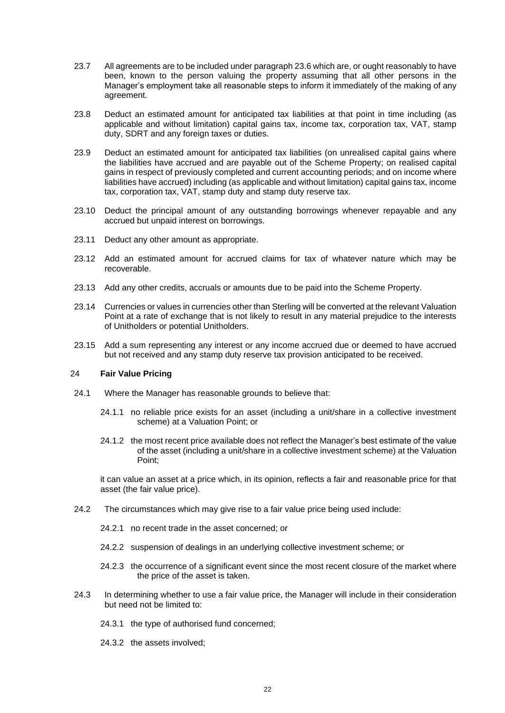- <span id="page-24-1"></span>23.7 All agreements are to be included under paragrap[h 23.6](#page-23-3) which are, or ought reasonably to have been, known to the person valuing the property assuming that all other persons in the Manager's employment take all reasonable steps to inform it immediately of the making of any agreement.
- 23.8 Deduct an estimated amount for anticipated tax liabilities at that point in time including (as applicable and without limitation) capital gains tax, income tax, corporation tax, VAT, stamp duty, SDRT and any foreign taxes or duties.
- 23.9 Deduct an estimated amount for anticipated tax liabilities (on unrealised capital gains where the liabilities have accrued and are payable out of the Scheme Property; on realised capital gains in respect of previously completed and current accounting periods; and on income where liabilities have accrued) including (as applicable and without limitation) capital gains tax, income tax, corporation tax, VAT, stamp duty and stamp duty reserve tax.
- 23.10 Deduct the principal amount of any outstanding borrowings whenever repayable and any accrued but unpaid interest on borrowings.
- 23.11 Deduct any other amount as appropriate.
- 23.12 Add an estimated amount for accrued claims for tax of whatever nature which may be recoverable.
- 23.13 Add any other credits, accruals or amounts due to be paid into the Scheme Property.
- 23.14 Currencies or values in currencies other than Sterling will be converted at the relevant Valuation Point at a rate of exchange that is not likely to result in any material prejudice to the interests of Unitholders or potential Unitholders.
- 23.15 Add a sum representing any interest or any income accrued due or deemed to have accrued but not received and any stamp duty reserve tax provision anticipated to be received.

## <span id="page-24-0"></span>24 **Fair Value Pricing**

- 24.1 Where the Manager has reasonable grounds to believe that:
	- 24.1.1 no reliable price exists for an asset (including a unit/share in a collective investment scheme) at a Valuation Point; or
	- 24.1.2 the most recent price available does not reflect the Manager's best estimate of the value of the asset (including a unit/share in a collective investment scheme) at the Valuation Point;

it can value an asset at a price which, in its opinion, reflects a fair and reasonable price for that asset (the fair value price).

- 24.2 The circumstances which may give rise to a fair value price being used include:
	- 24.2.1 no recent trade in the asset concerned; or
	- 24.2.2 suspension of dealings in an underlying collective investment scheme; or
	- 24.2.3 the occurrence of a significant event since the most recent closure of the market where the price of the asset is taken.
- 24.3 In determining whether to use a fair value price, the Manager will include in their consideration but need not be limited to:
	- 24.3.1 the type of authorised fund concerned;
	- 24.3.2 the assets involved;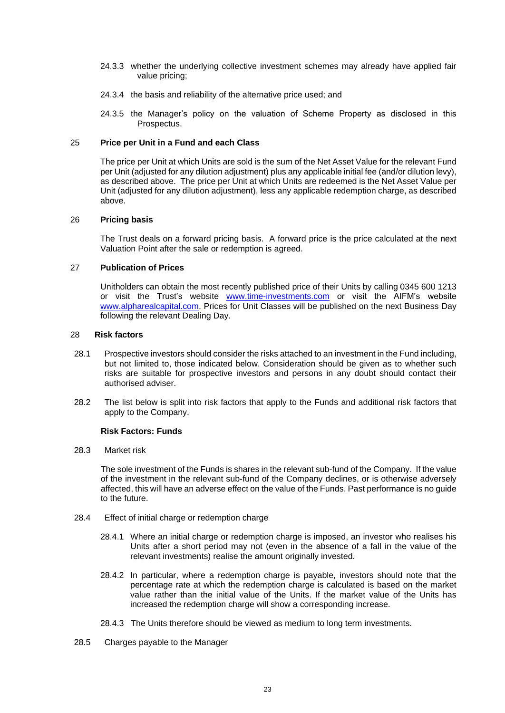- 24.3.3 whether the underlying collective investment schemes may already have applied fair value pricing;
- 24.3.4 the basis and reliability of the alternative price used; and
- 24.3.5 the Manager's policy on the valuation of Scheme Property as disclosed in this Prospectus.

# 25 **Price per Unit in a Fund and each Class**

<span id="page-25-0"></span>The price per Unit at which Units are sold is the sum of the Net Asset Value for the relevant Fund per Unit (adjusted for any dilution adjustment) plus any applicable initial fee (and/or dilution levy), as described above. The price per Unit at which Units are redeemed is the Net Asset Value per Unit (adjusted for any dilution adjustment), less any applicable redemption charge, as described above.

# <span id="page-25-1"></span>26 **Pricing basis**

The Trust deals on a forward pricing basis. A forward price is the price calculated at the next Valuation Point after the sale or redemption is agreed.

# 27 **Publication of Prices**

<span id="page-25-3"></span><span id="page-25-2"></span>Unitholders can obtain the most recently published price of their Units by calling 0345 600 1213 or visit the Trust's website [www.time-investments.com](http://www.time-investments.com/) or visit the AIFM's website [www.alpharealcapital.com.](http://www.alpharealcapital.com/) Prices for Unit Classes will be published on the next Business Day following the relevant Dealing Day.

# 28 **Risk factors**

- 28.1 Prospective investors should consider the risks attached to an investment in the Fund including, but not limited to, those indicated below. Consideration should be given as to whether such risks are suitable for prospective investors and persons in any doubt should contact their authorised adviser.
- 28.2 The list below is split into risk factors that apply to the Funds and additional risk factors that apply to the Company.

# **Risk Factors: Funds**

28.3 Market risk

The sole investment of the Funds is shares in the relevant sub-fund of the Company. If the value of the investment in the relevant sub-fund of the Company declines, or is otherwise adversely affected, this will have an adverse effect on the value of the Funds. Past performance is no guide to the future.

- 28.4 Effect of initial charge or redemption charge
	- 28.4.1 Where an initial charge or redemption charge is imposed, an investor who realises his Units after a short period may not (even in the absence of a fall in the value of the relevant investments) realise the amount originally invested.
	- 28.4.2 In particular, where a redemption charge is payable, investors should note that the percentage rate at which the redemption charge is calculated is based on the market value rather than the initial value of the Units. If the market value of the Units has increased the redemption charge will show a corresponding increase.
	- 28.4.3 The Units therefore should be viewed as medium to long term investments.
- 28.5 Charges payable to the Manager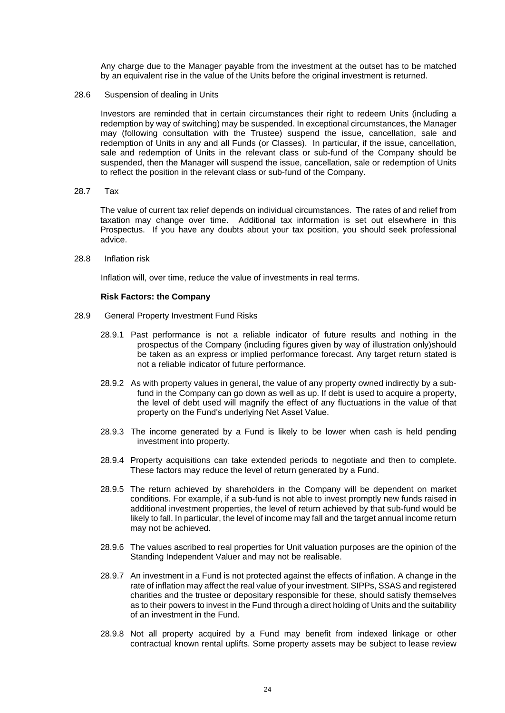Any charge due to the Manager payable from the investment at the outset has to be matched by an equivalent rise in the value of the Units before the original investment is returned.

28.6 Suspension of dealing in Units

Investors are reminded that in certain circumstances their right to redeem Units (including a redemption by way of switching) may be suspended. In exceptional circumstances, the Manager may (following consultation with the Trustee) suspend the issue, cancellation, sale and redemption of Units in any and all Funds (or Classes). In particular, if the issue, cancellation, sale and redemption of Units in the relevant class or sub-fund of the Company should be suspended, then the Manager will suspend the issue, cancellation, sale or redemption of Units to reflect the position in the relevant class or sub-fund of the Company.

28.7 Tax

The value of current tax relief depends on individual circumstances. The rates of and relief from taxation may change over time. Additional tax information is set out elsewhere in this Prospectus. If you have any doubts about your tax position, you should seek professional advice.

28.8 Inflation risk

Inflation will, over time, reduce the value of investments in real terms.

#### **Risk Factors: the Company**

- 28.9 General Property Investment Fund Risks
	- 28.9.1 Past performance is not a reliable indicator of future results and nothing in the prospectus of the Company (including figures given by way of illustration only)should be taken as an express or implied performance forecast. Any target return stated is not a reliable indicator of future performance.
	- 28.9.2 As with property values in general, the value of any property owned indirectly by a subfund in the Company can go down as well as up. If debt is used to acquire a property, the level of debt used will magnify the effect of any fluctuations in the value of that property on the Fund's underlying Net Asset Value.
	- 28.9.3 The income generated by a Fund is likely to be lower when cash is held pending investment into property.
	- 28.9.4 Property acquisitions can take extended periods to negotiate and then to complete. These factors may reduce the level of return generated by a Fund.
	- 28.9.5 The return achieved by shareholders in the Company will be dependent on market conditions. For example, if a sub-fund is not able to invest promptly new funds raised in additional investment properties, the level of return achieved by that sub-fund would be likely to fall. In particular, the level of income may fall and the target annual income return may not be achieved.
	- 28.9.6 The values ascribed to real properties for Unit valuation purposes are the opinion of the Standing Independent Valuer and may not be realisable.
	- 28.9.7 An investment in a Fund is not protected against the effects of inflation. A change in the rate of inflation may affect the real value of your investment. SIPPs, SSAS and registered charities and the trustee or depositary responsible for these, should satisfy themselves as to their powers to invest in the Fund through a direct holding of Units and the suitability of an investment in the Fund.
	- 28.9.8 Not all property acquired by a Fund may benefit from indexed linkage or other contractual known rental uplifts. Some property assets may be subject to lease review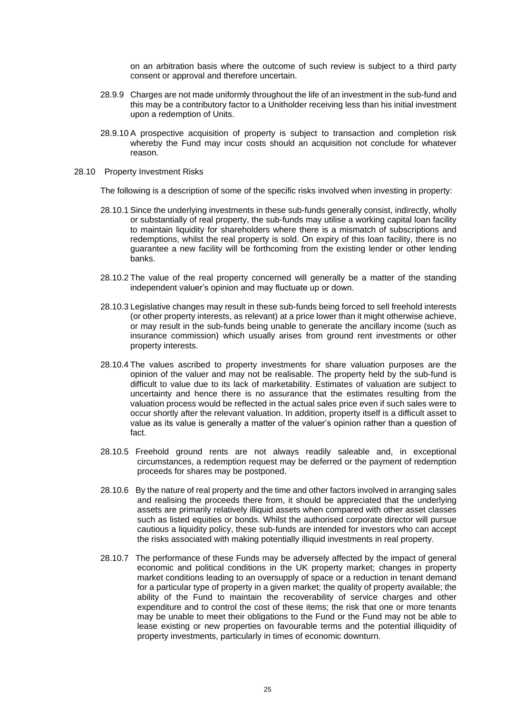on an arbitration basis where the outcome of such review is subject to a third party consent or approval and therefore uncertain.

- 28.9.9 Charges are not made uniformly throughout the life of an investment in the sub-fund and this may be a contributory factor to a Unitholder receiving less than his initial investment upon a redemption of Units.
- 28.9.10 A prospective acquisition of property is subject to transaction and completion risk whereby the Fund may incur costs should an acquisition not conclude for whatever reason.
- 28.10 Property Investment Risks

The following is a description of some of the specific risks involved when investing in property:

- 28.10.1 Since the underlying investments in these sub-funds generally consist, indirectly, wholly or substantially of real property, the sub-funds may utilise a working capital loan facility to maintain liquidity for shareholders where there is a mismatch of subscriptions and redemptions, whilst the real property is sold. On expiry of this loan facility, there is no guarantee a new facility will be forthcoming from the existing lender or other lending banks.
- 28.10.2 The value of the real property concerned will generally be a matter of the standing independent valuer's opinion and may fluctuate up or down.
- 28.10.3 Legislative changes may result in these sub-funds being forced to sell freehold interests (or other property interests, as relevant) at a price lower than it might otherwise achieve, or may result in the sub-funds being unable to generate the ancillary income (such as insurance commission) which usually arises from ground rent investments or other property interests.
- 28.10.4 The values ascribed to property investments for share valuation purposes are the opinion of the valuer and may not be realisable. The property held by the sub-fund is difficult to value due to its lack of marketability. Estimates of valuation are subject to uncertainty and hence there is no assurance that the estimates resulting from the valuation process would be reflected in the actual sales price even if such sales were to occur shortly after the relevant valuation. In addition, property itself is a difficult asset to value as its value is generally a matter of the valuer's opinion rather than a question of fact.
- 28.10.5 Freehold ground rents are not always readily saleable and, in exceptional circumstances, a redemption request may be deferred or the payment of redemption proceeds for shares may be postponed.
- 28.10.6 By the nature of real property and the time and other factors involved in arranging sales and realising the proceeds there from, it should be appreciated that the underlying assets are primarily relatively illiquid assets when compared with other asset classes such as listed equities or bonds. Whilst the authorised corporate director will pursue cautious a liquidity policy, these sub-funds are intended for investors who can accept the risks associated with making potentially illiquid investments in real property.
- 28.10.7 The performance of these Funds may be adversely affected by the impact of general economic and political conditions in the UK property market; changes in property market conditions leading to an oversupply of space or a reduction in tenant demand for a particular type of property in a given market; the quality of property available; the ability of the Fund to maintain the recoverability of service charges and other expenditure and to control the cost of these items; the risk that one or more tenants may be unable to meet their obligations to the Fund or the Fund may not be able to lease existing or new properties on favourable terms and the potential illiquidity of property investments, particularly in times of economic downturn.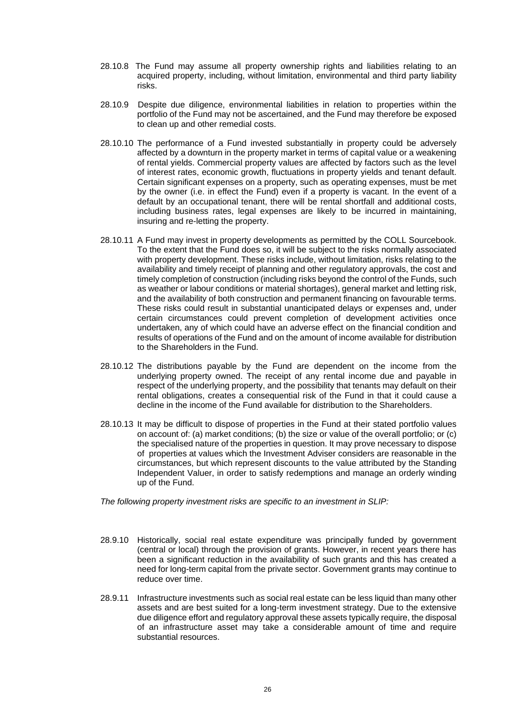- 28.10.8 The Fund may assume all property ownership rights and liabilities relating to an acquired property, including, without limitation, environmental and third party liability risks.
- 28.10.9 Despite due diligence, environmental liabilities in relation to properties within the portfolio of the Fund may not be ascertained, and the Fund may therefore be exposed to clean up and other remedial costs.
- 28.10.10 The performance of a Fund invested substantially in property could be adversely affected by a downturn in the property market in terms of capital value or a weakening of rental yields. Commercial property values are affected by factors such as the level of interest rates, economic growth, fluctuations in property yields and tenant default. Certain significant expenses on a property, such as operating expenses, must be met by the owner (i.e. in effect the Fund) even if a property is vacant. In the event of a default by an occupational tenant, there will be rental shortfall and additional costs, including business rates, legal expenses are likely to be incurred in maintaining, insuring and re-letting the property.
- 28.10.11 A Fund may invest in property developments as permitted by the COLL Sourcebook. To the extent that the Fund does so, it will be subject to the risks normally associated with property development. These risks include, without limitation, risks relating to the availability and timely receipt of planning and other regulatory approvals, the cost and timely completion of construction (including risks beyond the control of the Funds, such as weather or labour conditions or material shortages), general market and letting risk, and the availability of both construction and permanent financing on favourable terms. These risks could result in substantial unanticipated delays or expenses and, under certain circumstances could prevent completion of development activities once undertaken, any of which could have an adverse effect on the financial condition and results of operations of the Fund and on the amount of income available for distribution to the Shareholders in the Fund.
- 28.10.12 The distributions payable by the Fund are dependent on the income from the underlying property owned. The receipt of any rental income due and payable in respect of the underlying property, and the possibility that tenants may default on their rental obligations, creates a consequential risk of the Fund in that it could cause a decline in the income of the Fund available for distribution to the Shareholders.
- 28.10.13 It may be difficult to dispose of properties in the Fund at their stated portfolio values on account of: (a) market conditions; (b) the size or value of the overall portfolio; or (c) the specialised nature of the properties in question. It may prove necessary to dispose of properties at values which the Investment Adviser considers are reasonable in the circumstances, but which represent discounts to the value attributed by the Standing Independent Valuer, in order to satisfy redemptions and manage an orderly winding up of the Fund.

*The following property investment risks are specific to an investment in SLIP:*

- 28.9.10 Historically, social real estate expenditure was principally funded by government (central or local) through the provision of grants. However, in recent years there has been a significant reduction in the availability of such grants and this has created a need for long-term capital from the private sector. Government grants may continue to reduce over time.
- 28.9.11 Infrastructure investments such as social real estate can be less liquid than many other assets and are best suited for a long-term investment strategy. Due to the extensive due diligence effort and regulatory approval these assets typically require, the disposal of an infrastructure asset may take a considerable amount of time and require substantial resources.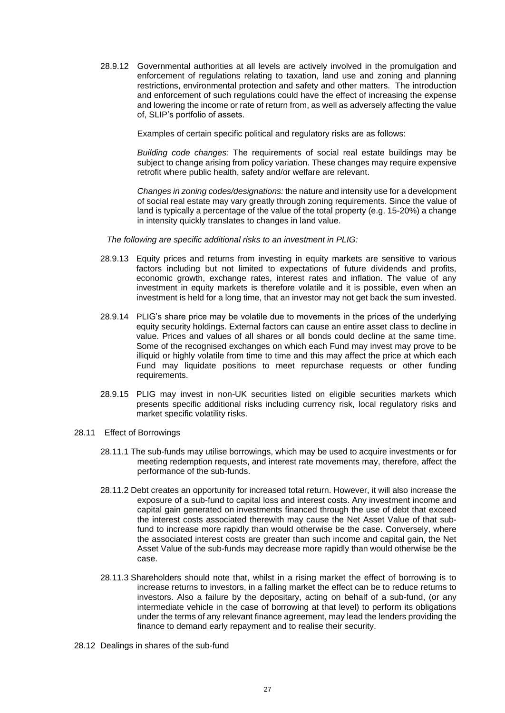28.9.12 Governmental authorities at all levels are actively involved in the promulgation and enforcement of regulations relating to taxation, land use and zoning and planning restrictions, environmental protection and safety and other matters. The introduction and enforcement of such regulations could have the effect of increasing the expense and lowering the income or rate of return from, as well as adversely affecting the value of, SLIP's portfolio of assets.

Examples of certain specific political and regulatory risks are as follows:

*Building code changes:* The requirements of social real estate buildings may be subject to change arising from policy variation. These changes may require expensive retrofit where public health, safety and/or welfare are relevant.

*Changes in zoning codes/designations:* the nature and intensity use for a development of social real estate may vary greatly through zoning requirements. Since the value of land is typically a percentage of the value of the total property (e.g. 15-20%) a change in intensity quickly translates to changes in land value.

*The following are specific additional risks to an investment in PLIG:*

- 28.9.13 Equity prices and returns from investing in equity markets are sensitive to various factors including but not limited to expectations of future dividends and profits, economic growth, exchange rates, interest rates and inflation. The value of any investment in equity markets is therefore volatile and it is possible, even when an investment is held for a long time, that an investor may not get back the sum invested.
- 28.9.14 PLIG's share price may be volatile due to movements in the prices of the underlying equity security holdings. External factors can cause an entire asset class to decline in value. Prices and values of all shares or all bonds could decline at the same time. Some of the recognised exchanges on which each Fund may invest may prove to be illiquid or highly volatile from time to time and this may affect the price at which each Fund may liquidate positions to meet repurchase requests or other funding requirements.
- 28.9.15 PLIG may invest in non-UK securities listed on eligible securities markets which presents specific additional risks including currency risk, local regulatory risks and market specific volatility risks.
- 28.11 Effect of Borrowings
	- 28.11.1 The sub-funds may utilise borrowings, which may be used to acquire investments or for meeting redemption requests, and interest rate movements may, therefore, affect the performance of the sub-funds.
	- 28.11.2 Debt creates an opportunity for increased total return. However, it will also increase the exposure of a sub-fund to capital loss and interest costs. Any investment income and capital gain generated on investments financed through the use of debt that exceed the interest costs associated therewith may cause the Net Asset Value of that subfund to increase more rapidly than would otherwise be the case. Conversely, where the associated interest costs are greater than such income and capital gain, the Net Asset Value of the sub-funds may decrease more rapidly than would otherwise be the case.
	- 28.11.3 Shareholders should note that, whilst in a rising market the effect of borrowing is to increase returns to investors, in a falling market the effect can be to reduce returns to investors. Also a failure by the depositary, acting on behalf of a sub-fund, (or any intermediate vehicle in the case of borrowing at that level) to perform its obligations under the terms of any relevant finance agreement, may lead the lenders providing the finance to demand early repayment and to realise their security.
- 28.12 Dealings in shares of the sub-fund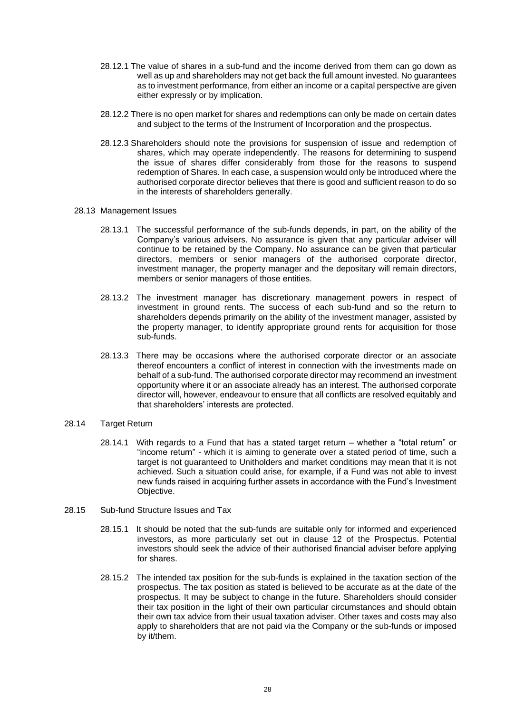- 28.12.1 The value of shares in a sub-fund and the income derived from them can go down as well as up and shareholders may not get back the full amount invested. No guarantees as to investment performance, from either an income or a capital perspective are given either expressly or by implication.
- 28.12.2 There is no open market for shares and redemptions can only be made on certain dates and subject to the terms of the Instrument of Incorporation and the prospectus.
- 28.12.3 Shareholders should note the provisions for suspension of issue and redemption of shares, which may operate independently. The reasons for determining to suspend the issue of shares differ considerably from those for the reasons to suspend redemption of Shares. In each case, a suspension would only be introduced where the authorised corporate director believes that there is good and sufficient reason to do so in the interests of shareholders generally.

## 28.13 Management Issues

- 28.13.1 The successful performance of the sub-funds depends, in part, on the ability of the Company's various advisers. No assurance is given that any particular adviser will continue to be retained by the Company. No assurance can be given that particular directors, members or senior managers of the authorised corporate director, investment manager, the property manager and the depositary will remain directors, members or senior managers of those entities.
- 28.13.2 The investment manager has discretionary management powers in respect of investment in ground rents. The success of each sub-fund and so the return to shareholders depends primarily on the ability of the investment manager, assisted by the property manager, to identify appropriate ground rents for acquisition for those sub-funds.
- 28.13.3 There may be occasions where the authorised corporate director or an associate thereof encounters a conflict of interest in connection with the investments made on behalf of a sub-fund. The authorised corporate director may recommend an investment opportunity where it or an associate already has an interest. The authorised corporate director will, however, endeavour to ensure that all conflicts are resolved equitably and that shareholders' interests are protected.

# 28.14 Target Return

- 28.14.1 With regards to a Fund that has a stated target return whether a "total return" or "income return" - which it is aiming to generate over a stated period of time, such a target is not guaranteed to Unitholders and market conditions may mean that it is not achieved. Such a situation could arise, for example, if a Fund was not able to invest new funds raised in acquiring further assets in accordance with the Fund's Investment Objective.
- 28.15 Sub-fund Structure Issues and Tax
	- 28.15.1 It should be noted that the sub-funds are suitable only for informed and experienced investors, as more particularly set out in clause 12 of the Prospectus. Potential investors should seek the advice of their authorised financial adviser before applying for shares.
	- 28.15.2 The intended tax position for the sub-funds is explained in the taxation section of the prospectus. The tax position as stated is believed to be accurate as at the date of the prospectus. It may be subject to change in the future. Shareholders should consider their tax position in the light of their own particular circumstances and should obtain their own tax advice from their usual taxation adviser. Other taxes and costs may also apply to shareholders that are not paid via the Company or the sub-funds or imposed by it/them.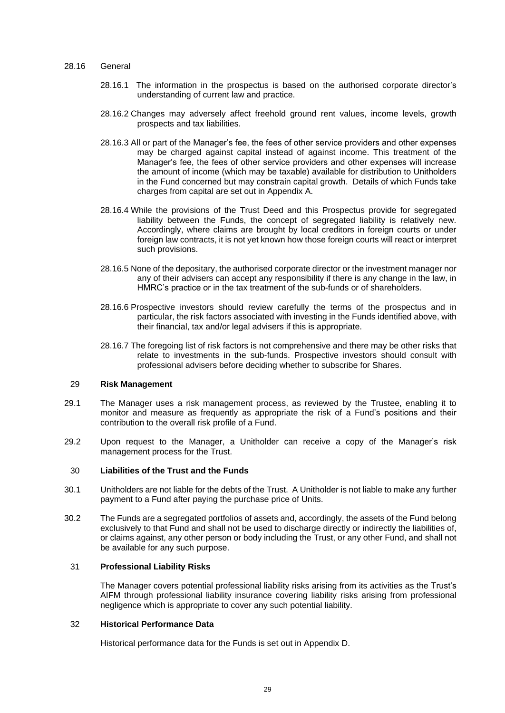#### 28.16 General

- 28.16.1 The information in the prospectus is based on the authorised corporate director's understanding of current law and practice.
- 28.16.2 Changes may adversely affect freehold ground rent values, income levels, growth prospects and tax liabilities.
- 28.16.3 All or part of the Manager's fee, the fees of other service providers and other expenses may be charged against capital instead of against income. This treatment of the Manager's fee, the fees of other service providers and other expenses will increase the amount of income (which may be taxable) available for distribution to Unitholders in the Fund concerned but may constrain capital growth. Details of which Funds take charges from capital are set out in Appendix A.
- 28.16.4 While the provisions of the Trust Deed and this Prospectus provide for segregated liability between the Funds, the concept of segregated liability is relatively new. Accordingly, where claims are brought by local creditors in foreign courts or under foreign law contracts, it is not yet known how those foreign courts will react or interpret such provisions.
- 28.16.5 None of the depositary, the authorised corporate director or the investment manager nor any of their advisers can accept any responsibility if there is any change in the law, in HMRC's practice or in the tax treatment of the sub-funds or of shareholders.
- 28.16.6 Prospective investors should review carefully the terms of the prospectus and in particular, the risk factors associated with investing in the Funds identified above, with their financial, tax and/or legal advisers if this is appropriate.
- 28.16.7 The foregoing list of risk factors is not comprehensive and there may be other risks that relate to investments in the sub-funds. Prospective investors should consult with professional advisers before deciding whether to subscribe for Shares.

## <span id="page-31-0"></span>29 **Risk Management**

- 29.1 The Manager uses a risk management process, as reviewed by the Trustee, enabling it to monitor and measure as frequently as appropriate the risk of a Fund's positions and their contribution to the overall risk profile of a Fund.
- 29.2 Upon request to the Manager, a Unitholder can receive a copy of the Manager's risk management process for the Trust.

## <span id="page-31-1"></span>30 **Liabilities of the Trust and the Funds**

- 30.1 Unitholders are not liable for the debts of the Trust. A Unitholder is not liable to make any further payment to a Fund after paying the purchase price of Units.
- 30.2 The Funds are a segregated portfolios of assets and, accordingly, the assets of the Fund belong exclusively to that Fund and shall not be used to discharge directly or indirectly the liabilities of, or claims against, any other person or body including the Trust, or any other Fund, and shall not be available for any such purpose.

## 31 **Professional Liability Risks**

<span id="page-31-2"></span>The Manager covers potential professional liability risks arising from its activities as the Trust's AIFM through professional liability insurance covering liability risks arising from professional negligence which is appropriate to cover any such potential liability.

## 32 **Historical Performance Data**

<span id="page-31-3"></span>Historical performance data for the Funds is set out in Appendix D.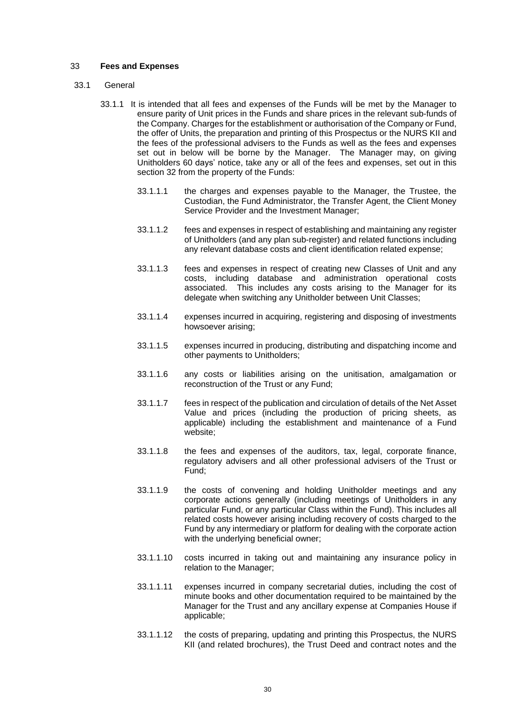## <span id="page-32-0"></span>33 **Fees and Expenses**

#### 33.1 General

- <span id="page-32-1"></span>33.1.1 It is intended that all fees and expenses of the Funds will be met by the Manager to ensure parity of Unit prices in the Funds and share prices in the relevant sub-funds of the Company. Charges for the establishment or authorisation of the Company or Fund, the offer of Units, the preparation and printing of this Prospectus or the NURS KII and the fees of the professional advisers to the Funds as well as the fees and expenses set out in below will be borne by the Manager. The Manager may, on giving Unitholders 60 days' notice, take any or all of the fees and expenses, set out in this section 32 from the property of the Funds:
	- 33.1.1.1 the charges and expenses payable to the Manager, the Trustee, the Custodian, the Fund Administrator, the Transfer Agent, the Client Money Service Provider and the Investment Manager;
	- 33.1.1.2 fees and expenses in respect of establishing and maintaining any register of Unitholders (and any plan sub-register) and related functions including any relevant database costs and client identification related expense;
	- 33.1.1.3 fees and expenses in respect of creating new Classes of Unit and any costs, including database and administration operational costs associated. This includes any costs arising to the Manager for its delegate when switching any Unitholder between Unit Classes;
	- 33.1.1.4 expenses incurred in acquiring, registering and disposing of investments howsoever arising;
	- 33.1.1.5 expenses incurred in producing, distributing and dispatching income and other payments to Unitholders;
	- 33.1.1.6 any costs or liabilities arising on the unitisation, amalgamation or reconstruction of the Trust or any Fund;
	- 33.1.1.7 fees in respect of the publication and circulation of details of the Net Asset Value and prices (including the production of pricing sheets, as applicable) including the establishment and maintenance of a Fund website;
	- 33.1.1.8 the fees and expenses of the auditors, tax, legal, corporate finance, regulatory advisers and all other professional advisers of the Trust or Fund;
	- 33.1.1.9 the costs of convening and holding Unitholder meetings and any corporate actions generally (including meetings of Unitholders in any particular Fund, or any particular Class within the Fund). This includes all related costs however arising including recovery of costs charged to the Fund by any intermediary or platform for dealing with the corporate action with the underlying beneficial owner;
	- 33.1.1.10 costs incurred in taking out and maintaining any insurance policy in relation to the Manager;
	- 33.1.1.11 expenses incurred in company secretarial duties, including the cost of minute books and other documentation required to be maintained by the Manager for the Trust and any ancillary expense at Companies House if applicable;
	- 33.1.1.12 the costs of preparing, updating and printing this Prospectus, the NURS KII (and related brochures), the Trust Deed and contract notes and the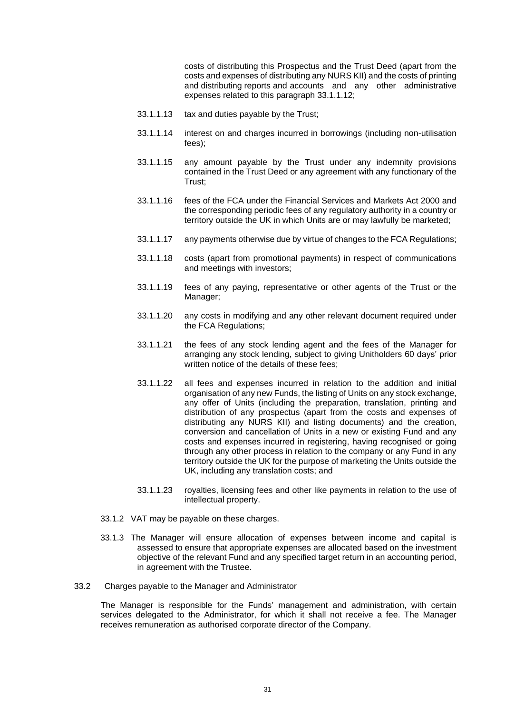costs of distributing this Prospectus and the Trust Deed (apart from the costs and expenses of distributing any NURS KII) and the costs of printing and distributing reports and accounts and any other administrative expenses related to this paragraph [33.1.1.12;](#page-32-1)

- 33.1.1.13 tax and duties payable by the Trust;
- 33.1.1.14 interest on and charges incurred in borrowings (including non-utilisation fees);
- 33.1.1.15 any amount payable by the Trust under any indemnity provisions contained in the Trust Deed or any agreement with any functionary of the Trust;
- 33.1.1.16 fees of the FCA under the Financial Services and Markets Act 2000 and the corresponding periodic fees of any regulatory authority in a country or territory outside the UK in which Units are or may lawfully be marketed;
- 33.1.1.17 any payments otherwise due by virtue of changes to the FCA Regulations;
- 33.1.1.18 costs (apart from promotional payments) in respect of communications and meetings with investors;
- 33.1.1.19 fees of any paying, representative or other agents of the Trust or the Manager;
- 33.1.1.20 any costs in modifying and any other relevant document required under the FCA Regulations;
- 33.1.1.21 the fees of any stock lending agent and the fees of the Manager for arranging any stock lending, subject to giving Unitholders 60 days' prior written notice of the details of these fees;
- 33.1.1.22 all fees and expenses incurred in relation to the addition and initial organisation of any new Funds, the listing of Units on any stock exchange, any offer of Units (including the preparation, translation, printing and distribution of any prospectus (apart from the costs and expenses of distributing any NURS KII) and listing documents) and the creation, conversion and cancellation of Units in a new or existing Fund and any costs and expenses incurred in registering, having recognised or going through any other process in relation to the company or any Fund in any territory outside the UK for the purpose of marketing the Units outside the UK, including any translation costs; and
- 33.1.1.23 royalties, licensing fees and other like payments in relation to the use of intellectual property.
- 33.1.2 VAT may be payable on these charges.
- 33.1.3 The Manager will ensure allocation of expenses between income and capital is assessed to ensure that appropriate expenses are allocated based on the investment objective of the relevant Fund and any specified target return in an accounting period, in agreement with the Trustee.
- 33.2 Charges payable to the Manager and Administrator

The Manager is responsible for the Funds' management and administration, with certain services delegated to the Administrator, for which it shall not receive a fee. The Manager receives remuneration as authorised corporate director of the Company.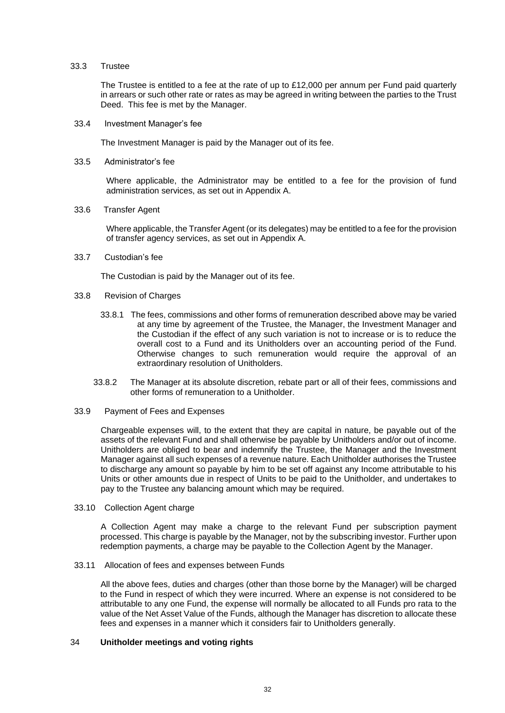#### 33.3 Trustee

The Trustee is entitled to a fee at the rate of up to £12,000 per annum per Fund paid quarterly in arrears or such other rate or rates as may be agreed in writing between the parties to the Trust Deed. This fee is met by the Manager.

33.4 Investment Manager's fee

The Investment Manager is paid by the Manager out of its fee.

33.5 Administrator's fee

Where applicable, the Administrator may be entitled to a fee for the provision of fund administration services, as set out in Appendix A.

33.6 Transfer Agent

Where applicable, the Transfer Agent (or its delegates) may be entitled to a fee for the provision of transfer agency services, as set out in Appendix A.

33.7 Custodian's fee

The Custodian is paid by the Manager out of its fee.

- 33.8 Revision of Charges
	- 33.8.1 The fees, commissions and other forms of remuneration described above may be varied at any time by agreement of the Trustee, the Manager, the Investment Manager and the Custodian if the effect of any such variation is not to increase or is to reduce the overall cost to a Fund and its Unitholders over an accounting period of the Fund. Otherwise changes to such remuneration would require the approval of an extraordinary resolution of Unitholders.
	- 33.8.2 The Manager at its absolute discretion, rebate part or all of their fees, commissions and other forms of remuneration to a Unitholder.
- 33.9 Payment of Fees and Expenses

Chargeable expenses will, to the extent that they are capital in nature, be payable out of the assets of the relevant Fund and shall otherwise be payable by Unitholders and/or out of income. Unitholders are obliged to bear and indemnify the Trustee, the Manager and the Investment Manager against all such expenses of a revenue nature. Each Unitholder authorises the Trustee to discharge any amount so payable by him to be set off against any Income attributable to his Units or other amounts due in respect of Units to be paid to the Unitholder, and undertakes to pay to the Trustee any balancing amount which may be required.

33.10 Collection Agent charge

A Collection Agent may make a charge to the relevant Fund per subscription payment processed. This charge is payable by the Manager, not by the subscribing investor. Further upon redemption payments, a charge may be payable to the Collection Agent by the Manager.

33.11 Allocation of fees and expenses between Funds

All the above fees, duties and charges (other than those borne by the Manager) will be charged to the Fund in respect of which they were incurred. Where an expense is not considered to be attributable to any one Fund, the expense will normally be allocated to all Funds pro rata to the value of the Net Asset Value of the Funds, although the Manager has discretion to allocate these fees and expenses in a manner which it considers fair to Unitholders generally.

## <span id="page-34-0"></span>34 **Unitholder meetings and voting rights**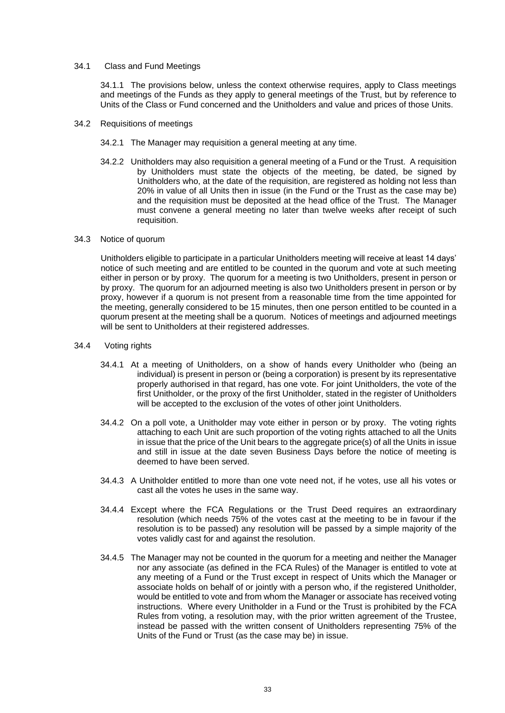## 34.1 Class and Fund Meetings

34.1.1 The provisions below, unless the context otherwise requires, apply to Class meetings and meetings of the Funds as they apply to general meetings of the Trust, but by reference to Units of the Class or Fund concerned and the Unitholders and value and prices of those Units.

- 34.2 Requisitions of meetings
	- 34.2.1 The Manager may requisition a general meeting at any time.
	- 34.2.2 Unitholders may also requisition a general meeting of a Fund or the Trust. A requisition by Unitholders must state the objects of the meeting, be dated, be signed by Unitholders who, at the date of the requisition, are registered as holding not less than 20% in value of all Units then in issue (in the Fund or the Trust as the case may be) and the requisition must be deposited at the head office of the Trust. The Manager must convene a general meeting no later than twelve weeks after receipt of such requisition.

# 34.3 Notice of quorum

Unitholders eligible to participate in a particular Unitholders meeting will receive at least 14 days' notice of such meeting and are entitled to be counted in the quorum and vote at such meeting either in person or by proxy. The quorum for a meeting is two Unitholders, present in person or by proxy. The quorum for an adjourned meeting is also two Unitholders present in person or by proxy, however if a quorum is not present from a reasonable time from the time appointed for the meeting, generally considered to be 15 minutes, then one person entitled to be counted in a quorum present at the meeting shall be a quorum. Notices of meetings and adjourned meetings will be sent to Unitholders at their registered addresses.

- 34.4 Voting rights
	- 34.4.1 At a meeting of Unitholders, on a show of hands every Unitholder who (being an individual) is present in person or (being a corporation) is present by its representative properly authorised in that regard, has one vote. For joint Unitholders, the vote of the first Unitholder, or the proxy of the first Unitholder, stated in the register of Unitholders will be accepted to the exclusion of the votes of other joint Unitholders.
	- 34.4.2 On a poll vote, a Unitholder may vote either in person or by proxy. The voting rights attaching to each Unit are such proportion of the voting rights attached to all the Units in issue that the price of the Unit bears to the aggregate price(s) of all the Units in issue and still in issue at the date seven Business Days before the notice of meeting is deemed to have been served.
	- 34.4.3 A Unitholder entitled to more than one vote need not, if he votes, use all his votes or cast all the votes he uses in the same way.
	- 34.4.4 Except where the FCA Regulations or the Trust Deed requires an extraordinary resolution (which needs 75% of the votes cast at the meeting to be in favour if the resolution is to be passed) any resolution will be passed by a simple majority of the votes validly cast for and against the resolution.
	- 34.4.5 The Manager may not be counted in the quorum for a meeting and neither the Manager nor any associate (as defined in the FCA Rules) of the Manager is entitled to vote at any meeting of a Fund or the Trust except in respect of Units which the Manager or associate holds on behalf of or jointly with a person who, if the registered Unitholder, would be entitled to vote and from whom the Manager or associate has received voting instructions. Where every Unitholder in a Fund or the Trust is prohibited by the FCA Rules from voting, a resolution may, with the prior written agreement of the Trustee, instead be passed with the written consent of Unitholders representing 75% of the Units of the Fund or Trust (as the case may be) in issue.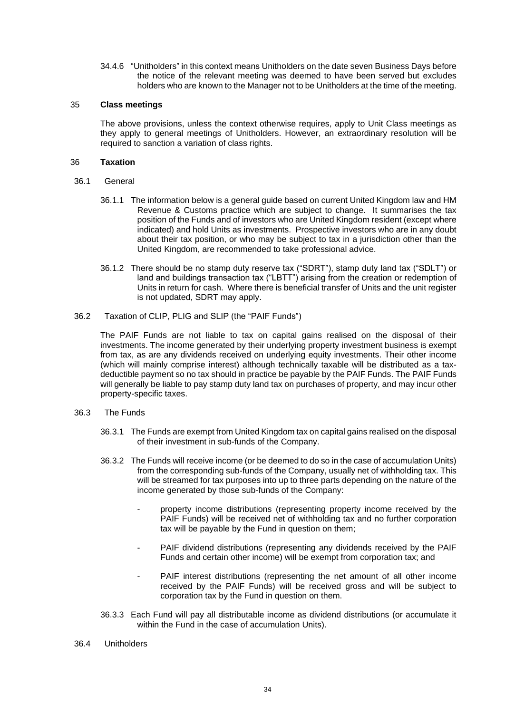34.4.6 "Unitholders" in this context means Unitholders on the date seven Business Days before the notice of the relevant meeting was deemed to have been served but excludes holders who are known to the Manager not to be Unitholders at the time of the meeting.

### 35 **Class meetings**

The above provisions, unless the context otherwise requires, apply to Unit Class meetings as they apply to general meetings of Unitholders. However, an extraordinary resolution will be required to sanction a variation of class rights.

### 36 **Taxation**

- 36.1 General
	- 36.1.1 The information below is a general guide based on current United Kingdom law and HM Revenue & Customs practice which are subject to change. It summarises the tax position of the Funds and of investors who are United Kingdom resident (except where indicated) and hold Units as investments. Prospective investors who are in any doubt about their tax position, or who may be subject to tax in a jurisdiction other than the United Kingdom, are recommended to take professional advice.
	- 36.1.2 There should be no stamp duty reserve tax ("SDRT"), stamp duty land tax ("SDLT") or land and buildings transaction tax ("LBTT") arising from the creation or redemption of Units in return for cash. Where there is beneficial transfer of Units and the unit register is not updated, SDRT may apply.
- 36.2 Taxation of CLIP, PLIG and SLIP (the "PAIF Funds")

The PAIF Funds are not liable to tax on capital gains realised on the disposal of their investments. The income generated by their underlying property investment business is exempt from tax, as are any dividends received on underlying equity investments. Their other income (which will mainly comprise interest) although technically taxable will be distributed as a taxdeductible payment so no tax should in practice be payable by the PAIF Funds. The PAIF Funds will generally be liable to pay stamp duty land tax on purchases of property, and may incur other property-specific taxes.

- 36.3 The Funds
	- 36.3.1 The Funds are exempt from United Kingdom tax on capital gains realised on the disposal of their investment in sub-funds of the Company.
	- 36.3.2 The Funds will receive income (or be deemed to do so in the case of accumulation Units) from the corresponding sub-funds of the Company, usually net of withholding tax. This will be streamed for tax purposes into up to three parts depending on the nature of the income generated by those sub-funds of the Company:
		- property income distributions (representing property income received by the PAIF Funds) will be received net of withholding tax and no further corporation tax will be payable by the Fund in question on them;
		- PAIF dividend distributions (representing any dividends received by the PAIF Funds and certain other income) will be exempt from corporation tax; and
		- PAIF interest distributions (representing the net amount of all other income received by the PAIF Funds) will be received gross and will be subject to corporation tax by the Fund in question on them.
	- 36.3.3 Each Fund will pay all distributable income as dividend distributions (or accumulate it within the Fund in the case of accumulation Units).
- 36.4 Unitholders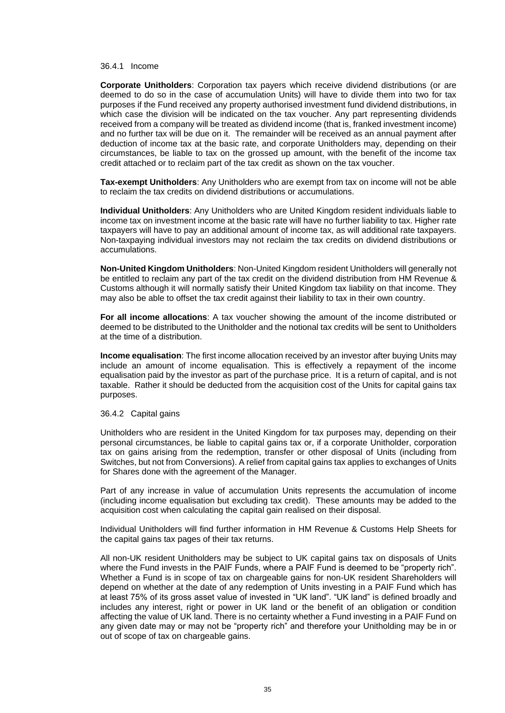#### 36.4.1 Income

**Corporate Unitholders**: Corporation tax payers which receive dividend distributions (or are deemed to do so in the case of accumulation Units) will have to divide them into two for tax purposes if the Fund received any property authorised investment fund dividend distributions, in which case the division will be indicated on the tax voucher. Any part representing dividends received from a company will be treated as dividend income (that is, franked investment income) and no further tax will be due on it. The remainder will be received as an annual payment after deduction of income tax at the basic rate, and corporate Unitholders may, depending on their circumstances, be liable to tax on the grossed up amount, with the benefit of the income tax credit attached or to reclaim part of the tax credit as shown on the tax voucher.

**Tax-exempt Unitholders**: Any Unitholders who are exempt from tax on income will not be able to reclaim the tax credits on dividend distributions or accumulations.

**Individual Unitholders**: Any Unitholders who are United Kingdom resident individuals liable to income tax on investment income at the basic rate will have no further liability to tax. Higher rate taxpayers will have to pay an additional amount of income tax, as will additional rate taxpayers. Non-taxpaying individual investors may not reclaim the tax credits on dividend distributions or accumulations.

**Non-United Kingdom Unitholders**: Non-United Kingdom resident Unitholders will generally not be entitled to reclaim any part of the tax credit on the dividend distribution from HM Revenue & Customs although it will normally satisfy their United Kingdom tax liability on that income. They may also be able to offset the tax credit against their liability to tax in their own country.

**For all income allocations**: A tax voucher showing the amount of the income distributed or deemed to be distributed to the Unitholder and the notional tax credits will be sent to Unitholders at the time of a distribution.

**Income equalisation**: The first income allocation received by an investor after buying Units may include an amount of income equalisation. This is effectively a repayment of the income equalisation paid by the investor as part of the purchase price. It is a return of capital, and is not taxable. Rather it should be deducted from the acquisition cost of the Units for capital gains tax purposes.

#### 36.4.2 Capital gains

Unitholders who are resident in the United Kingdom for tax purposes may, depending on their personal circumstances, be liable to capital gains tax or, if a corporate Unitholder, corporation tax on gains arising from the redemption, transfer or other disposal of Units (including from Switches, but not from Conversions). A relief from capital gains tax applies to exchanges of Units for Shares done with the agreement of the Manager.

Part of any increase in value of accumulation Units represents the accumulation of income (including income equalisation but excluding tax credit). These amounts may be added to the acquisition cost when calculating the capital gain realised on their disposal.

Individual Unitholders will find further information in HM Revenue & Customs Help Sheets for the capital gains tax pages of their tax returns.

All non-UK resident Unitholders may be subject to UK capital gains tax on disposals of Units where the Fund invests in the PAIF Funds, where a PAIF Fund is deemed to be "property rich". Whether a Fund is in scope of tax on chargeable gains for non-UK resident Shareholders will depend on whether at the date of any redemption of Units investing in a PAIF Fund which has at least 75% of its gross asset value of invested in "UK land". "UK land" is defined broadly and includes any interest, right or power in UK land or the benefit of an obligation or condition affecting the value of UK land. There is no certainty whether a Fund investing in a PAIF Fund on any given date may or may not be "property rich" and therefore your Unitholding may be in or out of scope of tax on chargeable gains.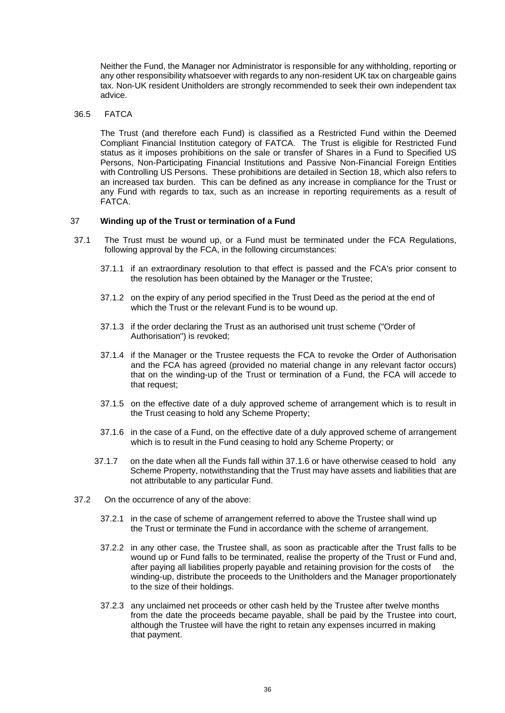Neither the Fund, the Manager nor Administrator is responsible for any withholding, reporting or any other responsibility whatsoever with regards to any non-resident UK tax on chargeable gains tax. Non-UK resident Unitholders are strongly recommended to seek their own independent tax advice.

#### 36.5 FATCA

The Trust (and therefore each Fund) is classified as a Restricted Fund within the Deemed Compliant Financial Institution category of FATCA. The Trust is eligible for Restricted Fund status as it imposes prohibitions on the sale or transfer of Shares in a Fund to Specified US Persons, Non-Participating Financial Institutions and Passive Non-Financial Foreign Entities with Controlling US Persons. These prohibitions are detailed in Section 18, which also refers to an increased tax burden. This can be defined as any increase in compliance for the Trust or any Fund with regards to tax, such as an increase in reporting requirements as a result of FATCA.

#### 37 **Winding up of the Trust or termination of a Fund**

- 37.1 The Trust must be wound up, or a Fund must be terminated under the FCA Regulations, following approval by the FCA, in the following circumstances:
	- 37.1.1 if an extraordinary resolution to that effect is passed and the FCA's prior consent to the resolution has been obtained by the Manager or the Trustee;
	- 37.1.2 on the expiry of any period specified in the Trust Deed as the period at the end of which the Trust or the relevant Fund is to be wound up.
	- 37.1.3 if the order declaring the Trust as an authorised unit trust scheme ("Order of Authorisation") is revoked;
	- 37.1.4 if the Manager or the Trustee requests the FCA to revoke the Order of Authorisation and the FCA has agreed (provided no material change in any relevant factor occurs) that on the winding-up of the Trust or termination of a Fund, the FCA will accede to that request;
	- 37.1.5 on the effective date of a duly approved scheme of arrangement which is to result in the Trust ceasing to hold any Scheme Property;
	- 37.1.6 in the case of a Fund, on the effective date of a duly approved scheme of arrangement which is to result in the Fund ceasing to hold any Scheme Property; or
	- 37.1.7 on the date when all the Funds fall within [37.1.6](#page-38-0) or have otherwise ceased to hold any Scheme Property, notwithstanding that the Trust may have assets and liabilities that are not attributable to any particular Fund.
- <span id="page-38-0"></span>37.2 On the occurrence of any of the above:
	- 37.2.1 in the case of scheme of arrangement referred to above the Trustee shall wind up the Trust or terminate the Fund in accordance with the scheme of arrangement.
	- 37.2.2 in any other case, the Trustee shall, as soon as practicable after the Trust falls to be wound up or Fund falls to be terminated, realise the property of the Trust or Fund and, after paying all liabilities properly payable and retaining provision for the costs of the winding-up, distribute the proceeds to the Unitholders and the Manager proportionately to the size of their holdings.
	- 37.2.3 any unclaimed net proceeds or other cash held by the Trustee after twelve months from the date the proceeds became payable, shall be paid by the Trustee into court, although the Trustee will have the right to retain any expenses incurred in making that payment.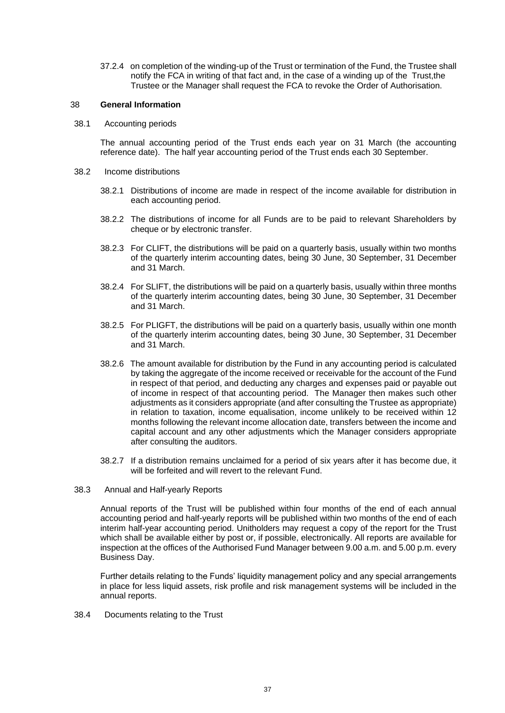37.2.4 on completion of the winding-up of the Trust or termination of the Fund, the Trustee shall notify the FCA in writing of that fact and, in the case of a winding up of the Trust,the Trustee or the Manager shall request the FCA to revoke the Order of Authorisation.

#### 38 **General Information**

38.1 Accounting periods

The annual accounting period of the Trust ends each year on 31 March (the accounting reference date). The half year accounting period of the Trust ends each 30 September.

- 38.2 Income distributions
	- 38.2.1 Distributions of income are made in respect of the income available for distribution in each accounting period.
	- 38.2.2 The distributions of income for all Funds are to be paid to relevant Shareholders by cheque or by electronic transfer.
	- 38.2.3 For CLIFT, the distributions will be paid on a quarterly basis, usually within two months of the quarterly interim accounting dates, being 30 June, 30 September, 31 December and 31 March.
	- 38.2.4 For SLIFT, the distributions will be paid on a quarterly basis, usually within three months of the quarterly interim accounting dates, being 30 June, 30 September, 31 December and 31 March.
	- 38.2.5 For PLIGFT, the distributions will be paid on a quarterly basis, usually within one month of the quarterly interim accounting dates, being 30 June, 30 September, 31 December and 31 March.
	- 38.2.6 The amount available for distribution by the Fund in any accounting period is calculated by taking the aggregate of the income received or receivable for the account of the Fund in respect of that period, and deducting any charges and expenses paid or payable out of income in respect of that accounting period. The Manager then makes such other adjustments as it considers appropriate (and after consulting the Trustee as appropriate) in relation to taxation, income equalisation, income unlikely to be received within 12 months following the relevant income allocation date, transfers between the income and capital account and any other adjustments which the Manager considers appropriate after consulting the auditors.
	- 38.2.7 If a distribution remains unclaimed for a period of six years after it has become due, it will be forfeited and will revert to the relevant Fund.
- 38.3 Annual and Half-yearly Reports

Annual reports of the Trust will be published within four months of the end of each annual accounting period and half-yearly reports will be published within two months of the end of each interim half-year accounting period. Unitholders may request a copy of the report for the Trust which shall be available either by post or, if possible, electronically. All reports are available for inspection at the offices of the Authorised Fund Manager between 9.00 a.m. and 5.00 p.m. every Business Day.

Further details relating to the Funds' liquidity management policy and any special arrangements in place for less liquid assets, risk profile and risk management systems will be included in the annual reports.

38.4 Documents relating to the Trust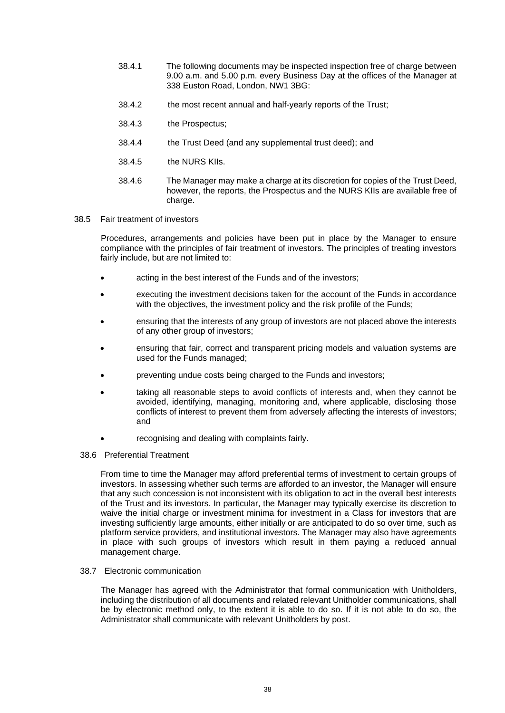- 38.4.1 The following documents may be inspected inspection free of charge between 9.00 a.m. and 5.00 p.m. every Business Day at the offices of the Manager at 338 Euston Road, London, NW1 3BG:
- 38.4.2 the most recent annual and half-yearly reports of the Trust;
- 38.4.3 the Prospectus;
- 38.4.4 the Trust Deed (and any supplemental trust deed); and
- 38.4.5 the NURS KIIs.
- 38.4.6 The Manager may make a charge at its discretion for copies of the Trust Deed, however, the reports, the Prospectus and the NURS KIIs are available free of charge.
- 38.5 Fair treatment of investors

Procedures, arrangements and policies have been put in place by the Manager to ensure compliance with the principles of fair treatment of investors. The principles of treating investors fairly include, but are not limited to:

- acting in the best interest of the Funds and of the investors;
- executing the investment decisions taken for the account of the Funds in accordance with the objectives, the investment policy and the risk profile of the Funds;
- ensuring that the interests of any group of investors are not placed above the interests of any other group of investors;
- ensuring that fair, correct and transparent pricing models and valuation systems are used for the Funds managed;
- preventing undue costs being charged to the Funds and investors;
- taking all reasonable steps to avoid conflicts of interests and, when they cannot be avoided, identifying, managing, monitoring and, where applicable, disclosing those conflicts of interest to prevent them from adversely affecting the interests of investors; and
- recognising and dealing with complaints fairly.
- 38.6 Preferential Treatment

From time to time the Manager may afford preferential terms of investment to certain groups of investors. In assessing whether such terms are afforded to an investor, the Manager will ensure that any such concession is not inconsistent with its obligation to act in the overall best interests of the Trust and its investors. In particular, the Manager may typically exercise its discretion to waive the initial charge or investment minima for investment in a Class for investors that are investing sufficiently large amounts, either initially or are anticipated to do so over time, such as platform service providers, and institutional investors. The Manager may also have agreements in place with such groups of investors which result in them paying a reduced annual management charge.

38.7 Electronic communication

The Manager has agreed with the Administrator that formal communication with Unitholders, including the distribution of all documents and related relevant Unitholder communications, shall be by electronic method only, to the extent it is able to do so. If it is not able to do so, the Administrator shall communicate with relevant Unitholders by post.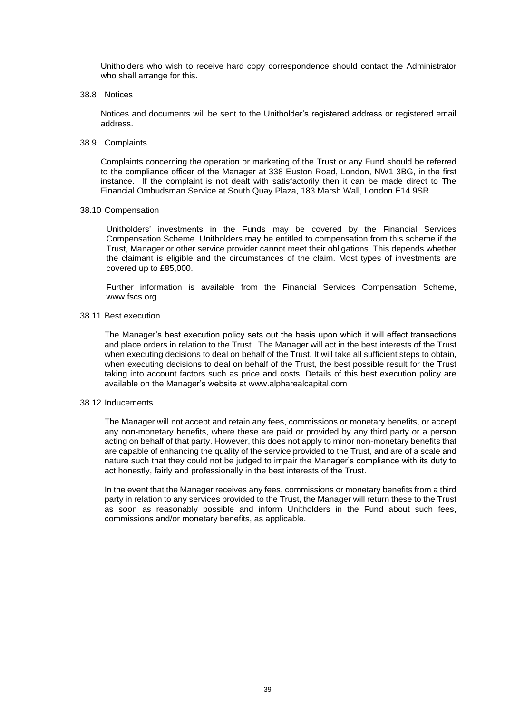Unitholders who wish to receive hard copy correspondence should contact the Administrator who shall arrange for this.

38.8 Notices

Notices and documents will be sent to the Unitholder's registered address or registered email address.

38.9 Complaints

Complaints concerning the operation or marketing of the Trust or any Fund should be referred to the compliance officer of the Manager at 338 Euston Road, London, NW1 3BG, in the first instance. If the complaint is not dealt with satisfactorily then it can be made direct to The Financial Ombudsman Service at South Quay Plaza, 183 Marsh Wall, London E14 9SR.

38.10 Compensation

Unitholders' investments in the Funds may be covered by the Financial Services Compensation Scheme. Unitholders may be entitled to compensation from this scheme if the Trust, Manager or other service provider cannot meet their obligations. This depends whether the claimant is eligible and the circumstances of the claim. Most types of investments are covered up to £85,000.

Further information is available from the Financial Services Compensation Scheme, www.fscs.org.

#### 38.11 Best execution

The Manager's best execution policy sets out the basis upon which it will effect transactions and place orders in relation to the Trust. The Manager will act in the best interests of the Trust when executing decisions to deal on behalf of the Trust. It will take all sufficient steps to obtain, when executing decisions to deal on behalf of the Trust, the best possible result for the Trust taking into account factors such as price and costs. Details of this best execution policy are available on the Manager's website at www.alpharealcapital.com

### 38.12 Inducements

The Manager will not accept and retain any fees, commissions or monetary benefits, or accept any non-monetary benefits, where these are paid or provided by any third party or a person acting on behalf of that party. However, this does not apply to minor non-monetary benefits that are capable of enhancing the quality of the service provided to the Trust, and are of a scale and nature such that they could not be judged to impair the Manager's compliance with its duty to act honestly, fairly and professionally in the best interests of the Trust.

In the event that the Manager receives any fees, commissions or monetary benefits from a third party in relation to any services provided to the Trust, the Manager will return these to the Trust as soon as reasonably possible and inform Unitholders in the Fund about such fees, commissions and/or monetary benefits, as applicable.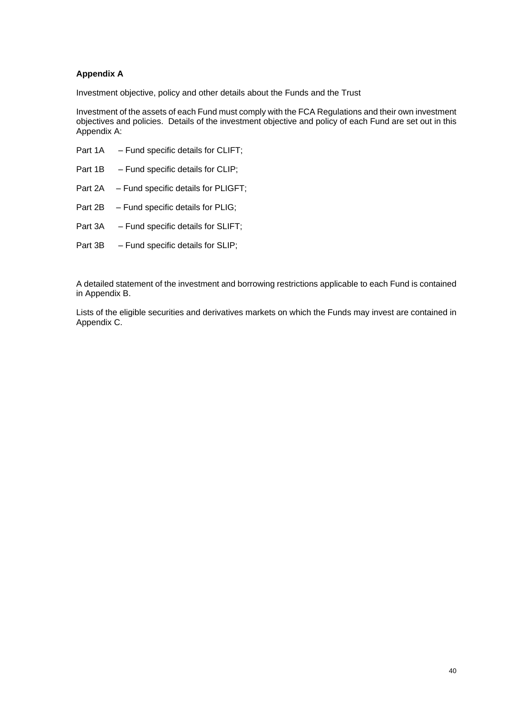### **Appendix A**

Investment objective, policy and other details about the Funds and the Trust

Investment of the assets of each Fund must comply with the FCA Regulations and their own investment objectives and policies. Details of the investment objective and policy of each Fund are set out in this Appendix A:

| Part 1A | - Fund specific details for CLIFT;          |
|---------|---------------------------------------------|
| Part 1B | $-$ Fund specific details for CLIP;         |
|         | Part 2A – Fund specific details for PLIGFT; |
| Part 2B | $-$ Fund specific details for PLIG;         |
| Part 3A | - Fund specific details for SLIFT;          |
|         |                                             |

Part 3B – Fund specific details for SLIP;

A detailed statement of the investment and borrowing restrictions applicable to each Fund is contained in Appendix B.

Lists of the eligible securities and derivatives markets on which the Funds may invest are contained in Appendix C.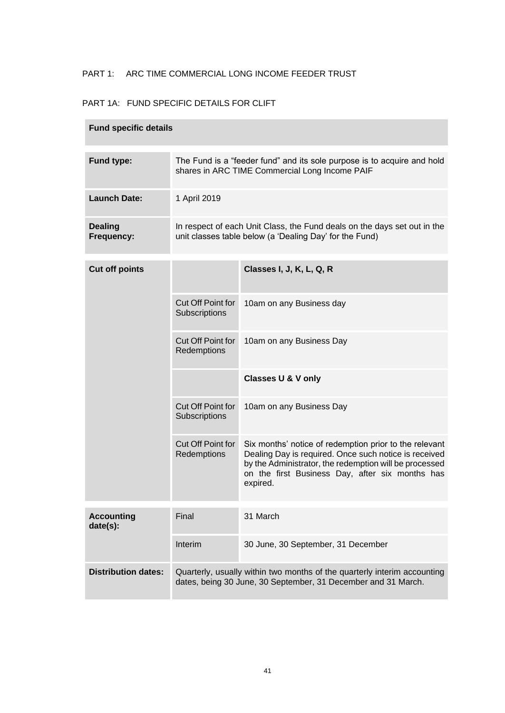# PART 1: ARC TIME COMMERCIAL LONG INCOME FEEDER TRUST

## PART 1A: FUND SPECIFIC DETAILS FOR CLIFT

| <b>Fund specific details</b>  |                                                                                                                                           |                                                                                                                                                                                                                                          |  |  |  |
|-------------------------------|-------------------------------------------------------------------------------------------------------------------------------------------|------------------------------------------------------------------------------------------------------------------------------------------------------------------------------------------------------------------------------------------|--|--|--|
| Fund type:                    |                                                                                                                                           | The Fund is a "feeder fund" and its sole purpose is to acquire and hold<br>shares in ARC TIME Commercial Long Income PAIF                                                                                                                |  |  |  |
| <b>Launch Date:</b>           | 1 April 2019                                                                                                                              |                                                                                                                                                                                                                                          |  |  |  |
| <b>Dealing</b><br>Frequency:  |                                                                                                                                           | In respect of each Unit Class, the Fund deals on the days set out in the<br>unit classes table below (a 'Dealing Day' for the Fund)                                                                                                      |  |  |  |
| <b>Cut off points</b>         |                                                                                                                                           | Classes I, J, K, L, Q, R                                                                                                                                                                                                                 |  |  |  |
|                               | Cut Off Point for<br>Subscriptions                                                                                                        | 10am on any Business day                                                                                                                                                                                                                 |  |  |  |
|                               | Cut Off Point for<br>Redemptions                                                                                                          | 10am on any Business Day                                                                                                                                                                                                                 |  |  |  |
|                               |                                                                                                                                           | <b>Classes U &amp; V only</b>                                                                                                                                                                                                            |  |  |  |
|                               | Cut Off Point for<br>Subscriptions                                                                                                        | 10am on any Business Day                                                                                                                                                                                                                 |  |  |  |
|                               | Cut Off Point for<br>Redemptions                                                                                                          | Six months' notice of redemption prior to the relevant<br>Dealing Day is required. Once such notice is received<br>by the Administrator, the redemption will be processed<br>on the first Business Day, after six months has<br>expired. |  |  |  |
| <b>Accounting</b><br>date(s): | Final                                                                                                                                     | 31 March                                                                                                                                                                                                                                 |  |  |  |
|                               | Interim                                                                                                                                   | 30 June, 30 September, 31 December                                                                                                                                                                                                       |  |  |  |
| <b>Distribution dates:</b>    | Quarterly, usually within two months of the quarterly interim accounting<br>dates, being 30 June, 30 September, 31 December and 31 March. |                                                                                                                                                                                                                                          |  |  |  |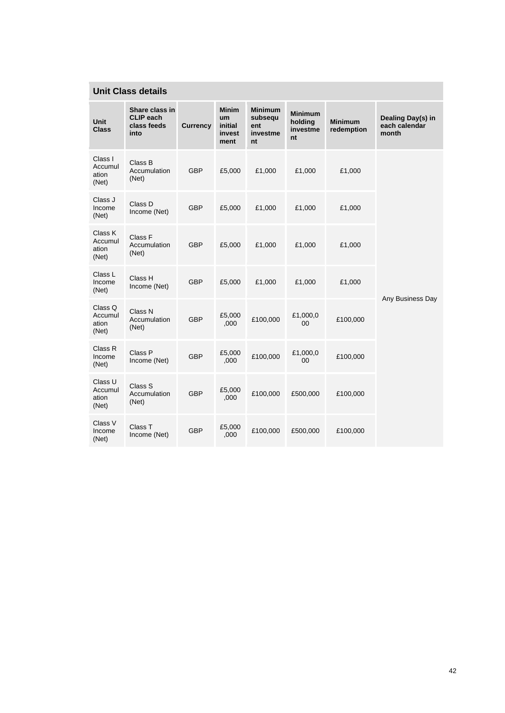# **Unit Class details**

| <b>Unit</b><br><b>Class</b>          | Share class in<br><b>CLIP</b> each<br>class feeds<br>into | <b>Currency</b> | <b>Minim</b><br><b>um</b><br>initial<br>invest<br>ment | <b>Minimum</b><br>subsequ<br>ent<br>investme<br>nt | <b>Minimum</b><br>holding<br>investme<br>nt | <b>Minimum</b><br>redemption | Dealing Day(s) in<br>each calendar<br>month |
|--------------------------------------|-----------------------------------------------------------|-----------------|--------------------------------------------------------|----------------------------------------------------|---------------------------------------------|------------------------------|---------------------------------------------|
| Class I<br>Accumul<br>ation<br>(Net) | Class B<br>Accumulation<br>(Net)                          | <b>GBP</b>      | £5,000                                                 | £1,000                                             | £1,000                                      | £1,000                       |                                             |
| Class J<br>Income<br>(Net)           | Class D<br>Income (Net)                                   | <b>GBP</b>      | £5,000                                                 | £1,000                                             | £1,000                                      | £1,000                       |                                             |
| Class K<br>Accumul<br>ation<br>(Net) | Class F<br>Accumulation<br>(Net)                          | <b>GBP</b>      | £5,000                                                 | £1,000                                             | £1,000                                      | £1,000                       |                                             |
| Class L<br>Income<br>(Net)           | Class H<br>Income (Net)                                   | <b>GBP</b>      | £5,000                                                 | £1,000                                             | £1,000                                      | £1,000                       |                                             |
| Class Q<br>Accumul<br>ation<br>(Net) | Class N<br>Accumulation<br>(Net)                          | <b>GBP</b>      | £5,000<br>,000                                         | £100,000                                           | £1,000,0<br>00                              | £100,000                     | Any Business Day                            |
| Class R<br>Income<br>(Net)           | Class P<br>Income (Net)                                   | <b>GBP</b>      | £5,000<br>,000                                         | £100,000                                           | £1,000,0<br>00                              | £100,000                     |                                             |
| Class U<br>Accumul<br>ation<br>(Net) | Class S<br>Accumulation<br>(Net)                          | <b>GBP</b>      | £5,000<br>,000                                         | £100,000                                           | £500,000                                    | £100,000                     |                                             |
| Class V<br>Income<br>(Net)           | Class T<br>Income (Net)                                   | <b>GBP</b>      | £5,000<br>,000                                         | £100,000                                           | £500,000                                    | £100,000                     |                                             |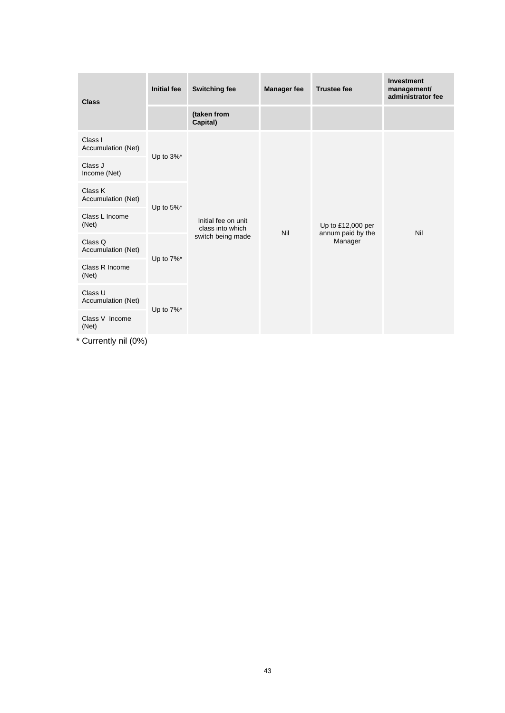| <b>Class</b>                  | <b>Initial fee</b>       | <b>Switching fee</b>                    | <b>Manager fee</b> | <b>Trustee fee</b>                                | <b>Investment</b><br>management/<br>administrator fee |
|-------------------------------|--------------------------|-----------------------------------------|--------------------|---------------------------------------------------|-------------------------------------------------------|
|                               |                          | (taken from<br>Capital)                 |                    |                                                   |                                                       |
| Class I<br>Accumulation (Net) |                          |                                         |                    | Up to £12,000 per<br>annum paid by the<br>Manager | Nil                                                   |
| Class J<br>Income (Net)       | Up to 3%*                |                                         | Nil                |                                                   |                                                       |
| Class K<br>Accumulation (Net) |                          |                                         |                    |                                                   |                                                       |
| Class L Income<br>(Net)       | Up to $5\%$ <sup>*</sup> | Initial fee on unit<br>class into which |                    |                                                   |                                                       |
| Class Q<br>Accumulation (Net) |                          | switch being made                       |                    |                                                   |                                                       |
| Class R Income<br>(Net)       | Up to 7%*                |                                         |                    |                                                   |                                                       |
| Class U<br>Accumulation (Net) |                          |                                         |                    |                                                   |                                                       |
| Class V Income<br>(Net)       | Up to 7%*                |                                         |                    |                                                   |                                                       |

\* Currently nil (0%)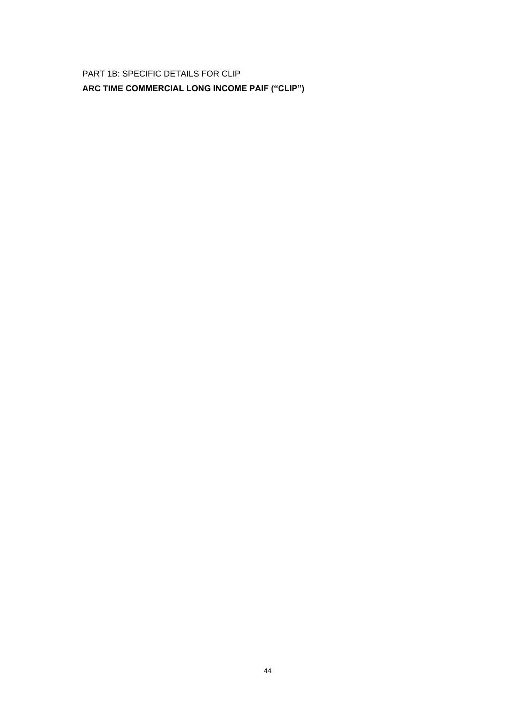PART 1B: SPECIFIC DETAILS FOR CLIP

**ARC TIME COMMERCIAL LONG INCOME PAIF ("CLIP")**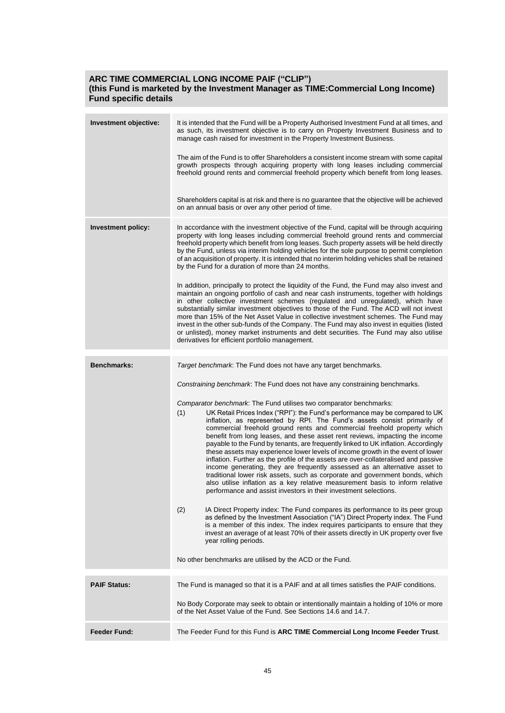### **ARC TIME COMMERCIAL LONG INCOME PAIF ("CLIP") (this Fund is marketed by the Investment Manager as TIME:Commercial Long Income) Fund specific details**

| Investment objective:     | It is intended that the Fund will be a Property Authorised Investment Fund at all times, and<br>as such, its investment objective is to carry on Property Investment Business and to<br>manage cash raised for investment in the Property Investment Business.                                                                                                                                                                                                                                                                                                                                                                                                                                                                                                                                                                                                                                                                                                                      |  |  |  |  |  |
|---------------------------|-------------------------------------------------------------------------------------------------------------------------------------------------------------------------------------------------------------------------------------------------------------------------------------------------------------------------------------------------------------------------------------------------------------------------------------------------------------------------------------------------------------------------------------------------------------------------------------------------------------------------------------------------------------------------------------------------------------------------------------------------------------------------------------------------------------------------------------------------------------------------------------------------------------------------------------------------------------------------------------|--|--|--|--|--|
|                           | The aim of the Fund is to offer Shareholders a consistent income stream with some capital<br>growth prospects through acquiring property with long leases including commercial<br>freehold ground rents and commercial freehold property which benefit from long leases.                                                                                                                                                                                                                                                                                                                                                                                                                                                                                                                                                                                                                                                                                                            |  |  |  |  |  |
|                           | Shareholders capital is at risk and there is no guarantee that the objective will be achieved<br>on an annual basis or over any other period of time.                                                                                                                                                                                                                                                                                                                                                                                                                                                                                                                                                                                                                                                                                                                                                                                                                               |  |  |  |  |  |
| <b>Investment policy:</b> | In accordance with the investment objective of the Fund, capital will be through acquiring<br>property with long leases including commercial freehold ground rents and commercial<br>freehold property which benefit from long leases. Such property assets will be held directly<br>by the Fund, unless via interim holding vehicles for the sole purpose to permit completion<br>of an acquisition of property. It is intended that no interim holding vehicles shall be retained<br>by the Fund for a duration of more than 24 months.                                                                                                                                                                                                                                                                                                                                                                                                                                           |  |  |  |  |  |
|                           | In addition, principally to protect the liquidity of the Fund, the Fund may also invest and<br>maintain an ongoing portfolio of cash and near cash instruments, together with holdings<br>in other collective investment schemes (regulated and unregulated), which have<br>substantially similar investment objectives to those of the Fund. The ACD will not invest<br>more than 15% of the Net Asset Value in collective investment schemes. The Fund may<br>invest in the other sub-funds of the Company. The Fund may also invest in equities (listed<br>or unlisted), money market instruments and debt securities. The Fund may also utilise<br>derivatives for efficient portfolio management.                                                                                                                                                                                                                                                                              |  |  |  |  |  |
| <b>Benchmarks:</b>        | Target benchmark: The Fund does not have any target benchmarks.                                                                                                                                                                                                                                                                                                                                                                                                                                                                                                                                                                                                                                                                                                                                                                                                                                                                                                                     |  |  |  |  |  |
|                           | Constraining benchmark: The Fund does not have any constraining benchmarks.                                                                                                                                                                                                                                                                                                                                                                                                                                                                                                                                                                                                                                                                                                                                                                                                                                                                                                         |  |  |  |  |  |
|                           |                                                                                                                                                                                                                                                                                                                                                                                                                                                                                                                                                                                                                                                                                                                                                                                                                                                                                                                                                                                     |  |  |  |  |  |
|                           | Comparator benchmark: The Fund utilises two comparator benchmarks:<br>(1)<br>UK Retail Prices Index ("RPI"): the Fund's performance may be compared to UK<br>inflation, as represented by RPI. The Fund's assets consist primarily of<br>commercial freehold ground rents and commercial freehold property which<br>benefit from long leases, and these asset rent reviews, impacting the income<br>payable to the Fund by tenants, are frequently linked to UK inflation. Accordingly<br>these assets may experience lower levels of income growth in the event of lower<br>inflation. Further as the profile of the assets are over-collateralised and passive<br>income generating, they are frequently assessed as an alternative asset to<br>traditional lower risk assets, such as corporate and government bonds, which<br>also utilise inflation as a key relative measurement basis to inform relative<br>performance and assist investors in their investment selections. |  |  |  |  |  |
|                           | (2)<br>IA Direct Property index: The Fund compares its performance to its peer group<br>as defined by the Investment Association ("IA") Direct Property index. The Fund<br>is a member of this index. The index requires participants to ensure that they<br>invest an average of at least 70% of their assets directly in UK property over five<br>year rolling periods.                                                                                                                                                                                                                                                                                                                                                                                                                                                                                                                                                                                                           |  |  |  |  |  |
|                           | No other benchmarks are utilised by the ACD or the Fund.                                                                                                                                                                                                                                                                                                                                                                                                                                                                                                                                                                                                                                                                                                                                                                                                                                                                                                                            |  |  |  |  |  |
| <b>PAIF Status:</b>       | The Fund is managed so that it is a PAIF and at all times satisfies the PAIF conditions.                                                                                                                                                                                                                                                                                                                                                                                                                                                                                                                                                                                                                                                                                                                                                                                                                                                                                            |  |  |  |  |  |
|                           | No Body Corporate may seek to obtain or intentionally maintain a holding of 10% or more                                                                                                                                                                                                                                                                                                                                                                                                                                                                                                                                                                                                                                                                                                                                                                                                                                                                                             |  |  |  |  |  |
|                           | of the Net Asset Value of the Fund. See Sections 14.6 and 14.7.                                                                                                                                                                                                                                                                                                                                                                                                                                                                                                                                                                                                                                                                                                                                                                                                                                                                                                                     |  |  |  |  |  |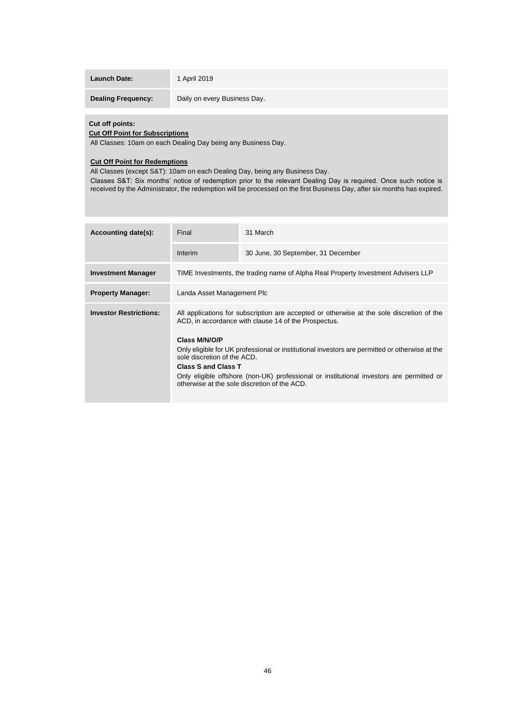| <b>Launch Date:</b> |  |  |  |  |
|---------------------|--|--|--|--|
|---------------------|--|--|--|--|

**Launch Date:** 1 April 2019

**Dealing Frequency:** Daily on every Business Day.

### **Cut off points:**

## **Cut Off Point for Subscriptions**

All Classes: 10am on each Dealing Day being any Business Day.

#### **Cut Off Point for Redemptions**

All Classes (except S&T): 10am on each Dealing Day, being any Business Day.

Classes S&T: Six months' notice of redemption prior to the relevant Dealing Day is required. Once such notice is received by the Administrator, the redemption will be processed on the first Business Day, after six months has expired.

| Accounting date(s):           | Final                                                                                                                                                              | 31 March                                                                          |  |  |  |  |  |
|-------------------------------|--------------------------------------------------------------------------------------------------------------------------------------------------------------------|-----------------------------------------------------------------------------------|--|--|--|--|--|
|                               | Interim                                                                                                                                                            | 30 June, 30 September, 31 December                                                |  |  |  |  |  |
| <b>Investment Manager</b>     |                                                                                                                                                                    | TIME Investments, the trading name of Alpha Real Property Investment Advisers LLP |  |  |  |  |  |
| <b>Property Manager:</b>      | Landa Asset Management Plc                                                                                                                                         |                                                                                   |  |  |  |  |  |
| <b>Investor Restrictions:</b> | All applications for subscription are accepted or otherwise at the sole discretion of the<br>ACD, in accordance with clause 14 of the Prospectus.<br>Class M/N/O/P |                                                                                   |  |  |  |  |  |
|                               | Only eligible for UK professional or institutional investors are permitted or otherwise at the<br>sole discretion of the ACD.                                      |                                                                                   |  |  |  |  |  |
|                               | <b>Class S and Class T</b>                                                                                                                                         |                                                                                   |  |  |  |  |  |
|                               | Only eligible offshore (non-UK) professional or institutional investors are permitted or<br>otherwise at the sole discretion of the ACD.                           |                                                                                   |  |  |  |  |  |
|                               |                                                                                                                                                                    |                                                                                   |  |  |  |  |  |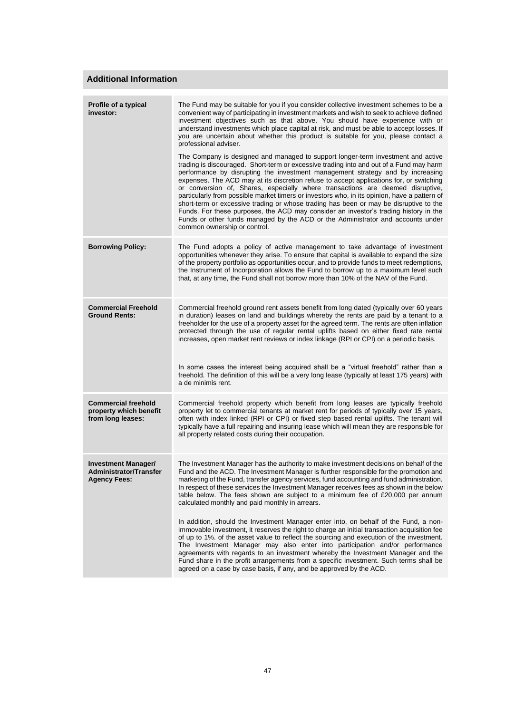### **Additional Information**

| Profile of a typical<br>investor:                                                  | The Fund may be suitable for you if you consider collective investment schemes to be a<br>convenient way of participating in investment markets and wish to seek to achieve defined<br>investment objectives such as that above. You should have experience with or<br>understand investments which place capital at risk, and must be able to accept losses. If<br>you are uncertain about whether this product is suitable for you, please contact a<br>professional adviser.                                                                                                                                                                                                                                                                                                                                                                |
|------------------------------------------------------------------------------------|------------------------------------------------------------------------------------------------------------------------------------------------------------------------------------------------------------------------------------------------------------------------------------------------------------------------------------------------------------------------------------------------------------------------------------------------------------------------------------------------------------------------------------------------------------------------------------------------------------------------------------------------------------------------------------------------------------------------------------------------------------------------------------------------------------------------------------------------|
|                                                                                    | The Company is designed and managed to support longer-term investment and active<br>trading is discouraged. Short-term or excessive trading into and out of a Fund may harm<br>performance by disrupting the investment management strategy and by increasing<br>expenses. The ACD may at its discretion refuse to accept applications for, or switching<br>or conversion of, Shares, especially where transactions are deemed disruptive,<br>particularly from possible market timers or investors who, in its opinion, have a pattern of<br>short-term or excessive trading or whose trading has been or may be disruptive to the<br>Funds. For these purposes, the ACD may consider an investor's trading history in the<br>Funds or other funds managed by the ACD or the Administrator and accounts under<br>common ownership or control. |
| <b>Borrowing Policy:</b>                                                           | The Fund adopts a policy of active management to take advantage of investment<br>opportunities whenever they arise. To ensure that capital is available to expand the size<br>of the property portfolio as opportunities occur, and to provide funds to meet redemptions,<br>the Instrument of Incorporation allows the Fund to borrow up to a maximum level such<br>that, at any time, the Fund shall not borrow more than 10% of the NAV of the Fund.                                                                                                                                                                                                                                                                                                                                                                                        |
| <b>Commercial Freehold</b><br><b>Ground Rents:</b>                                 | Commercial freehold ground rent assets benefit from long dated (typically over 60 years<br>in duration) leases on land and buildings whereby the rents are paid by a tenant to a<br>freeholder for the use of a property asset for the agreed term. The rents are often inflation<br>protected through the use of regular rental uplifts based on either fixed rate rental<br>increases, open market rent reviews or index linkage (RPI or CPI) on a periodic basis.                                                                                                                                                                                                                                                                                                                                                                           |
|                                                                                    | In some cases the interest being acquired shall be a "virtual freehold" rather than a<br>freehold. The definition of this will be a very long lease (typically at least 175 years) with<br>a de minimis rent.                                                                                                                                                                                                                                                                                                                                                                                                                                                                                                                                                                                                                                  |
| <b>Commercial freehold</b><br>property which benefit<br>from long leases:          | Commercial freehold property which benefit from long leases are typically freehold<br>property let to commercial tenants at market rent for periods of typically over 15 years,<br>often with index linked (RPI or CPI) or fixed step based rental uplifts. The tenant will<br>typically have a full repairing and insuring lease which will mean they are responsible for<br>all property related costs during their occupation.                                                                                                                                                                                                                                                                                                                                                                                                              |
| <b>Investment Manager/</b><br><b>Administrator/Transfer</b><br><b>Agency Fees:</b> | The Investment Manager has the authority to make investment decisions on behalf of the<br>Fund and the ACD. The Investment Manager is further responsible for the promotion and<br>marketing of the Fund, transfer agency services, fund accounting and fund administration.<br>In respect of these services the Investment Manager receives fees as shown in the below<br>table below. The fees shown are subject to a minimum fee of $£20,000$ per annum<br>calculated monthly and paid monthly in arrears.                                                                                                                                                                                                                                                                                                                                  |
|                                                                                    | In addition, should the Investment Manager enter into, on behalf of the Fund, a non-<br>immovable investment, it reserves the right to charge an initial transaction acquisition fee<br>of up to 1%. of the asset value to reflect the sourcing and execution of the investment.<br>The Investment Manager may also enter into participation and/or performance<br>agreements with regards to an investment whereby the Investment Manager and the<br>Fund share in the profit arrangements from a specific investment. Such terms shall be<br>agreed on a case by case basis, if any, and be approved by the ACD.                                                                                                                                                                                                                             |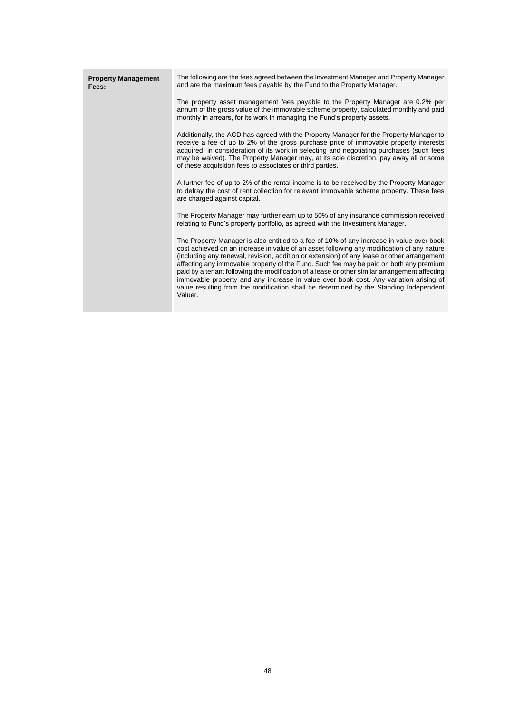| <b>Property Management</b><br>Fees: | The following are the fees agreed between the Investment Manager and Property Manager<br>and are the maximum fees payable by the Fund to the Property Manager.                                                                                                                                                                                                                                                                                                                                                                                                                                                                                                               |
|-------------------------------------|------------------------------------------------------------------------------------------------------------------------------------------------------------------------------------------------------------------------------------------------------------------------------------------------------------------------------------------------------------------------------------------------------------------------------------------------------------------------------------------------------------------------------------------------------------------------------------------------------------------------------------------------------------------------------|
|                                     | The property asset management fees payable to the Property Manager are 0.2% per<br>annum of the gross value of the immovable scheme property, calculated monthly and paid<br>monthly in arrears, for its work in managing the Fund's property assets.                                                                                                                                                                                                                                                                                                                                                                                                                        |
|                                     | Additionally, the ACD has agreed with the Property Manager for the Property Manager to<br>receive a fee of up to 2% of the gross purchase price of immovable property interests<br>acquired, in consideration of its work in selecting and negotiating purchases (such fees<br>may be waived). The Property Manager may, at its sole discretion, pay away all or some<br>of these acquisition fees to associates or third parties.                                                                                                                                                                                                                                           |
|                                     | A further fee of up to 2% of the rental income is to be received by the Property Manager<br>to defray the cost of rent collection for relevant immovable scheme property. These fees<br>are charged against capital.                                                                                                                                                                                                                                                                                                                                                                                                                                                         |
|                                     | The Property Manager may further earn up to 50% of any insurance commission received<br>relating to Fund's property portfolio, as agreed with the Investment Manager.                                                                                                                                                                                                                                                                                                                                                                                                                                                                                                        |
|                                     | The Property Manager is also entitled to a fee of 10% of any increase in value over book<br>cost achieved on an increase in value of an asset following any modification of any nature<br>(including any renewal, revision, addition or extension) of any lease or other arrangement<br>affecting any immovable property of the Fund. Such fee may be paid on both any premium<br>paid by a tenant following the modification of a lease or other similar arrangement affecting<br>immovable property and any increase in value over book cost. Any variation arising of<br>value resulting from the modification shall be determined by the Standing Independent<br>Valuer. |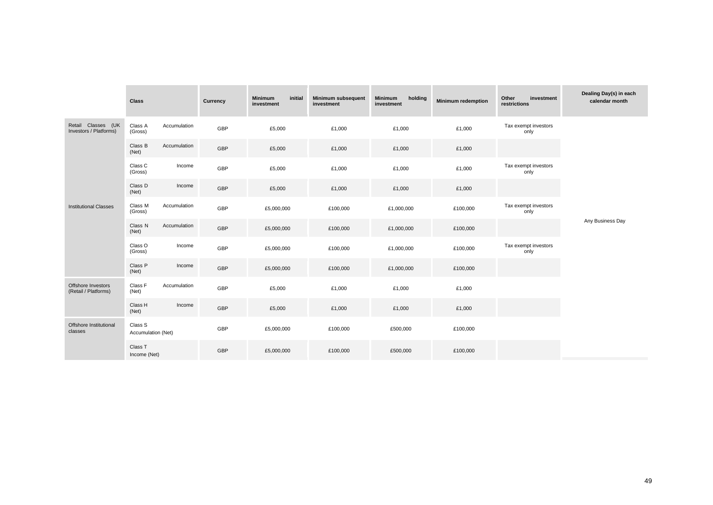|                                              | <b>Class</b>                  |              | <b>Currency</b> | <b>Minimum</b><br>initial<br>investment | <b>Minimum subsequent</b><br>investment | <b>Minimum</b><br>holding<br>investment | <b>Minimum redemption</b> | Other<br>investment<br>restrictions | Dealing Day(s) in each<br>calendar month |
|----------------------------------------------|-------------------------------|--------------|-----------------|-----------------------------------------|-----------------------------------------|-----------------------------------------|---------------------------|-------------------------------------|------------------------------------------|
| Retail Classes (UK<br>Investors / Platforms) | Class A<br>(Gross)            | Accumulation | GBP             | £5,000                                  | £1,000                                  | £1,000                                  | £1,000                    | Tax exempt investors<br>only        |                                          |
|                                              | Class B<br>(Net)              | Accumulation | GBP             | £5,000                                  | £1,000                                  | £1,000                                  | £1,000                    |                                     |                                          |
|                                              | Class C<br>(Gross)            | Income       | GBP             | £5,000                                  | £1,000                                  | £1,000                                  | £1,000                    | Tax exempt investors<br>only        |                                          |
|                                              | Class D<br>(Net)              | Income       | GBP             | £5,000                                  | £1,000                                  | £1,000                                  | £1,000                    |                                     |                                          |
| <b>Institutional Classes</b>                 | Class M<br>(Gross)            | Accumulation | GBP             | £5,000,000                              | £100,000                                | £1,000,000                              | £100,000                  | Tax exempt investors<br>only        |                                          |
|                                              | Class N<br>(Net)              | Accumulation | GBP             | £5,000,000                              | £100,000                                | £1,000,000                              | £100,000                  |                                     | Any Business Day                         |
|                                              | Class O<br>(Gross)            | Income       | GBP             | £5,000,000                              | £100,000                                | £1,000,000                              | £100,000                  | Tax exempt investors<br>only        |                                          |
|                                              | Class P<br>(Net)              | Income       | GBP             | £5,000,000                              | £100,000                                | £1,000,000                              | £100,000                  |                                     |                                          |
| Offshore Investors<br>(Retail / Platforms)   | Class F<br>(Net)              | Accumulation | GBP             | £5,000                                  | £1,000                                  | £1,000                                  | £1,000                    |                                     |                                          |
|                                              | Class H<br>(Net)              | Income       | GBP             | £5,000                                  | £1,000                                  | £1,000                                  | £1,000                    |                                     |                                          |
| Offshore Institutional<br>classes            | Class S<br>Accumulation (Net) |              | GBP             | £5,000,000                              | £100,000                                | £500,000                                | £100,000                  |                                     |                                          |
|                                              | Class T<br>Income (Net)       |              | GBP             | £5,000,000                              | £100,000                                | £500,000                                | £100,000                  |                                     |                                          |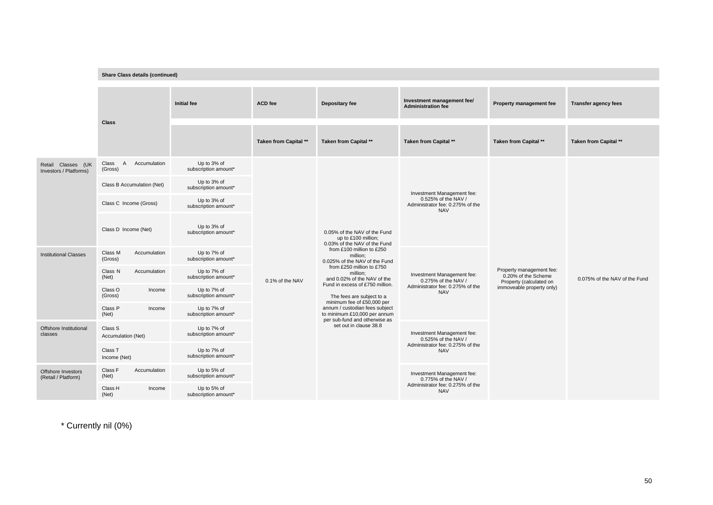|                                              | <b>Share Class details (continued)</b>             |                                     |                                                                                                                                                               |                                                                                                     |                                                                                                     |                                                                                                         |                               |
|----------------------------------------------|----------------------------------------------------|-------------------------------------|---------------------------------------------------------------------------------------------------------------------------------------------------------------|-----------------------------------------------------------------------------------------------------|-----------------------------------------------------------------------------------------------------|---------------------------------------------------------------------------------------------------------|-------------------------------|
|                                              |                                                    | Initial fee                         | <b>ACD</b> fee                                                                                                                                                | Depositary fee                                                                                      | Investment management fee/<br><b>Administration fee</b>                                             | Property management fee                                                                                 | <b>Transfer agency fees</b>   |
|                                              | <b>Class</b>                                       |                                     | Taken from Capital **                                                                                                                                         | Taken from Capital **                                                                               | Taken from Capital **                                                                               | Taken from Capital **                                                                                   | Taken from Capital **         |
| Retail Classes (UK<br>Investors / Platforms) | $\overline{A}$<br>Accumulation<br>Class<br>(Gross) | Up to 3% of<br>subscription amount* |                                                                                                                                                               |                                                                                                     |                                                                                                     |                                                                                                         |                               |
|                                              | Class B Accumulation (Net)                         | Up to 3% of<br>subscription amount* | 0.05% of the NAV of the Fund<br>up to £100 million;<br>0.03% of the NAV of the Fund<br>from £100 million to £250<br>million:<br>0.025% of the NAV of the Fund |                                                                                                     |                                                                                                     |                                                                                                         |                               |
|                                              | Class C Income (Gross)                             | Up to 3% of<br>subscription amount* |                                                                                                                                                               | Investment Management fee:<br>0.525% of the NAV /<br>Administrator fee: 0.275% of the<br><b>NAV</b> |                                                                                                     |                                                                                                         |                               |
|                                              | Class D Income (Net)                               | Up to 3% of<br>subscription amount* |                                                                                                                                                               |                                                                                                     |                                                                                                     |                                                                                                         |                               |
| <b>Institutional Classes</b>                 | Class M<br>Accumulation<br>(Gross)                 | Up to 7% of<br>subscription amount* |                                                                                                                                                               |                                                                                                     |                                                                                                     |                                                                                                         |                               |
|                                              | Accumulation<br>Class N<br>(Net)                   | Up to 7% of<br>subscription amount* | 0.1% of the NAV                                                                                                                                               | from £250 million to £750<br>million:<br>and 0.02% of the NAV of the                                | Investment Management fee:<br>0.275% of the NAV /<br>Administrator fee: 0.275% of the<br><b>NAV</b> | Property management fee:<br>0.20% of the Scheme<br>Property (calculated on<br>immoveable property only) | 0.075% of the NAV of the Fund |
|                                              | Class O<br>Income<br>(Gross)                       | Up to 7% of<br>subscription amount* |                                                                                                                                                               | Fund in excess of £750 million.<br>The fees are subject to a                                        |                                                                                                     |                                                                                                         |                               |
|                                              | Class P<br>Income<br>(Net)                         | Up to 7% of<br>subscription amount* |                                                                                                                                                               | minimum fee of £50,000 per<br>annum / custodian fees subject<br>to minimum £10,000 per annum        |                                                                                                     |                                                                                                         |                               |
| Offshore Institutional<br>classes            | Class S<br>Accumulation (Net)                      | Up to 7% of<br>subscription amount* |                                                                                                                                                               | per sub-fund and otherwise as<br>set out in clause 38.8                                             | Investment Management fee:<br>0.525% of the NAV /                                                   |                                                                                                         |                               |
|                                              | Class T<br>Income (Net)                            | Up to 7% of<br>subscription amount* |                                                                                                                                                               |                                                                                                     | Administrator fee: 0.275% of the<br><b>NAV</b>                                                      |                                                                                                         |                               |
| Offshore Investors<br>(Retail / Platform)    | Class F<br>Accumulation<br>(Net)                   | Up to 5% of<br>subscription amount* |                                                                                                                                                               |                                                                                                     | Investment Management fee:<br>0.775% of the NAV /                                                   |                                                                                                         |                               |
|                                              | Class H<br>Income<br>(Net)                         | Up to 5% of<br>subscription amount* |                                                                                                                                                               |                                                                                                     | Administrator fee: 0.275% of the<br><b>NAV</b>                                                      |                                                                                                         |                               |

\* Currently nil (0%)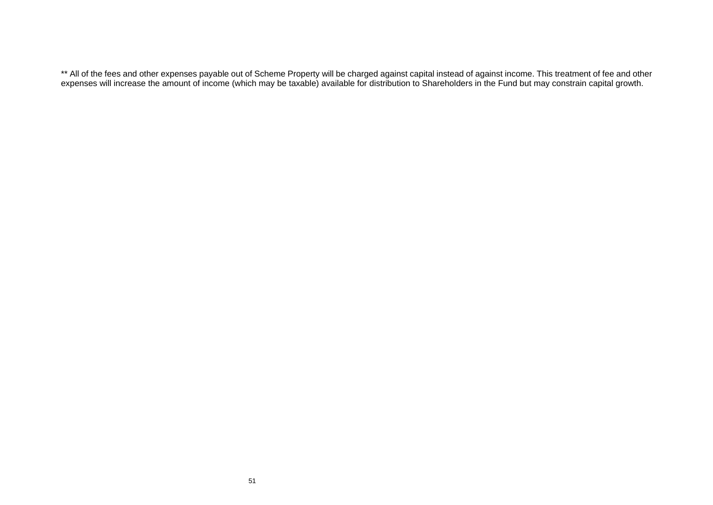\*\* All of the fees and other expenses payable out of Scheme Property will be charged against capital instead of against income. This treatment of fee and other expenses will increase the amount of income (which may be taxable) available for distribution to Shareholders in the Fund but may constrain capital growth.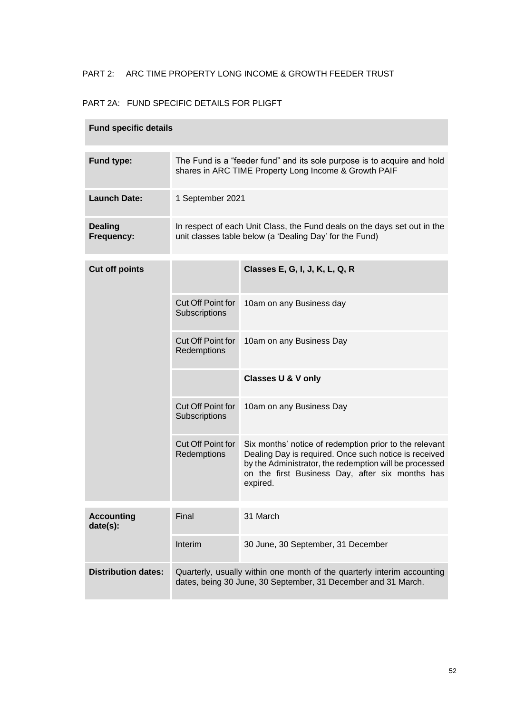# PART 2: ARC TIME PROPERTY LONG INCOME & GROWTH FEEDER TRUST

# PART 2A: FUND SPECIFIC DETAILS FOR PLIGFT

| <b>Fund specific details</b>  |                                                                                                                                          |                                                                                                                                                                                                                                          |  |  |  |
|-------------------------------|------------------------------------------------------------------------------------------------------------------------------------------|------------------------------------------------------------------------------------------------------------------------------------------------------------------------------------------------------------------------------------------|--|--|--|
| Fund type:                    |                                                                                                                                          | The Fund is a "feeder fund" and its sole purpose is to acquire and hold<br>shares in ARC TIME Property Long Income & Growth PAIF                                                                                                         |  |  |  |
| <b>Launch Date:</b>           | 1 September 2021                                                                                                                         |                                                                                                                                                                                                                                          |  |  |  |
| <b>Dealing</b><br>Frequency:  |                                                                                                                                          | In respect of each Unit Class, the Fund deals on the days set out in the<br>unit classes table below (a 'Dealing Day' for the Fund)                                                                                                      |  |  |  |
| <b>Cut off points</b>         |                                                                                                                                          | Classes E, G, I, J, K, L, Q, R                                                                                                                                                                                                           |  |  |  |
|                               | Cut Off Point for<br>Subscriptions                                                                                                       | 10am on any Business day                                                                                                                                                                                                                 |  |  |  |
|                               | Cut Off Point for<br>Redemptions                                                                                                         | 10am on any Business Day                                                                                                                                                                                                                 |  |  |  |
|                               |                                                                                                                                          | <b>Classes U &amp; V only</b>                                                                                                                                                                                                            |  |  |  |
|                               | Cut Off Point for<br>Subscriptions                                                                                                       | 10am on any Business Day                                                                                                                                                                                                                 |  |  |  |
|                               | Cut Off Point for<br>Redemptions                                                                                                         | Six months' notice of redemption prior to the relevant<br>Dealing Day is required. Once such notice is received<br>by the Administrator, the redemption will be processed<br>on the first Business Day, after six months has<br>expired. |  |  |  |
| <b>Accounting</b><br>date(s): | Final                                                                                                                                    | 31 March                                                                                                                                                                                                                                 |  |  |  |
|                               | Interim                                                                                                                                  | 30 June, 30 September, 31 December                                                                                                                                                                                                       |  |  |  |
| <b>Distribution dates:</b>    | Quarterly, usually within one month of the quarterly interim accounting<br>dates, being 30 June, 30 September, 31 December and 31 March. |                                                                                                                                                                                                                                          |  |  |  |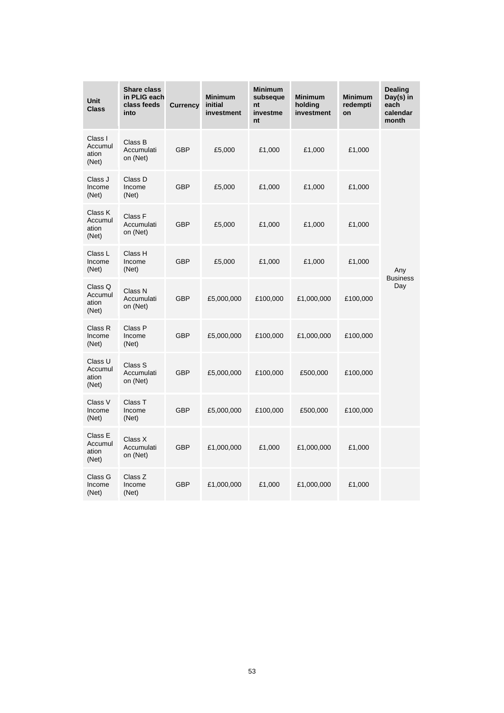| Unit<br><b>Class</b>                 | <b>Share class</b><br>in PLIG each<br>class feeds<br>into | <b>Currency</b> | <b>Minimum</b><br>initial<br>investment | Minimum<br>subseque<br>nt<br>investme<br>nt | <b>Minimum</b><br>holding<br>investment | <b>Minimum</b><br>redempti<br>on | Dealing<br>Day(s) in<br>each<br>calendar<br>month |
|--------------------------------------|-----------------------------------------------------------|-----------------|-----------------------------------------|---------------------------------------------|-----------------------------------------|----------------------------------|---------------------------------------------------|
| Class I<br>Accumul<br>ation<br>(Net) | Class B<br>Accumulati<br>on (Net)                         | GBP             | £5,000                                  | £1,000                                      | £1,000                                  | £1,000                           |                                                   |
| Class J<br>Income<br>(Net)           | Class D<br>Income<br>(Net)                                | <b>GBP</b>      | £5,000                                  | £1,000                                      | £1,000                                  | £1,000                           |                                                   |
| Class K<br>Accumul<br>ation<br>(Net) | Class F<br>Accumulati<br>on (Net)                         | <b>GBP</b>      | £5,000                                  | £1,000                                      | £1,000                                  | £1,000                           |                                                   |
| Class L<br>Income<br>(Net)           | Class H<br>Income<br>(Net)                                | <b>GBP</b>      | £5,000                                  | £1,000                                      | £1,000                                  | £1,000                           | Any<br><b>Business</b>                            |
| Class Q<br>Accumul<br>ation<br>(Net) | Class N<br>Accumulati<br>on (Net)                         | GBP             | £5,000,000                              | £100,000                                    | £1,000,000                              | £100,000                         | Day                                               |
| Class R<br>Income<br>(Net)           | Class P<br>Income<br>(Net)                                | <b>GBP</b>      | £5,000,000                              | £100,000                                    | £1,000,000                              | £100,000                         |                                                   |
| Class U<br>Accumul<br>ation<br>(Net) | Class S<br>Accumulati<br>on (Net)                         | <b>GBP</b>      | £5,000,000                              | £100,000                                    | £500,000                                | £100,000                         |                                                   |
| Class V<br>Income<br>(Net)           | Class T<br>Income<br>(Net)                                | <b>GBP</b>      | £5,000,000                              | £100,000                                    | £500,000                                | £100,000                         |                                                   |
| Class E<br>Accumul<br>ation<br>(Net) | Class X<br>Accumulati<br>on (Net)                         | <b>GBP</b>      | £1,000,000                              | £1,000                                      | £1,000,000                              | £1,000                           |                                                   |
| Class G<br>Income<br>(Net)           | Class Z<br>Income<br>(Net)                                | <b>GBP</b>      | £1,000,000                              | £1,000                                      | £1,000,000                              | £1,000                           |                                                   |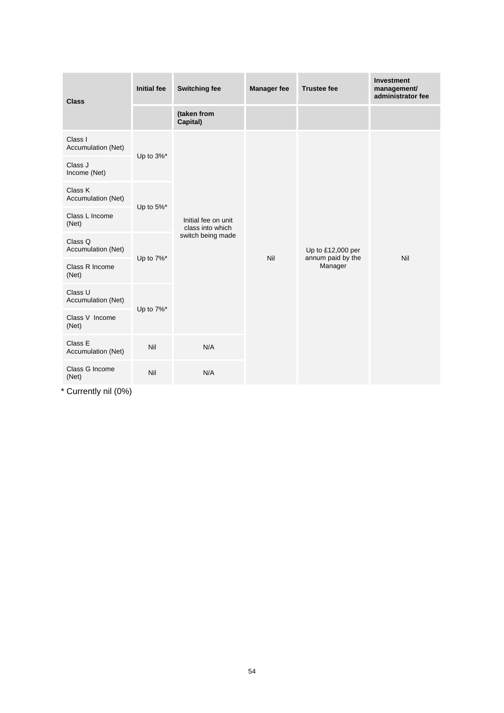| <b>Class</b>                  | <b>Initial fee</b> | <b>Switching fee</b>                                         | <b>Manager fee</b> | <b>Trustee fee</b>                                | <b>Investment</b><br>management/<br>administrator fee |
|-------------------------------|--------------------|--------------------------------------------------------------|--------------------|---------------------------------------------------|-------------------------------------------------------|
|                               |                    | (taken from<br>Capital)                                      |                    |                                                   |                                                       |
| Class I<br>Accumulation (Net) |                    |                                                              |                    | Up to £12,000 per<br>annum paid by the<br>Manager | Nil                                                   |
| Class J<br>Income (Net)       | Up to 3%*          | Initial fee on unit<br>class into which<br>switch being made |                    |                                                   |                                                       |
| Class K<br>Accumulation (Net) | Up to 5%*          |                                                              | Nil                |                                                   |                                                       |
| Class L Income<br>(Net)       |                    |                                                              |                    |                                                   |                                                       |
| Class Q<br>Accumulation (Net) |                    |                                                              |                    |                                                   |                                                       |
| Class R Income<br>(Net)       | Up to 7%*          |                                                              |                    |                                                   |                                                       |
| Class U<br>Accumulation (Net) |                    |                                                              |                    |                                                   |                                                       |
| Class V Income<br>(Net)       | Up to 7%*          |                                                              |                    |                                                   |                                                       |
| Class E<br>Accumulation (Net) | Nil                | N/A                                                          |                    |                                                   |                                                       |
| Class G Income<br>(Net)       | Nil                | N/A                                                          |                    |                                                   |                                                       |

\* Currently nil (0%)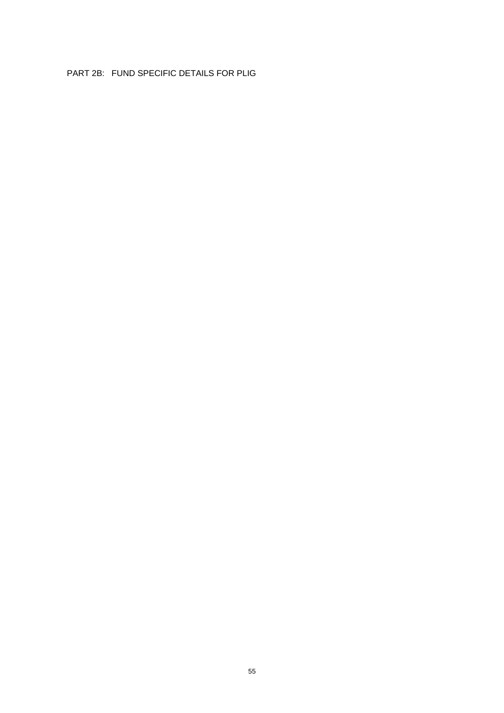## PART 2B: FUND SPECIFIC DETAILS FOR PLIG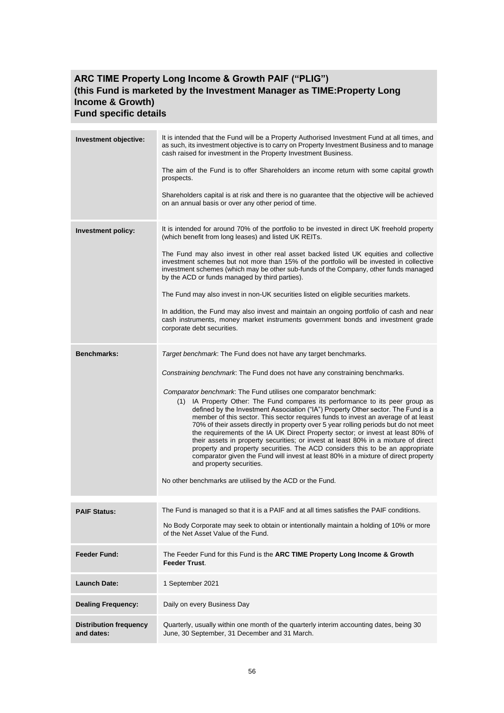# **ARC TIME Property Long Income & Growth PAIF ("PLIG") (this Fund is marketed by the Investment Manager as TIME:Property Long Income & Growth) Fund specific details**

| Investment objective:                       | It is intended that the Fund will be a Property Authorised Investment Fund at all times, and<br>as such, its investment objective is to carry on Property Investment Business and to manage<br>cash raised for investment in the Property Investment Business.<br>The aim of the Fund is to offer Shareholders an income return with some capital growth<br>prospects.<br>Shareholders capital is at risk and there is no guarantee that the objective will be achieved<br>on an annual basis or over any other period of time.                                                                                                                                                                                                                                                                                                                                                                                                                                                                                 |
|---------------------------------------------|-----------------------------------------------------------------------------------------------------------------------------------------------------------------------------------------------------------------------------------------------------------------------------------------------------------------------------------------------------------------------------------------------------------------------------------------------------------------------------------------------------------------------------------------------------------------------------------------------------------------------------------------------------------------------------------------------------------------------------------------------------------------------------------------------------------------------------------------------------------------------------------------------------------------------------------------------------------------------------------------------------------------|
| Investment policy:                          | It is intended for around 70% of the portfolio to be invested in direct UK freehold property<br>(which benefit from long leases) and listed UK REITs.<br>The Fund may also invest in other real asset backed listed UK equities and collective<br>investment schemes but not more than 15% of the portfolio will be invested in collective<br>investment schemes (which may be other sub-funds of the Company, other funds managed<br>by the ACD or funds managed by third parties).<br>The Fund may also invest in non-UK securities listed on eligible securities markets.<br>In addition, the Fund may also invest and maintain an ongoing portfolio of cash and near<br>cash instruments, money market instruments government bonds and investment grade<br>corporate debt securities.                                                                                                                                                                                                                      |
| <b>Benchmarks:</b>                          | Target benchmark: The Fund does not have any target benchmarks.<br>Constraining benchmark. The Fund does not have any constraining benchmarks.<br>Comparator benchmark. The Fund utilises one comparator benchmark:<br>(1) IA Property Other: The Fund compares its performance to its peer group as<br>defined by the Investment Association ("IA") Property Other sector. The Fund is a<br>member of this sector. This sector requires funds to invest an average of at least<br>70% of their assets directly in property over 5 year rolling periods but do not meet<br>the requirements of the IA UK Direct Property sector; or invest at least 80% of<br>their assets in property securities; or invest at least 80% in a mixture of direct<br>property and property securities. The ACD considers this to be an appropriate<br>comparator given the Fund will invest at least 80% in a mixture of direct property<br>and property securities.<br>No other benchmarks are utilised by the ACD or the Fund. |
| <b>PAIF Status:</b>                         | The Fund is managed so that it is a PAIF and at all times satisfies the PAIF conditions.<br>No Body Corporate may seek to obtain or intentionally maintain a holding of 10% or more<br>of the Net Asset Value of the Fund.                                                                                                                                                                                                                                                                                                                                                                                                                                                                                                                                                                                                                                                                                                                                                                                      |
| <b>Feeder Fund:</b>                         | The Feeder Fund for this Fund is the ARC TIME Property Long Income & Growth<br><b>Feeder Trust.</b>                                                                                                                                                                                                                                                                                                                                                                                                                                                                                                                                                                                                                                                                                                                                                                                                                                                                                                             |
| <b>Launch Date:</b>                         | 1 September 2021                                                                                                                                                                                                                                                                                                                                                                                                                                                                                                                                                                                                                                                                                                                                                                                                                                                                                                                                                                                                |
| <b>Dealing Frequency:</b>                   | Daily on every Business Day                                                                                                                                                                                                                                                                                                                                                                                                                                                                                                                                                                                                                                                                                                                                                                                                                                                                                                                                                                                     |
| <b>Distribution frequency</b><br>and dates: | Quarterly, usually within one month of the quarterly interim accounting dates, being 30<br>June, 30 September, 31 December and 31 March.                                                                                                                                                                                                                                                                                                                                                                                                                                                                                                                                                                                                                                                                                                                                                                                                                                                                        |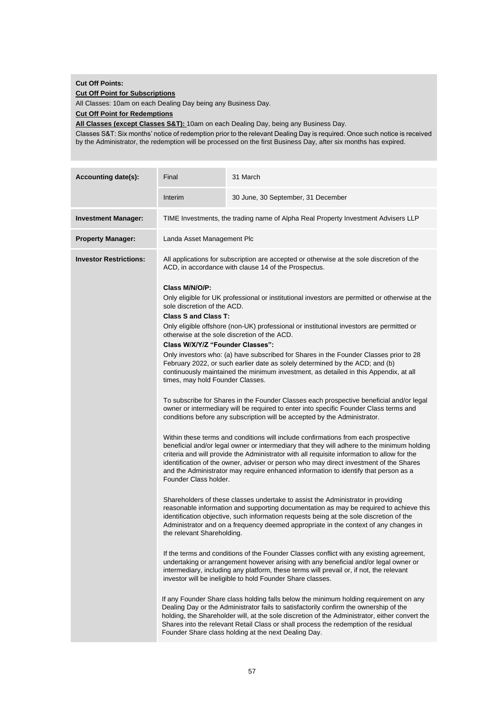#### **Cut Off Points:**

**Cut Off Point for Subscriptions**

All Classes: 10am on each Dealing Day being any Business Day.

**Cut Off Point for Redemptions**

**All Classes (except Classes S&T):** 10am on each Dealing Day, being any Business Day.

Classes S&T: Six months' notice of redemption prior to the relevant Dealing Day is required. Once such notice is received by the Administrator, the redemption will be processed on the first Business Day, after six months has expired.

| <b>Accounting date(s):</b>    | Final                                                                                                                                                                                                                                                                                                                                                                                                                                                                                                                                                                                                                         | 31 March                                                                                                                                                                                                                                                                                                                                                                                                                                                                                                                                                                                                                                                                                                                                                                                                                                                                                                                                                                                                                                                                                                                                                                                                                                                                                                                                                                                                                                                                                                                                                                                                                                                                                                                                                               |  |  |  |  |  |  |
|-------------------------------|-------------------------------------------------------------------------------------------------------------------------------------------------------------------------------------------------------------------------------------------------------------------------------------------------------------------------------------------------------------------------------------------------------------------------------------------------------------------------------------------------------------------------------------------------------------------------------------------------------------------------------|------------------------------------------------------------------------------------------------------------------------------------------------------------------------------------------------------------------------------------------------------------------------------------------------------------------------------------------------------------------------------------------------------------------------------------------------------------------------------------------------------------------------------------------------------------------------------------------------------------------------------------------------------------------------------------------------------------------------------------------------------------------------------------------------------------------------------------------------------------------------------------------------------------------------------------------------------------------------------------------------------------------------------------------------------------------------------------------------------------------------------------------------------------------------------------------------------------------------------------------------------------------------------------------------------------------------------------------------------------------------------------------------------------------------------------------------------------------------------------------------------------------------------------------------------------------------------------------------------------------------------------------------------------------------------------------------------------------------------------------------------------------------|--|--|--|--|--|--|
|                               | Interim                                                                                                                                                                                                                                                                                                                                                                                                                                                                                                                                                                                                                       | 30 June, 30 September, 31 December                                                                                                                                                                                                                                                                                                                                                                                                                                                                                                                                                                                                                                                                                                                                                                                                                                                                                                                                                                                                                                                                                                                                                                                                                                                                                                                                                                                                                                                                                                                                                                                                                                                                                                                                     |  |  |  |  |  |  |
| <b>Investment Manager:</b>    |                                                                                                                                                                                                                                                                                                                                                                                                                                                                                                                                                                                                                               | TIME Investments, the trading name of Alpha Real Property Investment Advisers LLP                                                                                                                                                                                                                                                                                                                                                                                                                                                                                                                                                                                                                                                                                                                                                                                                                                                                                                                                                                                                                                                                                                                                                                                                                                                                                                                                                                                                                                                                                                                                                                                                                                                                                      |  |  |  |  |  |  |
| <b>Property Manager:</b>      |                                                                                                                                                                                                                                                                                                                                                                                                                                                                                                                                                                                                                               | Landa Asset Management Plc                                                                                                                                                                                                                                                                                                                                                                                                                                                                                                                                                                                                                                                                                                                                                                                                                                                                                                                                                                                                                                                                                                                                                                                                                                                                                                                                                                                                                                                                                                                                                                                                                                                                                                                                             |  |  |  |  |  |  |
| <b>Investor Restrictions:</b> | Class M/N/O/P:<br>sole discretion of the ACD.<br><b>Class S and Class T:</b><br>Class W/X/Y/Z "Founder Classes":<br>times, may hold Founder Classes.<br>Founder Class holder.<br>the relevant Shareholding.                                                                                                                                                                                                                                                                                                                                                                                                                   | All applications for subscription are accepted or otherwise at the sole discretion of the<br>ACD, in accordance with clause 14 of the Prospectus.<br>Only eligible for UK professional or institutional investors are permitted or otherwise at the<br>Only eligible offshore (non-UK) professional or institutional investors are permitted or<br>otherwise at the sole discretion of the ACD.<br>Only investors who: (a) have subscribed for Shares in the Founder Classes prior to 28<br>February 2022, or such earlier date as solely determined by the ACD; and (b)<br>continuously maintained the minimum investment, as detailed in this Appendix, at all<br>To subscribe for Shares in the Founder Classes each prospective beneficial and/or legal<br>owner or intermediary will be required to enter into specific Founder Class terms and<br>conditions before any subscription will be accepted by the Administrator.<br>Within these terms and conditions will include confirmations from each prospective<br>beneficial and/or legal owner or intermediary that they will adhere to the minimum holding<br>criteria and will provide the Administrator with all requisite information to allow for the<br>identification of the owner, adviser or person who may direct investment of the Shares<br>and the Administrator may require enhanced information to identify that person as a<br>Shareholders of these classes undertake to assist the Administrator in providing<br>reasonable information and supporting documentation as may be required to achieve this<br>identification objective, such information requests being at the sole discretion of the<br>Administrator and on a frequency deemed appropriate in the context of any changes in |  |  |  |  |  |  |
|                               | If the terms and conditions of the Founder Classes conflict with any existing agreement,<br>undertaking or arrangement however arising with any beneficial and/or legal owner or<br>intermediary, including any platform, these terms will prevail or, if not, the relevant<br>investor will be ineligible to hold Founder Share classes.<br>If any Founder Share class holding falls below the minimum holding requirement on any<br>Dealing Day or the Administrator fails to satisfactorily confirm the ownership of the<br>holding, the Shareholder will, at the sole discretion of the Administrator, either convert the |                                                                                                                                                                                                                                                                                                                                                                                                                                                                                                                                                                                                                                                                                                                                                                                                                                                                                                                                                                                                                                                                                                                                                                                                                                                                                                                                                                                                                                                                                                                                                                                                                                                                                                                                                                        |  |  |  |  |  |  |
|                               |                                                                                                                                                                                                                                                                                                                                                                                                                                                                                                                                                                                                                               | Shares into the relevant Retail Class or shall process the redemption of the residual<br>Founder Share class holding at the next Dealing Day.                                                                                                                                                                                                                                                                                                                                                                                                                                                                                                                                                                                                                                                                                                                                                                                                                                                                                                                                                                                                                                                                                                                                                                                                                                                                                                                                                                                                                                                                                                                                                                                                                          |  |  |  |  |  |  |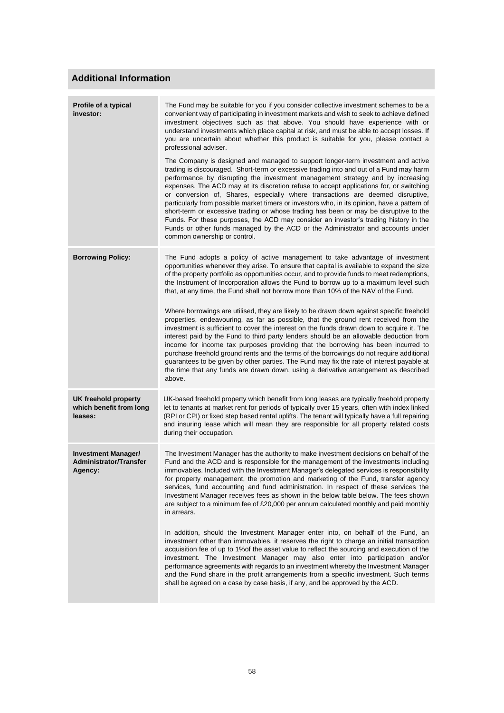# **Additional Information**

| The Fund may be suitable for you if you consider collective investment schemes to be a<br>convenient way of participating in investment markets and wish to seek to achieve defined<br>investment objectives such as that above. You should have experience with or<br>understand investments which place capital at risk, and must be able to accept losses. If<br>you are uncertain about whether this product is suitable for you, please contact a<br>professional adviser.<br>The Company is designed and managed to support longer-term investment and active<br>trading is discouraged. Short-term or excessive trading into and out of a Fund may harm<br>performance by disrupting the investment management strategy and by increasing<br>expenses. The ACD may at its discretion refuse to accept applications for, or switching<br>or conversion of, Shares, especially where transactions are deemed disruptive,<br>particularly from possible market timers or investors who, in its opinion, have a pattern of<br>short-term or excessive trading or whose trading has been or may be disruptive to the<br>Funds. For these purposes, the ACD may consider an investor's trading history in the<br>Funds or other funds managed by the ACD or the Administrator and accounts under<br>common ownership or control. |
|-----------------------------------------------------------------------------------------------------------------------------------------------------------------------------------------------------------------------------------------------------------------------------------------------------------------------------------------------------------------------------------------------------------------------------------------------------------------------------------------------------------------------------------------------------------------------------------------------------------------------------------------------------------------------------------------------------------------------------------------------------------------------------------------------------------------------------------------------------------------------------------------------------------------------------------------------------------------------------------------------------------------------------------------------------------------------------------------------------------------------------------------------------------------------------------------------------------------------------------------------------------------------------------------------------------------------------------|
| The Fund adopts a policy of active management to take advantage of investment<br>opportunities whenever they arise. To ensure that capital is available to expand the size<br>of the property portfolio as opportunities occur, and to provide funds to meet redemptions,<br>the Instrument of Incorporation allows the Fund to borrow up to a maximum level such<br>that, at any time, the Fund shall not borrow more than 10% of the NAV of the Fund.<br>Where borrowings are utilised, they are likely to be drawn down against specific freehold<br>properties, endeavouring, as far as possible, that the ground rent received from the<br>investment is sufficient to cover the interest on the funds drawn down to acquire it. The<br>interest paid by the Fund to third party lenders should be an allowable deduction from<br>income for income tax purposes providing that the borrowing has been incurred to<br>purchase freehold ground rents and the terms of the borrowings do not require additional<br>guarantees to be given by other parties. The Fund may fix the rate of interest payable at<br>the time that any funds are drawn down, using a derivative arrangement as described<br>above.                                                                                                                 |
| UK-based freehold property which benefit from long leases are typically freehold property<br>let to tenants at market rent for periods of typically over 15 years, often with index linked<br>(RPI or CPI) or fixed step based rental uplifts. The tenant will typically have a full repairing<br>and insuring lease which will mean they are responsible for all property related costs<br>during their occupation.                                                                                                                                                                                                                                                                                                                                                                                                                                                                                                                                                                                                                                                                                                                                                                                                                                                                                                              |
| The Investment Manager has the authority to make investment decisions on behalf of the<br>Fund and the ACD and is responsible for the management of the investments including<br>immovables. Included with the Investment Manager's delegated services is responsibility<br>for property management, the promotion and marketing of the Fund, transfer agency<br>services, fund accounting and fund administration. In respect of these services the<br>Investment Manager receives fees as shown in the below table below. The fees shown<br>are subject to a minimum fee of £20,000 per annum calculated monthly and paid monthly<br>in arrears.<br>In addition, should the Investment Manager enter into, on behalf of the Fund, an<br>investment other than immovables, it reserves the right to charge an initial transaction<br>acquisition fee of up to 1% of the asset value to reflect the sourcing and execution of the<br>investment. The Investment Manager may also enter into participation and/or<br>performance agreements with regards to an investment whereby the Investment Manager<br>and the Fund share in the profit arrangements from a specific investment. Such terms<br>shall be agreed on a case by case basis, if any, and be approved by the ACD.                                                   |
|                                                                                                                                                                                                                                                                                                                                                                                                                                                                                                                                                                                                                                                                                                                                                                                                                                                                                                                                                                                                                                                                                                                                                                                                                                                                                                                                   |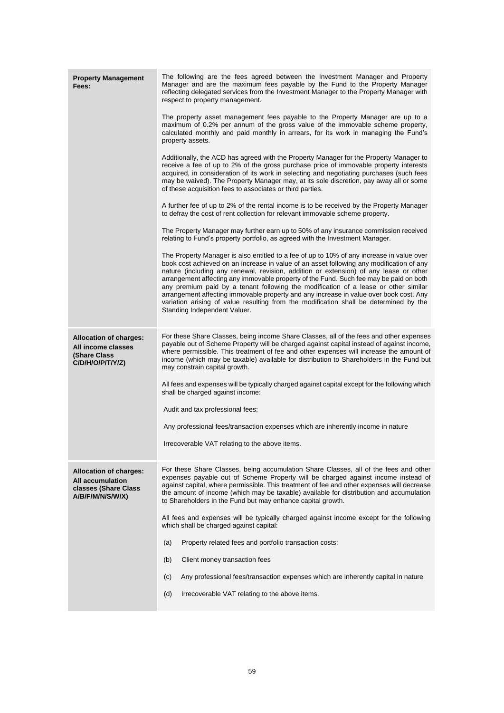| <b>Property Management</b><br>Fees:                                                                  | The following are the fees agreed between the Investment Manager and Property<br>Manager and are the maximum fees payable by the Fund to the Property Manager<br>reflecting delegated services from the Investment Manager to the Property Manager with<br>respect to property management.<br>The property asset management fees payable to the Property Manager are up to a<br>maximum of 0.2% per annum of the gross value of the immovable scheme property,<br>calculated monthly and paid monthly in arrears, for its work in managing the Fund's<br>property assets.<br>Additionally, the ACD has agreed with the Property Manager for the Property Manager to<br>receive a fee of up to 2% of the gross purchase price of immovable property interests<br>acquired, in consideration of its work in selecting and negotiating purchases (such fees<br>may be waived). The Property Manager may, at its sole discretion, pay away all or some<br>of these acquisition fees to associates or third parties.<br>A further fee of up to 2% of the rental income is to be received by the Property Manager<br>to defray the cost of rent collection for relevant immovable scheme property.<br>The Property Manager may further earn up to 50% of any insurance commission received<br>relating to Fund's property portfolio, as agreed with the Investment Manager.<br>The Property Manager is also entitled to a fee of up to 10% of any increase in value over<br>book cost achieved on an increase in value of an asset following any modification of any<br>nature (including any renewal, revision, addition or extension) of any lease or other<br>arrangement affecting any immovable property of the Fund. Such fee may be paid on both<br>any premium paid by a tenant following the modification of a lease or other similar<br>arrangement affecting immovable property and any increase in value over book cost. Any<br>variation arising of value resulting from the modification shall be determined by the<br>Standing Independent Valuer. |
|------------------------------------------------------------------------------------------------------|-------------------------------------------------------------------------------------------------------------------------------------------------------------------------------------------------------------------------------------------------------------------------------------------------------------------------------------------------------------------------------------------------------------------------------------------------------------------------------------------------------------------------------------------------------------------------------------------------------------------------------------------------------------------------------------------------------------------------------------------------------------------------------------------------------------------------------------------------------------------------------------------------------------------------------------------------------------------------------------------------------------------------------------------------------------------------------------------------------------------------------------------------------------------------------------------------------------------------------------------------------------------------------------------------------------------------------------------------------------------------------------------------------------------------------------------------------------------------------------------------------------------------------------------------------------------------------------------------------------------------------------------------------------------------------------------------------------------------------------------------------------------------------------------------------------------------------------------------------------------------------------------------------------------------------------------------------------------------------------------------------------------------------------------------------------|
| <b>Allocation of charges:</b><br>All income classes<br>(Share Class<br>C/D/H/O/P/T/Y/Z)              | For these Share Classes, being income Share Classes, all of the fees and other expenses<br>payable out of Scheme Property will be charged against capital instead of against income,<br>where permissible. This treatment of fee and other expenses will increase the amount of<br>income (which may be taxable) available for distribution to Shareholders in the Fund but<br>may constrain capital growth.<br>All fees and expenses will be typically charged against capital except for the following which<br>shall be charged against income:<br>Audit and tax professional fees;<br>Any professional fees/transaction expenses which are inherently income in nature<br>Irrecoverable VAT relating to the above items.                                                                                                                                                                                                                                                                                                                                                                                                                                                                                                                                                                                                                                                                                                                                                                                                                                                                                                                                                                                                                                                                                                                                                                                                                                                                                                                                |
| <b>Allocation of charges:</b><br><b>All accumulation</b><br>classes (Share Class<br>A/B/F/M/N/S/W/X) | For these Share Classes, being accumulation Share Classes, all of the fees and other<br>expenses payable out of Scheme Property will be charged against income instead of<br>against capital, where permissible. This treatment of fee and other expenses will decrease<br>the amount of income (which may be taxable) available for distribution and accumulation<br>to Shareholders in the Fund but may enhance capital growth.<br>All fees and expenses will be typically charged against income except for the following<br>which shall be charged against capital:<br>Property related fees and portfolio transaction costs;<br>(a)<br>(b)<br>Client money transaction fees<br>(c)<br>Any professional fees/transaction expenses which are inherently capital in nature<br>(d)<br>Irrecoverable VAT relating to the above items.                                                                                                                                                                                                                                                                                                                                                                                                                                                                                                                                                                                                                                                                                                                                                                                                                                                                                                                                                                                                                                                                                                                                                                                                                       |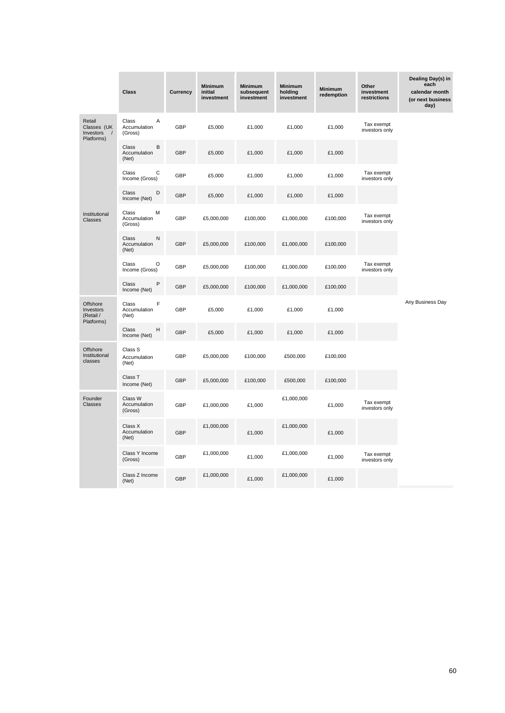|                                                              | <b>Class</b>                          | <b>Currency</b> | <b>Minimum</b><br>initial<br>investment | <b>Minimum</b><br>subsequent<br>investment | <b>Minimum</b><br>holding<br>investment | <b>Minimum</b><br>redemption | Other<br>investment<br>restrictions | Dealing Day(s) in<br>each<br>calendar month<br>(or next business<br>day) |
|--------------------------------------------------------------|---------------------------------------|-----------------|-----------------------------------------|--------------------------------------------|-----------------------------------------|------------------------------|-------------------------------------|--------------------------------------------------------------------------|
| Retail<br>Classes (UK<br>Investors<br>$\prime$<br>Platforms) | Α<br>Class<br>Accumulation<br>(Gross) | GBP             | £5,000                                  | £1,000                                     | £1,000                                  | £1,000                       | Tax exempt<br>investors only        |                                                                          |
|                                                              | Class<br>B<br>Accumulation<br>(Net)   | <b>GBP</b>      | £5,000                                  | £1,000                                     | £1,000                                  | £1,000                       |                                     |                                                                          |
|                                                              | Class<br>С<br>Income (Gross)          | GBP             | £5,000                                  | £1,000                                     | £1,000                                  | £1,000                       | Tax exempt<br>investors only        |                                                                          |
|                                                              | D<br>Class<br>Income (Net)            | GBP             | £5,000                                  | £1,000                                     | £1,000                                  | £1,000                       |                                     |                                                                          |
| Institutional<br>Classes                                     | Class<br>M<br>Accumulation<br>(Gross) | GBP             | £5,000,000                              | £100,000                                   | £1,000,000                              | £100,000                     | Tax exempt<br>investors only        |                                                                          |
|                                                              | Class<br>N<br>Accumulation<br>(Net)   | <b>GBP</b>      | £5,000,000                              | £100,000                                   | £1,000,000                              | £100,000                     |                                     |                                                                          |
|                                                              | Class<br>O<br>Income (Gross)          | GBP             | £5,000,000                              | £100,000                                   | £1,000,000                              | £100,000                     | Tax exempt<br>investors only        |                                                                          |
|                                                              | P<br>Class<br>Income (Net)            | GBP             | £5,000,000                              | £100,000                                   | £1,000,000                              | £100,000                     |                                     |                                                                          |
| Offshore<br>Investors<br>(Retail /<br>Platforms)             | F<br>Class<br>Accumulation<br>(Net)   | GBP             | £5,000                                  | £1,000                                     | £1,000                                  | £1,000                       |                                     | Any Business Day                                                         |
|                                                              | Class<br>Н<br>Income (Net)            | <b>GBP</b>      | £5,000                                  | £1,000                                     | £1,000                                  | £1,000                       |                                     |                                                                          |
| Offshore<br>Institutional<br>classes                         | Class S<br>Accumulation<br>(Net)      | GBP             | £5,000,000                              | £100,000                                   | £500,000                                | £100,000                     |                                     |                                                                          |
|                                                              | Class T<br>Income (Net)               | <b>GBP</b>      | £5,000,000                              | £100,000                                   | £500,000                                | £100,000                     |                                     |                                                                          |
| Founder<br>Classes                                           | Class W<br>Accumulation<br>(Gross)    | GBP             | £1,000,000                              | £1,000                                     | £1,000,000                              | £1,000                       | Tax exempt<br>investors only        |                                                                          |
|                                                              | Class X<br>Accumulation<br>(Net)      | GBP             | £1,000,000                              | £1,000                                     | £1,000,000                              | £1,000                       |                                     |                                                                          |
|                                                              | Class Y Income<br>(Gross)             | GBP             | £1,000,000                              | £1,000                                     | £1,000,000                              | £1,000                       | Tax exempt<br>investors only        |                                                                          |
|                                                              | Class Z Income<br>(Net)               | <b>GBP</b>      | £1,000,000                              | £1,000                                     | £1,000,000                              | £1,000                       |                                     |                                                                          |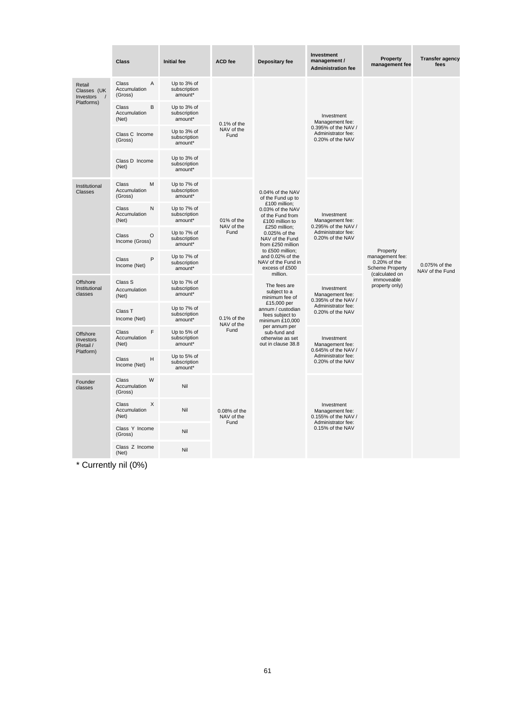|                                                | <b>Class</b>                                              | <b>Initial fee</b>                     | <b>ACD</b> fee                     | Depositary fee                                                          | Investment<br>management /<br><b>Administration fee</b>       | Property<br>management fee                                                                 | <b>Transfer agency</b><br>fees                                           |                                                      |                                        |  |
|------------------------------------------------|-----------------------------------------------------------|----------------------------------------|------------------------------------|-------------------------------------------------------------------------|---------------------------------------------------------------|--------------------------------------------------------------------------------------------|--------------------------------------------------------------------------|------------------------------------------------------|----------------------------------------|--|
| Retail<br>Classes (UK<br>Investors<br>$\prime$ | $\overline{A}$<br><b>Class</b><br>Accumulation<br>(Gross) | Up to 3% of<br>subscription<br>amount* |                                    |                                                                         |                                                               |                                                                                            |                                                                          |                                                      |                                        |  |
| Platforms)                                     | B<br>Class<br>Accumulation<br>(Net)                       | Up to 3% of<br>subscription<br>amount* | 0.1% of the                        |                                                                         | Investment<br>Management fee:                                 |                                                                                            |                                                                          |                                                      |                                        |  |
|                                                | Class C Income<br>(Gross)                                 | Up to 3% of<br>subscription<br>amount* | NAV of the<br>Fund                 |                                                                         | 0.395% of the NAV /<br>Administrator fee:<br>0.20% of the NAV |                                                                                            |                                                                          |                                                      |                                        |  |
|                                                | Class D Income<br>(Net)                                   | Up to 3% of<br>subscription<br>amount* |                                    |                                                                         |                                                               |                                                                                            |                                                                          |                                                      |                                        |  |
| Institutional<br><b>Classes</b>                | M<br>Class<br>Accumulation<br>(Gross)                     | Up to 7% of<br>subscription<br>amount* |                                    | 0.04% of the NAV<br>of the Fund up to                                   |                                                               |                                                                                            |                                                                          |                                                      |                                        |  |
|                                                | Class<br>N<br>Accumulation<br>(Net)                       | Up to 7% of<br>subscription<br>amount* | 01% of the<br>NAV of the<br>Fund   |                                                                         |                                                               |                                                                                            | £100 million;<br>0.03% of the NAV<br>of the Fund from<br>£100 million to | Investment<br>Management fee:<br>0.295% of the NAV / |                                        |  |
|                                                | $\circ$<br><b>Class</b><br>Income (Gross)                 | Up to 7% of<br>subscription<br>amount* |                                    |                                                                         |                                                               | £250 million;<br>0.025% of the<br>NAV of the Fund<br>from £250 million<br>to £500 million; | Administrator fee:<br>0.20% of the NAV                                   | Property                                             |                                        |  |
|                                                | $\mathsf{P}$<br><b>Class</b><br>Income (Net)              | Up to 7% of<br>subscription<br>amount* |                                    | and 0.02% of the<br>NAV of the Fund in<br>excess of £500<br>million.    |                                                               | management fee:<br>0.20% of the<br><b>Scheme Property</b><br>(calculated on                | 0.075% of the<br>NAV of the Fund                                         |                                                      |                                        |  |
| Offshore<br>Institutional<br>classes           | Class S<br>Accumulation<br>(Net)                          | Up to 7% of<br>subscription<br>amount* | 0.1% of the<br>NAV of the<br>Fund  |                                                                         |                                                               |                                                                                            | The fees are<br>subject to a<br>minimum fee of                           | Investment<br>Management fee:<br>0.395% of the NAV / | immoveable<br>property only)           |  |
|                                                | Class T<br>Income (Net)                                   | Up to 7% of<br>subscription<br>amount* |                                    |                                                                         |                                                               |                                                                                            | £15,000 per<br>fees subject to                                           | annum / custodian<br>minimum £10,000                 | Administrator fee:<br>0.20% of the NAV |  |
| Offshore<br><b>Investors</b><br>(Retail /      | F<br>Class<br>Accumulation<br>(Net)                       | Up to 5% of<br>subscription<br>amount* |                                    | per annum per<br>sub-fund and<br>otherwise as set<br>out in clause 38.8 | Investment<br>Management fee:                                 |                                                                                            |                                                                          |                                                      |                                        |  |
| Platform)                                      | Class<br>н<br>Income (Net)                                | Up to 5% of<br>subscription<br>amount* |                                    |                                                                         |                                                               | 0.645% of the NAV /<br>Administrator fee:<br>0.20% of the NAV                              |                                                                          |                                                      |                                        |  |
| Founder<br>classes                             | Class<br>W<br>Accumulation<br>(Gross)                     | Nil                                    |                                    |                                                                         |                                                               | Investment<br>Administrator fee:                                                           |                                                                          |                                                      |                                        |  |
|                                                | X<br>Class<br>Accumulation<br>(Net)                       | Nil                                    | 0.08% of the<br>NAV of the<br>Fund |                                                                         | Management fee:<br>0.155% of the NAV /                        |                                                                                            |                                                                          |                                                      |                                        |  |
|                                                | Class Y Income<br>(Gross)                                 | Nil                                    |                                    |                                                                         | 0.15% of the NAV                                              |                                                                                            |                                                                          |                                                      |                                        |  |
|                                                | Class Z Income<br>(Net)                                   | Nil                                    |                                    |                                                                         |                                                               |                                                                                            |                                                                          |                                                      |                                        |  |

\* Currently nil (0%)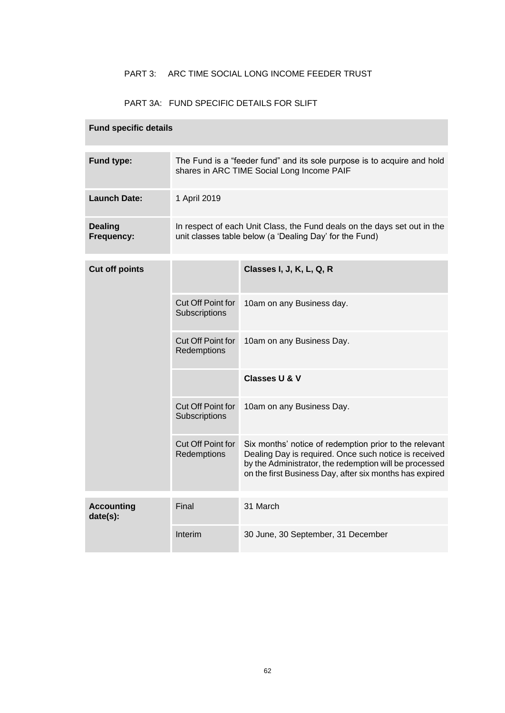### PART 3: ARC TIME SOCIAL LONG INCOME FEEDER TRUST

### PART 3A: FUND SPECIFIC DETAILS FOR SLIFT

# **Fund specific details Fund type:** The Fund is a "feeder fund" and its sole purpose is to acquire and hold shares in ARC TIME Social Long Income PAIF Launch Date: 1 April 2019 **Dealing Frequency:** In respect of each Unit Class, the Fund deals on the days set out in the unit classes table below (a 'Dealing Day' for the Fund) **Cut off points Classes I, J, K, L, Q, R** Cut Off Point for **Subscriptions** 10am on any Business day. Cut Off Point for **Redemptions** 10am on any Business Day. **Classes U & V** Cut Off Point for **Subscriptions** 10am on any Business Day. Cut Off Point for **Redemptions** Six months' notice of redemption prior to the relevant Dealing Day is required. Once such notice is received by the Administrator, the redemption will be processed on the first Business Day, after six months has expired **Accounting date(s):** Final 31 March Interim 30 June, 30 September, 31 December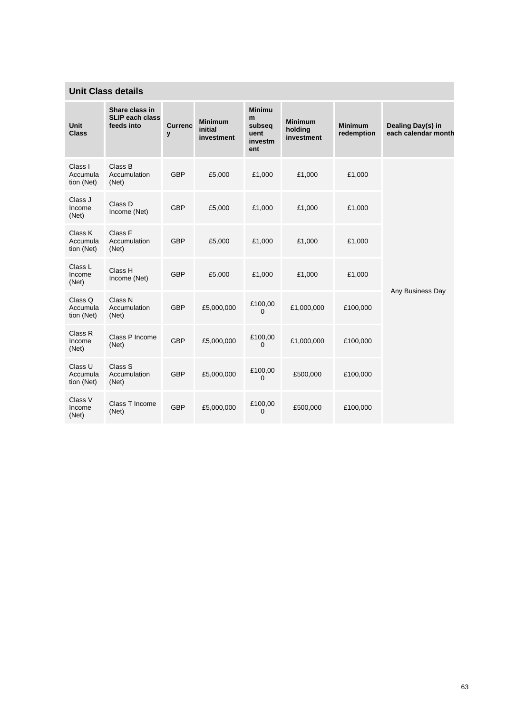# **Unit Class details**

| <b>Unit</b><br><b>Class</b>       | Share class in<br><b>SLIP each class</b><br>feeds into | <b>Currenc</b><br>y | <b>Minimum</b><br>initial<br>investment | <b>Minimu</b><br>m<br>subseq<br>uent<br>investm<br>ent | <b>Minimum</b><br>holding<br>investment | <b>Minimum</b><br>redemption | Dealing Day(s) in<br>each calendar month |
|-----------------------------------|--------------------------------------------------------|---------------------|-----------------------------------------|--------------------------------------------------------|-----------------------------------------|------------------------------|------------------------------------------|
| Class I<br>Accumula<br>tion (Net) | Class B<br>Accumulation<br>(Net)                       | <b>GBP</b>          | £5,000                                  | £1,000                                                 | £1,000                                  | £1,000                       |                                          |
| Class J<br>Income<br>(Net)        | Class D<br>Income (Net)                                | <b>GBP</b>          | £5,000                                  | £1,000                                                 | £1,000                                  | £1,000                       |                                          |
| Class K<br>Accumula<br>tion (Net) | Class F<br>Accumulation<br>(Net)                       | <b>GBP</b>          | £5,000                                  | £1,000                                                 | £1,000                                  | £1,000                       |                                          |
| Class L<br>Income<br>(Net)        | Class H<br>Income (Net)                                | <b>GBP</b>          | £5,000                                  | £1,000                                                 | £1,000                                  | £1,000                       |                                          |
| Class Q<br>Accumula<br>tion (Net) | Class N<br>Accumulation<br>(Net)                       | <b>GBP</b>          | £5,000,000                              | £100,00<br>$\mathbf 0$                                 | £1,000,000                              | £100,000                     | Any Business Day                         |
| Class R<br>Income<br>(Net)        | Class P Income<br>(Net)                                | <b>GBP</b>          | £5,000,000                              | £100,00<br>$\mathbf 0$                                 | £1,000,000                              | £100,000                     |                                          |
| Class U<br>Accumula<br>tion (Net) | Class S<br>Accumulation<br>(Net)                       | <b>GBP</b>          | £5,000,000                              | £100,00<br>$\mathbf 0$                                 | £500,000                                | £100,000                     |                                          |
| Class V<br>Income<br>(Net)        | Class T Income<br>(Net)                                | <b>GBP</b>          | £5,000,000                              | £100,00<br>$\mathbf 0$                                 | £500,000                                | £100,000                     |                                          |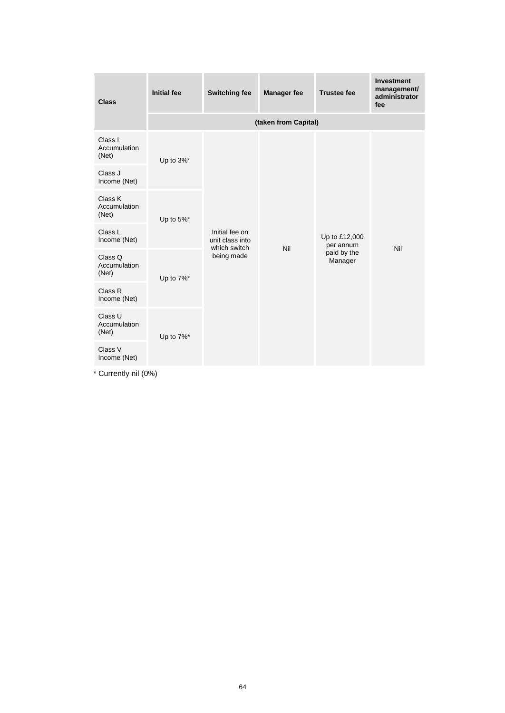| <b>Class</b>                     | <b>Initial fee</b>                    | <b>Switching fee</b>                                            | <b>Manager fee</b>   | <b>Trustee fee</b>                                   | <b>Investment</b><br>management/<br>administrator<br>fee |
|----------------------------------|---------------------------------------|-----------------------------------------------------------------|----------------------|------------------------------------------------------|----------------------------------------------------------|
|                                  |                                       |                                                                 | (taken from Capital) |                                                      |                                                          |
| Class I<br>Accumulation<br>(Net) | Up to $3\%$ <sup>*</sup>              |                                                                 |                      |                                                      |                                                          |
| Class J<br>Income (Net)          |                                       | Initial fee on<br>unit class into<br>which switch<br>being made | Nil                  | Up to £12,000<br>per annum<br>paid by the<br>Manager |                                                          |
| Class K<br>Accumulation<br>(Net) | Up to $5\%$ <sup>*</sup><br>Up to 7%* |                                                                 |                      |                                                      | Nil                                                      |
| Class L<br>Income (Net)          |                                       |                                                                 |                      |                                                      |                                                          |
| Class Q<br>Accumulation<br>(Net) |                                       |                                                                 |                      |                                                      |                                                          |
| Class R<br>Income (Net)          |                                       |                                                                 |                      |                                                      |                                                          |
| Class U<br>Accumulation<br>(Net) | Up to 7%*                             |                                                                 |                      |                                                      |                                                          |
| Class V<br>Income (Net)          |                                       |                                                                 |                      |                                                      |                                                          |

\* Currently nil (0%)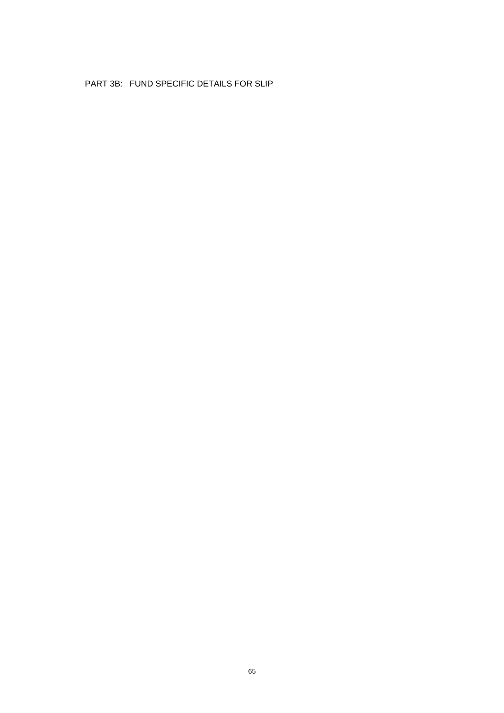### PART 3B: FUND SPECIFIC DETAILS FOR SLIP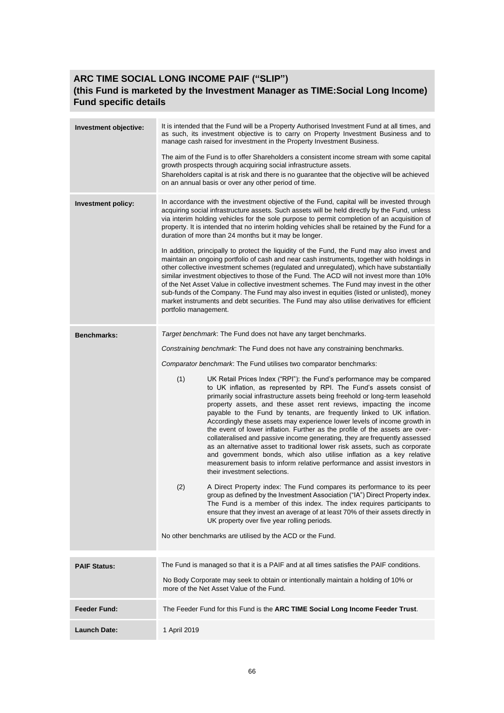# **ARC TIME SOCIAL LONG INCOME PAIF ("SLIP") (this Fund is marketed by the Investment Manager as TIME:Social Long Income) Fund specific details**

| Investment objective: | It is intended that the Fund will be a Property Authorised Investment Fund at all times, and<br>as such, its investment objective is to carry on Property Investment Business and to<br>manage cash raised for investment in the Property Investment Business.<br>The aim of the Fund is to offer Shareholders a consistent income stream with some capital<br>growth prospects through acquiring social infrastructure assets.<br>Shareholders capital is at risk and there is no guarantee that the objective will be achieved<br>on an annual basis or over any other period of time.                                                                                                                                                                                                                                                                                                                                                                                                                                                                                                                                                                                                                                                                                                                                                                                                                                                                                                                                                                            |  |  |  |  |
|-----------------------|---------------------------------------------------------------------------------------------------------------------------------------------------------------------------------------------------------------------------------------------------------------------------------------------------------------------------------------------------------------------------------------------------------------------------------------------------------------------------------------------------------------------------------------------------------------------------------------------------------------------------------------------------------------------------------------------------------------------------------------------------------------------------------------------------------------------------------------------------------------------------------------------------------------------------------------------------------------------------------------------------------------------------------------------------------------------------------------------------------------------------------------------------------------------------------------------------------------------------------------------------------------------------------------------------------------------------------------------------------------------------------------------------------------------------------------------------------------------------------------------------------------------------------------------------------------------|--|--|--|--|
| Investment policy:    | In accordance with the investment objective of the Fund, capital will be invested through<br>acquiring social infrastructure assets. Such assets will be held directly by the Fund, unless<br>via interim holding vehicles for the sole purpose to permit completion of an acquisition of<br>property. It is intended that no interim holding vehicles shall be retained by the Fund for a<br>duration of more than 24 months but it may be longer.<br>In addition, principally to protect the liquidity of the Fund, the Fund may also invest and<br>maintain an ongoing portfolio of cash and near cash instruments, together with holdings in<br>other collective investment schemes (regulated and unregulated), which have substantially<br>similar investment objectives to those of the Fund. The ACD will not invest more than 10%<br>of the Net Asset Value in collective investment schemes. The Fund may invest in the other<br>sub-funds of the Company. The Fund may also invest in equities (listed or unlisted), money<br>market instruments and debt securities. The Fund may also utilise derivatives for efficient<br>portfolio management.                                                                                                                                                                                                                                                                                                                                                                                                       |  |  |  |  |
| <b>Benchmarks:</b>    | Target benchmark: The Fund does not have any target benchmarks.<br>Constraining benchmark. The Fund does not have any constraining benchmarks.<br>Comparator benchmark: The Fund utilises two comparator benchmarks:<br>(1)<br>UK Retail Prices Index ("RPI"): the Fund's performance may be compared<br>to UK inflation, as represented by RPI. The Fund's assets consist of<br>primarily social infrastructure assets being freehold or long-term leasehold<br>property assets, and these asset rent reviews, impacting the income<br>payable to the Fund by tenants, are frequently linked to UK inflation.<br>Accordingly these assets may experience lower levels of income growth in<br>the event of lower inflation. Further as the profile of the assets are over-<br>collateralised and passive income generating, they are frequently assessed<br>as an alternative asset to traditional lower risk assets, such as corporate<br>and government bonds, which also utilise inflation as a key relative<br>measurement basis to inform relative performance and assist investors in<br>their investment selections.<br>(2)<br>A Direct Property index: The Fund compares its performance to its peer<br>group as defined by the Investment Association ("IA") Direct Property index.<br>The Fund is a member of this index. The index requires participants to<br>ensure that they invest an average of at least 70% of their assets directly in<br>UK property over five year rolling periods.<br>No other benchmarks are utilised by the ACD or the Fund. |  |  |  |  |
| <b>PAIF Status:</b>   | The Fund is managed so that it is a PAIF and at all times satisfies the PAIF conditions.<br>No Body Corporate may seek to obtain or intentionally maintain a holding of 10% or<br>more of the Net Asset Value of the Fund.                                                                                                                                                                                                                                                                                                                                                                                                                                                                                                                                                                                                                                                                                                                                                                                                                                                                                                                                                                                                                                                                                                                                                                                                                                                                                                                                          |  |  |  |  |
| <b>Feeder Fund:</b>   | The Feeder Fund for this Fund is the ARC TIME Social Long Income Feeder Trust.                                                                                                                                                                                                                                                                                                                                                                                                                                                                                                                                                                                                                                                                                                                                                                                                                                                                                                                                                                                                                                                                                                                                                                                                                                                                                                                                                                                                                                                                                      |  |  |  |  |
| <b>Launch Date:</b>   | 1 April 2019                                                                                                                                                                                                                                                                                                                                                                                                                                                                                                                                                                                                                                                                                                                                                                                                                                                                                                                                                                                                                                                                                                                                                                                                                                                                                                                                                                                                                                                                                                                                                        |  |  |  |  |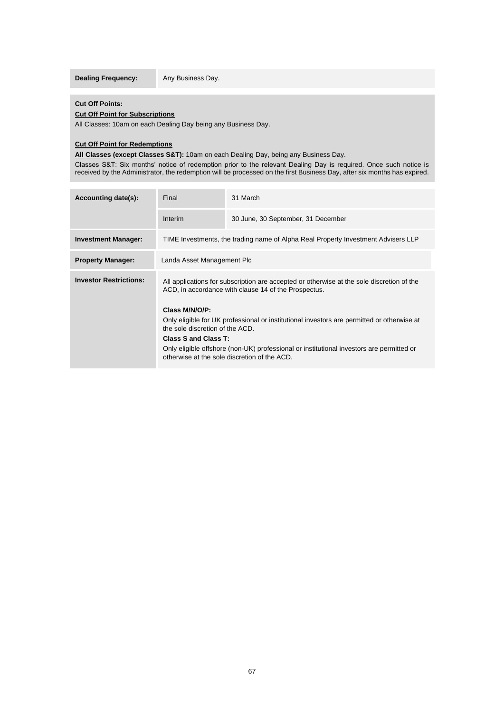**Dealing Frequency:** Any Business Day.

#### **Cut Off Points:**

#### **Cut Off Point for Subscriptions**

All Classes: 10am on each Dealing Day being any Business Day.

### **Cut Off Point for Redemptions**

**All Classes (except Classes S&T):** 10am on each Dealing Day, being any Business Day.

Classes S&T: Six months' notice of redemption prior to the relevant Dealing Day is required. Once such notice is received by the Administrator, the redemption will be processed on the first Business Day, after six months has expired.

| Accounting date(s):                                                                                                                      | Final                                                                                                                                             | 31 March                           |  |  |  |
|------------------------------------------------------------------------------------------------------------------------------------------|---------------------------------------------------------------------------------------------------------------------------------------------------|------------------------------------|--|--|--|
|                                                                                                                                          | Interim                                                                                                                                           | 30 June, 30 September, 31 December |  |  |  |
| <b>Investment Manager:</b>                                                                                                               | TIME Investments, the trading name of Alpha Real Property Investment Advisers LLP                                                                 |                                    |  |  |  |
| <b>Property Manager:</b>                                                                                                                 | Landa Asset Management Plc                                                                                                                        |                                    |  |  |  |
| <b>Investor Restrictions:</b>                                                                                                            | All applications for subscription are accepted or otherwise at the sole discretion of the<br>ACD, in accordance with clause 14 of the Prospectus. |                                    |  |  |  |
|                                                                                                                                          | Class M/N/O/P:                                                                                                                                    |                                    |  |  |  |
|                                                                                                                                          | Only eligible for UK professional or institutional investors are permitted or otherwise at<br>the sole discretion of the ACD.                     |                                    |  |  |  |
|                                                                                                                                          | Class S and Class T:                                                                                                                              |                                    |  |  |  |
| Only eligible offshore (non-UK) professional or institutional investors are permitted or<br>otherwise at the sole discretion of the ACD. |                                                                                                                                                   |                                    |  |  |  |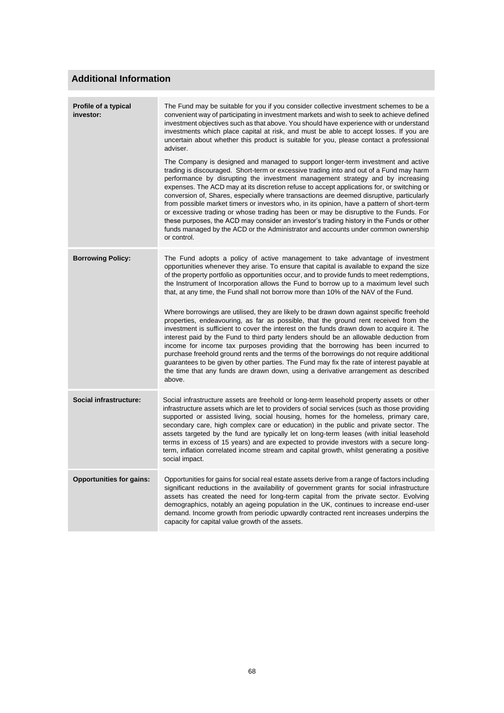# **Additional Information**

| Profile of a typical<br>investor: | The Fund may be suitable for you if you consider collective investment schemes to be a<br>convenient way of participating in investment markets and wish to seek to achieve defined<br>investment objectives such as that above. You should have experience with or understand<br>investments which place capital at risk, and must be able to accept losses. If you are<br>uncertain about whether this product is suitable for you, please contact a professional<br>adviser.<br>The Company is designed and managed to support longer-term investment and active<br>trading is discouraged. Short-term or excessive trading into and out of a Fund may harm<br>performance by disrupting the investment management strategy and by increasing<br>expenses. The ACD may at its discretion refuse to accept applications for, or switching or<br>conversion of, Shares, especially where transactions are deemed disruptive, particularly<br>from possible market timers or investors who, in its opinion, have a pattern of short-term<br>or excessive trading or whose trading has been or may be disruptive to the Funds. For<br>these purposes, the ACD may consider an investor's trading history in the Funds or other<br>funds managed by the ACD or the Administrator and accounts under common ownership<br>or control. |
|-----------------------------------|-----------------------------------------------------------------------------------------------------------------------------------------------------------------------------------------------------------------------------------------------------------------------------------------------------------------------------------------------------------------------------------------------------------------------------------------------------------------------------------------------------------------------------------------------------------------------------------------------------------------------------------------------------------------------------------------------------------------------------------------------------------------------------------------------------------------------------------------------------------------------------------------------------------------------------------------------------------------------------------------------------------------------------------------------------------------------------------------------------------------------------------------------------------------------------------------------------------------------------------------------------------------------------------------------------------------------------------|
| <b>Borrowing Policy:</b>          | The Fund adopts a policy of active management to take advantage of investment<br>opportunities whenever they arise. To ensure that capital is available to expand the size<br>of the property portfolio as opportunities occur, and to provide funds to meet redemptions,<br>the Instrument of Incorporation allows the Fund to borrow up to a maximum level such<br>that, at any time, the Fund shall not borrow more than 10% of the NAV of the Fund.<br>Where borrowings are utilised, they are likely to be drawn down against specific freehold<br>properties, endeavouring, as far as possible, that the ground rent received from the<br>investment is sufficient to cover the interest on the funds drawn down to acquire it. The<br>interest paid by the Fund to third party lenders should be an allowable deduction from<br>income for income tax purposes providing that the borrowing has been incurred to<br>purchase freehold ground rents and the terms of the borrowings do not require additional<br>guarantees to be given by other parties. The Fund may fix the rate of interest payable at<br>the time that any funds are drawn down, using a derivative arrangement as described<br>above.                                                                                                                 |
| Social infrastructure:            | Social infrastructure assets are freehold or long-term leasehold property assets or other<br>infrastructure assets which are let to providers of social services (such as those providing<br>supported or assisted living, social housing, homes for the homeless, primary care,<br>secondary care, high complex care or education) in the public and private sector. The<br>assets targeted by the fund are typically let on long-term leases (with initial leasehold<br>terms in excess of 15 years) and are expected to provide investors with a secure long-<br>term, inflation correlated income stream and capital growth, whilst generating a positive<br>social impact.                                                                                                                                                                                                                                                                                                                                                                                                                                                                                                                                                                                                                                                   |
| <b>Opportunities for gains:</b>   | Opportunities for gains for social real estate assets derive from a range of factors including<br>significant reductions in the availability of government grants for social infrastructure<br>assets has created the need for long-term capital from the private sector. Evolving<br>demographics, notably an ageing population in the UK, continues to increase end-user<br>demand. Income growth from periodic upwardly contracted rent increases underpins the<br>capacity for capital value growth of the assets.                                                                                                                                                                                                                                                                                                                                                                                                                                                                                                                                                                                                                                                                                                                                                                                                            |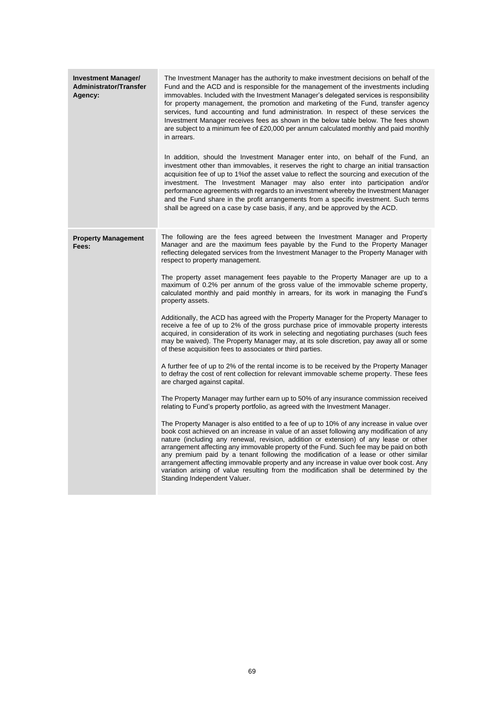| <b>Investment Manager/</b><br><b>Administrator/Transfer</b><br>Agency: | The Investment Manager has the authority to make investment decisions on behalf of the<br>Fund and the ACD and is responsible for the management of the investments including<br>immovables. Included with the Investment Manager's delegated services is responsibility<br>for property management, the promotion and marketing of the Fund, transfer agency<br>services, fund accounting and fund administration. In respect of these services the<br>Investment Manager receives fees as shown in the below table below. The fees shown<br>are subject to a minimum fee of £20,000 per annum calculated monthly and paid monthly<br>in arrears.<br>In addition, should the Investment Manager enter into, on behalf of the Fund, an<br>investment other than immovables, it reserves the right to charge an initial transaction<br>acquisition fee of up to 1% of the asset value to reflect the sourcing and execution of the<br>investment. The Investment Manager may also enter into participation and/or<br>performance agreements with regards to an investment whereby the Investment Manager<br>and the Fund share in the profit arrangements from a specific investment. Such terms<br>shall be agreed on a case by case basis, if any, and be approved by the ACD.                                                                                                                                                                                                                                                                                                                                                                                                                                                                                                                                                                                                                                                                                                                                                                                                                        |
|------------------------------------------------------------------------|--------------------------------------------------------------------------------------------------------------------------------------------------------------------------------------------------------------------------------------------------------------------------------------------------------------------------------------------------------------------------------------------------------------------------------------------------------------------------------------------------------------------------------------------------------------------------------------------------------------------------------------------------------------------------------------------------------------------------------------------------------------------------------------------------------------------------------------------------------------------------------------------------------------------------------------------------------------------------------------------------------------------------------------------------------------------------------------------------------------------------------------------------------------------------------------------------------------------------------------------------------------------------------------------------------------------------------------------------------------------------------------------------------------------------------------------------------------------------------------------------------------------------------------------------------------------------------------------------------------------------------------------------------------------------------------------------------------------------------------------------------------------------------------------------------------------------------------------------------------------------------------------------------------------------------------------------------------------------------------------------------------------------------------------------------------------------------------------------------|
| <b>Property Management</b><br>Fees:                                    | The following are the fees agreed between the Investment Manager and Property<br>Manager and are the maximum fees payable by the Fund to the Property Manager<br>reflecting delegated services from the Investment Manager to the Property Manager with<br>respect to property management.<br>The property asset management fees payable to the Property Manager are up to a<br>maximum of 0.2% per annum of the gross value of the immovable scheme property,<br>calculated monthly and paid monthly in arrears, for its work in managing the Fund's<br>property assets.<br>Additionally, the ACD has agreed with the Property Manager for the Property Manager to<br>receive a fee of up to 2% of the gross purchase price of immovable property interests<br>acquired, in consideration of its work in selecting and negotiating purchases (such fees<br>may be waived). The Property Manager may, at its sole discretion, pay away all or some<br>of these acquisition fees to associates or third parties.<br>A further fee of up to 2% of the rental income is to be received by the Property Manager<br>to defray the cost of rent collection for relevant immovable scheme property. These fees<br>are charged against capital.<br>The Property Manager may further earn up to 50% of any insurance commission received<br>relating to Fund's property portfolio, as agreed with the Investment Manager.<br>The Property Manager is also entitled to a fee of up to 10% of any increase in value over<br>book cost achieved on an increase in value of an asset following any modification of any<br>nature (including any renewal, revision, addition or extension) of any lease or other<br>arrangement affecting any immovable property of the Fund. Such fee may be paid on both<br>any premium paid by a tenant following the modification of a lease or other similar<br>arrangement affecting immovable property and any increase in value over book cost. Any<br>variation arising of value resulting from the modification shall be determined by the<br>Standing Independent Valuer. |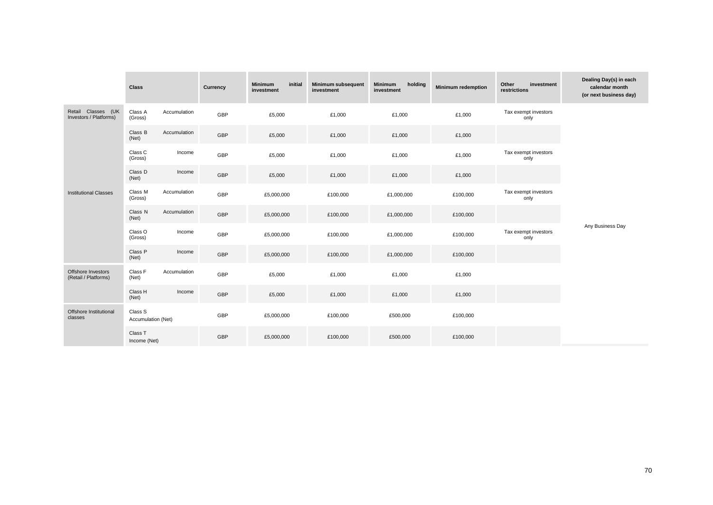|                                              | <b>Class</b>                  |              | Currency   | initial<br><b>Minimum</b><br>investment | Minimum subsequent<br>investment | <b>Minimum</b><br>holding<br>investment | <b>Minimum redemption</b> | Other<br>investment<br>restrictions | Dealing Day(s) in each<br>calendar month<br>(or next business day) |
|----------------------------------------------|-------------------------------|--------------|------------|-----------------------------------------|----------------------------------|-----------------------------------------|---------------------------|-------------------------------------|--------------------------------------------------------------------|
| Retail Classes (UK<br>Investors / Platforms) | Class A<br>(Gross)            | Accumulation | GBP        | £5,000                                  | £1,000                           | £1,000                                  | £1,000                    | Tax exempt investors<br>only        |                                                                    |
|                                              | Class B<br>(Net)              | Accumulation | GBP        | £5,000                                  | £1,000                           | £1,000                                  | £1,000                    |                                     |                                                                    |
|                                              | Class C<br>(Gross)            | Income       | GBP        | £5,000                                  | £1,000                           | £1,000                                  | £1,000                    | Tax exempt investors<br>only        |                                                                    |
|                                              | Class D<br>(Net)              | Income       | GBP        | £5,000                                  | £1,000                           | £1,000                                  | £1,000                    |                                     |                                                                    |
| <b>Institutional Classes</b>                 | Class M<br>(Gross)            | Accumulation | GBP        | £5,000,000                              | £100,000                         | £1,000,000                              | £100,000                  | Tax exempt investors<br>only        |                                                                    |
|                                              | Class N<br>(Net)              | Accumulation | GBP        | £5,000,000                              | £100,000                         | £1,000,000                              | £100,000                  |                                     |                                                                    |
|                                              | Class O<br>(Gross)            | Income       | GBP        | £5,000,000                              | £100,000                         | £1,000,000                              | £100,000                  | Tax exempt investors<br>only        | Any Business Day                                                   |
|                                              | Class P<br>(Net)              | Income       | GBP        | £5,000,000                              | £100,000                         | £1,000,000                              | £100,000                  |                                     |                                                                    |
| Offshore Investors<br>(Retail / Platforms)   | Class F<br>(Net)              | Accumulation | GBP        | £5,000                                  | £1,000                           | £1,000                                  | £1,000                    |                                     |                                                                    |
|                                              | Class H<br>(Net)              | Income       | GBP        | £5,000                                  | £1,000                           | £1,000                                  | £1,000                    |                                     |                                                                    |
| Offshore Institutional<br>classes            | Class S<br>Accumulation (Net) |              | GBP        | £5,000,000                              | £100,000                         | £500,000                                | £100,000                  |                                     |                                                                    |
|                                              | Class T<br>Income (Net)       |              | <b>GBP</b> | £5,000,000                              | £100,000                         | £500,000                                | £100,000                  |                                     |                                                                    |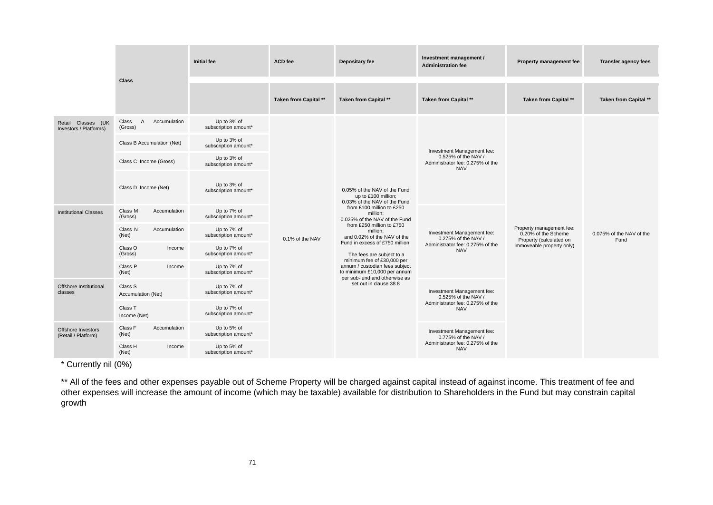|                                              |                                       | <b>Initial fee</b>                  | <b>ACD</b> fee        | Depositary fee                                                                                                                                                                                                                                                                                                                                                                                                                                                   | Investment management /<br><b>Administration fee</b>                                                | Property management fee                                                                                 | <b>Transfer agency fees</b>      |
|----------------------------------------------|---------------------------------------|-------------------------------------|-----------------------|------------------------------------------------------------------------------------------------------------------------------------------------------------------------------------------------------------------------------------------------------------------------------------------------------------------------------------------------------------------------------------------------------------------------------------------------------------------|-----------------------------------------------------------------------------------------------------|---------------------------------------------------------------------------------------------------------|----------------------------------|
|                                              | <b>Class</b>                          |                                     |                       |                                                                                                                                                                                                                                                                                                                                                                                                                                                                  |                                                                                                     |                                                                                                         |                                  |
|                                              |                                       |                                     | Taken from Capital ** | Taken from Capital **                                                                                                                                                                                                                                                                                                                                                                                                                                            | Taken from Capital **                                                                               | Taken from Capital **                                                                                   | Taken from Capital **            |
| Retail Classes (UK<br>Investors / Platforms) | Accumulation<br>Class<br>A<br>(Gross) | Up to 3% of<br>subscription amount* | 0.1% of the NAV       | 0.05% of the NAV of the Fund<br>up to £100 million;<br>0.03% of the NAV of the Fund<br>from £100 million to £250<br>million;<br>0.025% of the NAV of the Fund<br>from £250 million to £750<br>million:<br>and 0.02% of the NAV of the<br>Fund in excess of £750 million.<br>The fees are subject to a<br>minimum fee of £30,000 per<br>annum / custodian fees subject<br>to minimum £10,000 per annum<br>per sub-fund and otherwise as<br>set out in clause 38.8 | Investment Management fee:<br>0.525% of the NAV /<br>Administrator fee: 0.275% of the<br><b>NAV</b> | Property management fee:<br>0.20% of the Scheme<br>Property (calculated on<br>immoveable property only) | 0.075% of the NAV of the<br>Fund |
|                                              | Class B Accumulation (Net)            | Up to 3% of<br>subscription amount* |                       |                                                                                                                                                                                                                                                                                                                                                                                                                                                                  |                                                                                                     |                                                                                                         |                                  |
|                                              | Class C Income (Gross)                | Up to 3% of<br>subscription amount* |                       |                                                                                                                                                                                                                                                                                                                                                                                                                                                                  |                                                                                                     |                                                                                                         |                                  |
|                                              | Class D Income (Net)                  | Up to 3% of<br>subscription amount* |                       |                                                                                                                                                                                                                                                                                                                                                                                                                                                                  |                                                                                                     |                                                                                                         |                                  |
| <b>Institutional Classes</b>                 | Class M<br>Accumulation<br>(Gross)    | Up to 7% of<br>subscription amount* |                       |                                                                                                                                                                                                                                                                                                                                                                                                                                                                  | Investment Management fee:<br>0.275% of the NAV /<br>Administrator fee: 0.275% of the<br><b>NAV</b> |                                                                                                         |                                  |
|                                              | Class N<br>Accumulation<br>(Net)      | Up to 7% of<br>subscription amount* |                       |                                                                                                                                                                                                                                                                                                                                                                                                                                                                  |                                                                                                     |                                                                                                         |                                  |
|                                              | Class O<br>Income<br>(Gross)          | Up to 7% of<br>subscription amount* |                       |                                                                                                                                                                                                                                                                                                                                                                                                                                                                  |                                                                                                     |                                                                                                         |                                  |
|                                              | Class P<br>Income<br>(Net)            | Up to 7% of<br>subscription amount* |                       |                                                                                                                                                                                                                                                                                                                                                                                                                                                                  |                                                                                                     |                                                                                                         |                                  |
| Offshore Institutional<br>classes            | Class S<br>Accumulation (Net)         | Up to 7% of<br>subscription amount* |                       |                                                                                                                                                                                                                                                                                                                                                                                                                                                                  | Investment Management fee:<br>0.525% of the NAV /<br>Administrator fee: 0.275% of the<br><b>NAV</b> |                                                                                                         |                                  |
|                                              | Class T<br>Income (Net)               | Up to 7% of<br>subscription amount* |                       |                                                                                                                                                                                                                                                                                                                                                                                                                                                                  |                                                                                                     |                                                                                                         |                                  |
| Offshore Investors<br>(Retail / Platform)    | Class F<br>Accumulation<br>(Net)      | Up to 5% of<br>subscription amount* |                       |                                                                                                                                                                                                                                                                                                                                                                                                                                                                  | Investment Management fee:<br>0.775% of the NAV /<br>Administrator fee: 0.275% of the<br><b>NAV</b> |                                                                                                         |                                  |
|                                              | Class H<br>Income<br>(Net)            | Up to 5% of<br>subscription amount* |                       |                                                                                                                                                                                                                                                                                                                                                                                                                                                                  |                                                                                                     |                                                                                                         |                                  |

\* Currently nil (0%)

\*\* All of the fees and other expenses payable out of Scheme Property will be charged against capital instead of against income. This treatment of fee and other expenses will increase the amount of income (which may be taxable) available for distribution to Shareholders in the Fund but may constrain capital growth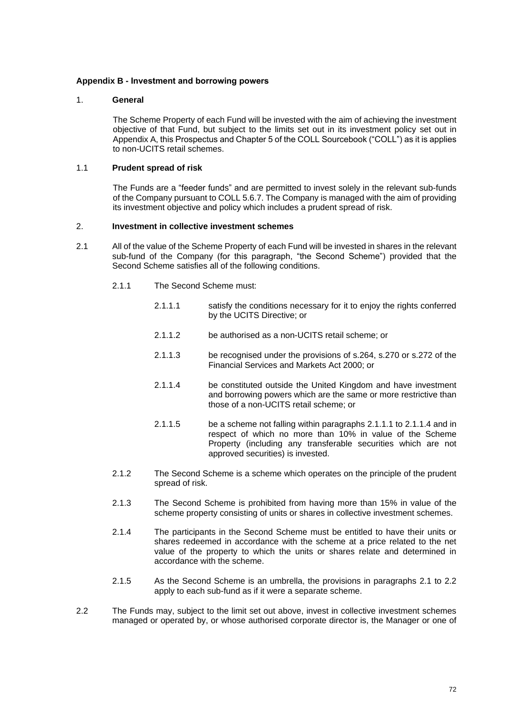#### **Appendix B - Investment and borrowing powers**

#### 1. **General**

The Scheme Property of each Fund will be invested with the aim of achieving the investment objective of that Fund, but subject to the limits set out in its investment policy set out in Appendix A, this Prospectus and Chapter 5 of the COLL Sourcebook ("COLL") as it is applies to non-UCITS retail schemes.

#### 1.1 **Prudent spread of risk**

The Funds are a "feeder funds" and are permitted to invest solely in the relevant sub-funds of the Company pursuant to COLL 5.6.7. The Company is managed with the aim of providing its investment objective and policy which includes a prudent spread of risk.

#### 2. **Investment in collective investment schemes**

- <span id="page-74-1"></span><span id="page-74-0"></span>2.1 All of the value of the Scheme Property of each Fund will be invested in shares in the relevant sub-fund of the Company (for this paragraph, "the Second Scheme") provided that the Second Scheme satisfies all of the following conditions.
	- 2.1.1 The Second Scheme must:
		- 2.1.1.1 satisfy the conditions necessary for it to enjoy the rights conferred by the UCITS Directive; or
		- 2.1.1.2 be authorised as a non-UCITS retail scheme; or
		- 2.1.1.3 be recognised under the provisions of s.264, s.270 or s.272 of the Financial Services and Markets Act 2000; or
		- 2.1.1.4 be constituted outside the United Kingdom and have investment and borrowing powers which are the same or more restrictive than those of a non-UCITS retail scheme; or
		- 2.1.1.5 be a scheme not falling within paragraphs [2.1.1.1](#page-74-0) to [2.1.1.4](#page-74-1) and in respect of which no more than 10% in value of the Scheme Property (including any transferable securities which are not approved securities) is invested.
	- 2.1.2 The Second Scheme is a scheme which operates on the principle of the prudent spread of risk.
	- 2.1.3 The Second Scheme is prohibited from having more than 15% in value of the scheme property consisting of units or shares in collective investment schemes.
	- 2.1.4 The participants in the Second Scheme must be entitled to have their units or shares redeemed in accordance with the scheme at a price related to the net value of the property to which the units or shares relate and determined in accordance with the scheme.
	- 2.1.5 As the Second Scheme is an umbrella, the provisions in paragraphs [2.1](#page-8-0) to [2.2](#page-74-2) apply to each sub-fund as if it were a separate scheme.
- <span id="page-74-2"></span>2.2 The Funds may, subject to the limit set out above, invest in collective investment schemes managed or operated by, or whose authorised corporate director is, the Manager or one of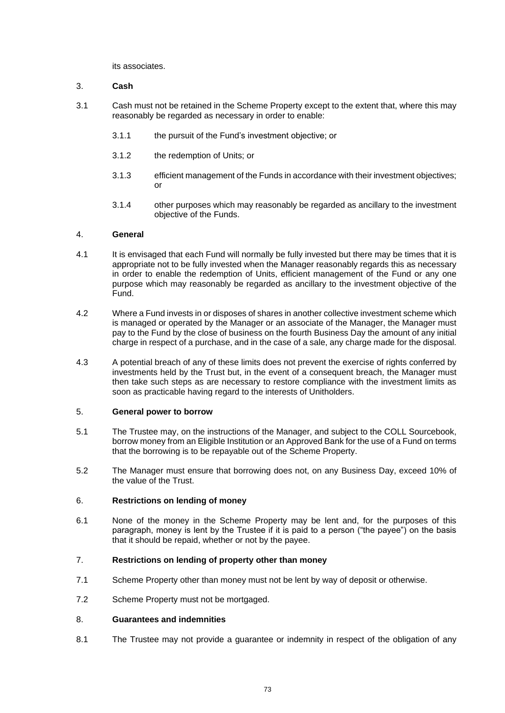its associates.

## 3. **Cash**

- 3.1 Cash must not be retained in the Scheme Property except to the extent that, where this may reasonably be regarded as necessary in order to enable:
	- 3.1.1 the pursuit of the Fund's investment objective; or
	- 3.1.2 the redemption of Units; or
	- 3.1.3 efficient management of the Funds in accordance with their investment objectives; or
	- 3.1.4 other purposes which may reasonably be regarded as ancillary to the investment objective of the Funds.

## 4. **General**

- 4.1 It is envisaged that each Fund will normally be fully invested but there may be times that it is appropriate not to be fully invested when the Manager reasonably regards this as necessary in order to enable the redemption of Units, efficient management of the Fund or any one purpose which may reasonably be regarded as ancillary to the investment objective of the Fund.
- 4.2 Where a Fund invests in or disposes of shares in another collective investment scheme which is managed or operated by the Manager or an associate of the Manager, the Manager must pay to the Fund by the close of business on the fourth Business Day the amount of any initial charge in respect of a purchase, and in the case of a sale, any charge made for the disposal.
- 4.3 A potential breach of any of these limits does not prevent the exercise of rights conferred by investments held by the Trust but, in the event of a consequent breach, the Manager must then take such steps as are necessary to restore compliance with the investment limits as soon as practicable having regard to the interests of Unitholders.

## <span id="page-75-0"></span>5. **General power to borrow**

- 5.1 The Trustee may, on the instructions of the Manager, and subject to the COLL Sourcebook, borrow money from an Eligible Institution or an Approved Bank for the use of a Fund on terms that the borrowing is to be repayable out of the Scheme Property.
- 5.2 The Manager must ensure that borrowing does not, on any Business Day, exceed 10% of the value of the Trust.

## 6. **Restrictions on lending of money**

6.1 None of the money in the Scheme Property may be lent and, for the purposes of this paragraph, money is lent by the Trustee if it is paid to a person ("the payee") on the basis that it should be repaid, whether or not by the payee.

## 7. **Restrictions on lending of property other than money**

- 7.1 Scheme Property other than money must not be lent by way of deposit or otherwise.
- 7.2 Scheme Property must not be mortgaged.

## 8. **Guarantees and indemnities**

8.1 The Trustee may not provide a guarantee or indemnity in respect of the obligation of any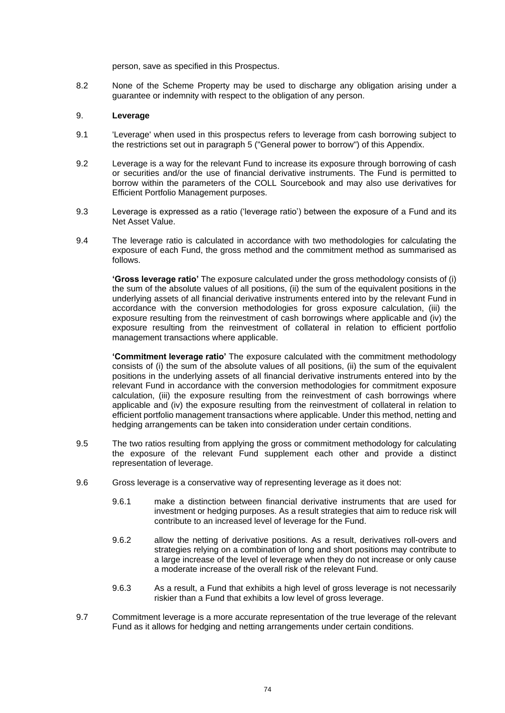person, save as specified in this Prospectus.

8.2 None of the Scheme Property may be used to discharge any obligation arising under a guarantee or indemnity with respect to the obligation of any person.

#### 9. **Leverage**

- 9.1 'Leverage' when used in this prospectus refers to leverage from cash borrowing subject to the restrictions set out in paragraph [5](#page-75-0) ("General power to borrow") of this Appendix.
- 9.2 Leverage is a way for the relevant Fund to increase its exposure through borrowing of cash or securities and/or the use of financial derivative instruments. The Fund is permitted to borrow within the parameters of the COLL Sourcebook and may also use derivatives for Efficient Portfolio Management purposes.
- 9.3 Leverage is expressed as a ratio ('leverage ratio') between the exposure of a Fund and its Net Asset Value.
- 9.4 The leverage ratio is calculated in accordance with two methodologies for calculating the exposure of each Fund, the gross method and the commitment method as summarised as follows.

**'Gross leverage ratio'** The exposure calculated under the gross methodology consists of (i) the sum of the absolute values of all positions, (ii) the sum of the equivalent positions in the underlying assets of all financial derivative instruments entered into by the relevant Fund in accordance with the conversion methodologies for gross exposure calculation, (iii) the exposure resulting from the reinvestment of cash borrowings where applicable and (iv) the exposure resulting from the reinvestment of collateral in relation to efficient portfolio management transactions where applicable.

**'Commitment leverage ratio'** The exposure calculated with the commitment methodology consists of (i) the sum of the absolute values of all positions, (ii) the sum of the equivalent positions in the underlying assets of all financial derivative instruments entered into by the relevant Fund in accordance with the conversion methodologies for commitment exposure calculation, (iii) the exposure resulting from the reinvestment of cash borrowings where applicable and (iv) the exposure resulting from the reinvestment of collateral in relation to efficient portfolio management transactions where applicable. Under this method, netting and hedging arrangements can be taken into consideration under certain conditions.

- 9.5 The two ratios resulting from applying the gross or commitment methodology for calculating the exposure of the relevant Fund supplement each other and provide a distinct representation of leverage.
- 9.6 Gross leverage is a conservative way of representing leverage as it does not:
	- 9.6.1 make a distinction between financial derivative instruments that are used for investment or hedging purposes. As a result strategies that aim to reduce risk will contribute to an increased level of leverage for the Fund.
	- 9.6.2 allow the netting of derivative positions. As a result, derivatives roll-overs and strategies relying on a combination of long and short positions may contribute to a large increase of the level of leverage when they do not increase or only cause a moderate increase of the overall risk of the relevant Fund.
	- 9.6.3 As a result, a Fund that exhibits a high level of gross leverage is not necessarily riskier than a Fund that exhibits a low level of gross leverage.
- 9.7 Commitment leverage is a more accurate representation of the true leverage of the relevant Fund as it allows for hedging and netting arrangements under certain conditions.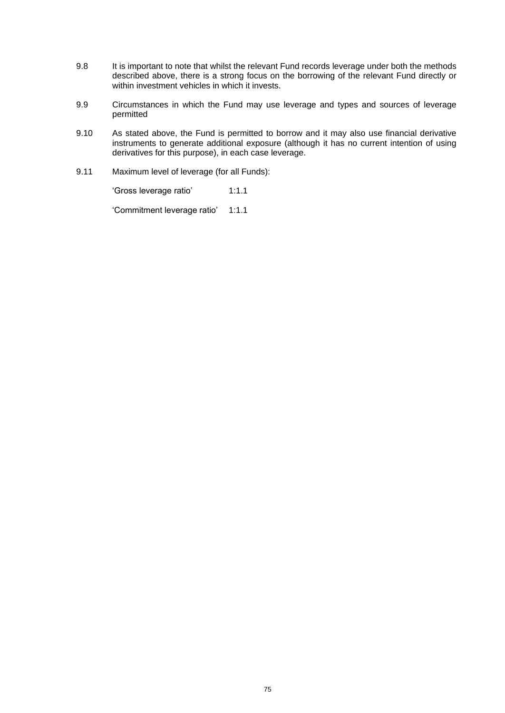- 9.8 It is important to note that whilst the relevant Fund records leverage under both the methods described above, there is a strong focus on the borrowing of the relevant Fund directly or within investment vehicles in which it invests.
- 9.9 Circumstances in which the Fund may use leverage and types and sources of leverage permitted
- 9.10 As stated above, the Fund is permitted to borrow and it may also use financial derivative instruments to generate additional exposure (although it has no current intention of using derivatives for this purpose), in each case leverage.
- 9.11 Maximum level of leverage (for all Funds):

'Gross leverage ratio' 1:1.1

'Commitment leverage ratio' 1:1.1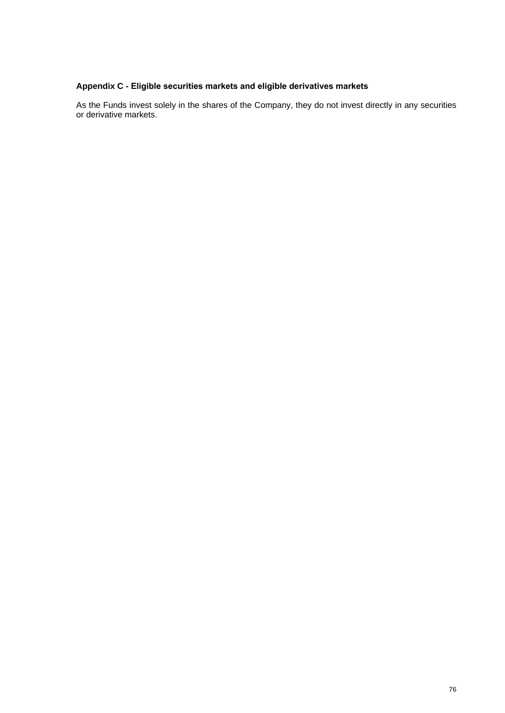# **Appendix C - Eligible securities markets and eligible derivatives markets**

As the Funds invest solely in the shares of the Company, they do not invest directly in any securities or derivative markets.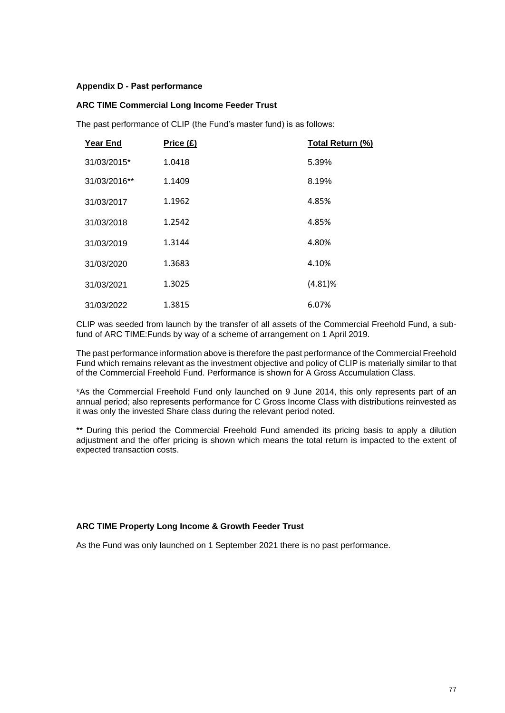#### **Appendix D - Past performance**

#### **ARC TIME Commercial Long Income Feeder Trust**

The past performance of CLIP (the Fund's master fund) is as follows:

| <b>Year End</b> | Price (£) | Total Return (%) |
|-----------------|-----------|------------------|
| 31/03/2015*     | 1.0418    | 5.39%            |
| 31/03/2016**    | 1.1409    | 8.19%            |
| 31/03/2017      | 1.1962    | 4.85%            |
| 31/03/2018      | 1.2542    | 4.85%            |
| 31/03/2019      | 1.3144    | 4.80%            |
| 31/03/2020      | 1.3683    | 4.10%            |
| 31/03/2021      | 1.3025    | $(4.81)\%$       |
| 31/03/2022      | 1.3815    | 6.07%            |

CLIP was seeded from launch by the transfer of all assets of the Commercial Freehold Fund, a subfund of ARC TIME:Funds by way of a scheme of arrangement on 1 April 2019.

The past performance information above is therefore the past performance of the Commercial Freehold Fund which remains relevant as the investment objective and policy of CLIP is materially similar to that of the Commercial Freehold Fund. Performance is shown for A Gross Accumulation Class.

\*As the Commercial Freehold Fund only launched on 9 June 2014, this only represents part of an annual period; also represents performance for C Gross Income Class with distributions reinvested as it was only the invested Share class during the relevant period noted.

\*\* During this period the Commercial Freehold Fund amended its pricing basis to apply a dilution adjustment and the offer pricing is shown which means the total return is impacted to the extent of expected transaction costs.

## **ARC TIME Property Long Income & Growth Feeder Trust**

As the Fund was only launched on 1 September 2021 there is no past performance.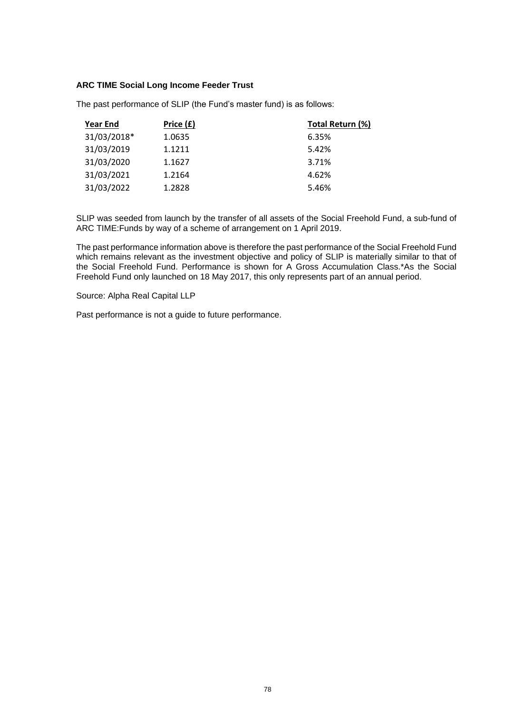#### **ARC TIME Social Long Income Feeder Trust**

| <b>Year End</b> | Price (£) | Total Return (%) |
|-----------------|-----------|------------------|
| 31/03/2018*     | 1.0635    | 6.35%            |
| 31/03/2019      | 1.1211    | 5.42%            |
| 31/03/2020      | 1.1627    | 3.71%            |
| 31/03/2021      | 1.2164    | 4.62%            |
| 31/03/2022      | 1.2828    | 5.46%            |

The past performance of SLIP (the Fund's master fund) is as follows:

SLIP was seeded from launch by the transfer of all assets of the Social Freehold Fund, a sub-fund of ARC TIME:Funds by way of a scheme of arrangement on 1 April 2019.

The past performance information above is therefore the past performance of the Social Freehold Fund which remains relevant as the investment objective and policy of SLIP is materially similar to that of the Social Freehold Fund. Performance is shown for A Gross Accumulation Class.\*As the Social Freehold Fund only launched on 18 May 2017, this only represents part of an annual period.

Source: Alpha Real Capital LLP

Past performance is not a guide to future performance.